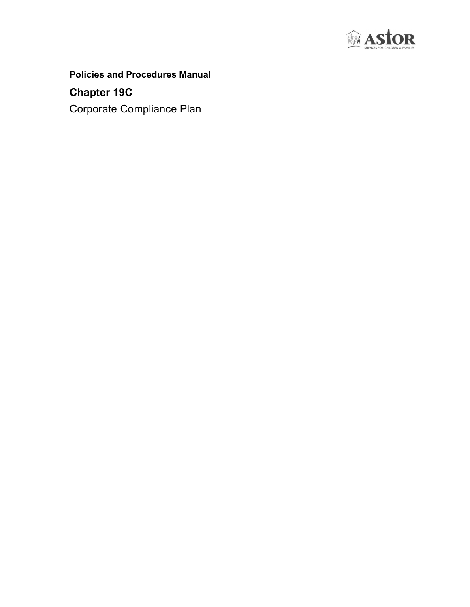

**Policies and Procedures Manual**

**Chapter 19C** Corporate Compliance Plan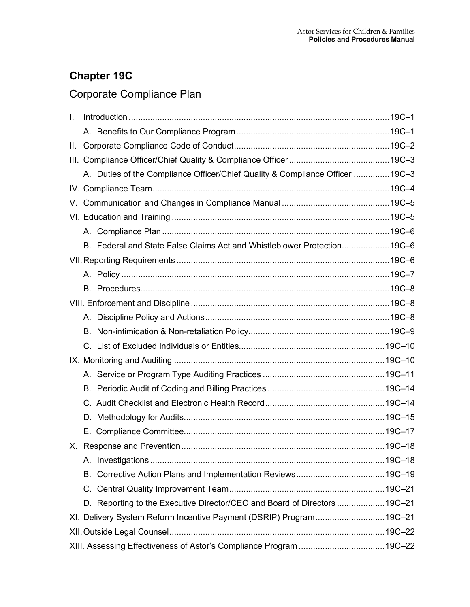# **Chapter 19C**

# Corporate Compliance Plan

| I. |                                                                              |  |
|----|------------------------------------------------------------------------------|--|
|    |                                                                              |  |
| Ш. |                                                                              |  |
|    |                                                                              |  |
|    | A. Duties of the Compliance Officer/Chief Quality & Compliance Officer 19C-3 |  |
|    |                                                                              |  |
| V. |                                                                              |  |
|    |                                                                              |  |
|    |                                                                              |  |
|    | B. Federal and State False Claims Act and Whistleblower Protection19C-6      |  |
|    |                                                                              |  |
|    |                                                                              |  |
|    |                                                                              |  |
|    |                                                                              |  |
|    |                                                                              |  |
|    |                                                                              |  |
|    |                                                                              |  |
|    |                                                                              |  |
|    |                                                                              |  |
|    |                                                                              |  |
|    |                                                                              |  |
|    |                                                                              |  |
|    |                                                                              |  |
|    |                                                                              |  |
|    |                                                                              |  |
|    | В.                                                                           |  |
|    |                                                                              |  |
|    | D. Reporting to the Executive Director/CEO and Board of Directors 19C-21     |  |
|    | XI. Delivery System Reform Incentive Payment (DSRIP) Program19C-21           |  |
|    |                                                                              |  |
|    | XIII. Assessing Effectiveness of Astor's Compliance Program 19C-22           |  |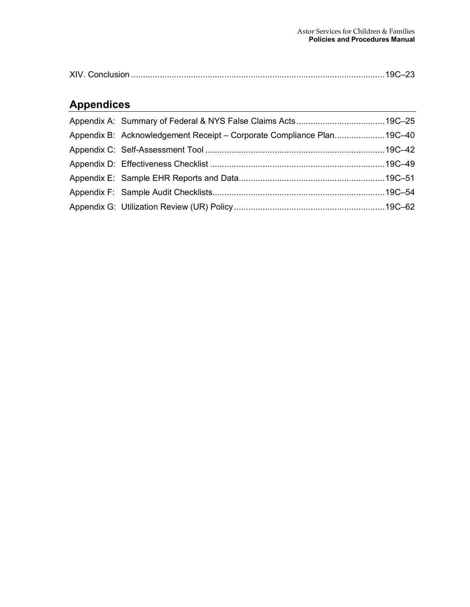# **Appendices**

| Appendix B: Acknowledgement Receipt - Corporate Compliance Plan19C-40 |  |
|-----------------------------------------------------------------------|--|
|                                                                       |  |
|                                                                       |  |
|                                                                       |  |
|                                                                       |  |
|                                                                       |  |
|                                                                       |  |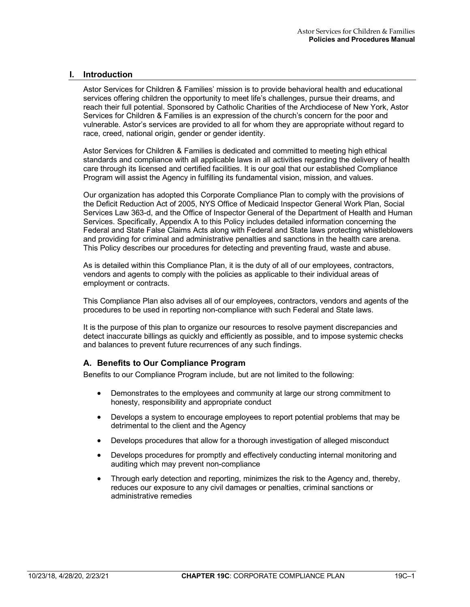### **I. Introduction**

Astor Services for Children & Families' mission is to provide behavioral health and educational services offering children the opportunity to meet life's challenges, pursue their dreams, and reach their full potential. Sponsored by Catholic Charities of the Archdiocese of New York, Astor Services for Children & Families is an expression of the church's concern for the poor and vulnerable. Astor's services are provided to all for whom they are appropriate without regard to race, creed, national origin, gender or gender identity.

Astor Services for Children & Families is dedicated and committed to meeting high ethical standards and compliance with all applicable laws in all activities regarding the delivery of health care through its licensed and certified facilities. It is our goal that our established Compliance Program will assist the Agency in fulfilling its fundamental vision, mission, and values.

Our organization has adopted this Corporate Compliance Plan to comply with the provisions of the Deficit Reduction Act of 2005, NYS Office of Medicaid Inspector General Work Plan, Social Services Law 363-d, and the Office of Inspector General of the Department of Health and Human Services. Specifically, Appendix A to this Policy includes detailed information concerning the Federal and State False Claims Acts along with Federal and State laws protecting whistleblowers and providing for criminal and administrative penalties and sanctions in the health care arena. This Policy describes our procedures for detecting and preventing fraud, waste and abuse.

As is detailed within this Compliance Plan, it is the duty of all of our employees, contractors, vendors and agents to comply with the policies as applicable to their individual areas of employment or contracts.

This Compliance Plan also advises all of our employees, contractors, vendors and agents of the procedures to be used in reporting non-compliance with such Federal and State laws.

It is the purpose of this plan to organize our resources to resolve payment discrepancies and detect inaccurate billings as quickly and efficiently as possible, and to impose systemic checks and balances to prevent future recurrences of any such findings.

# **A. Benefits to Our Compliance Program**

Benefits to our Compliance Program include, but are not limited to the following:

- Demonstrates to the employees and community at large our strong commitment to honesty, responsibility and appropriate conduct
- Develops a system to encourage employees to report potential problems that may be detrimental to the client and the Agency
- Develops procedures that allow for a thorough investigation of alleged misconduct
- Develops procedures for promptly and effectively conducting internal monitoring and auditing which may prevent non-compliance
- Through early detection and reporting, minimizes the risk to the Agency and, thereby, reduces our exposure to any civil damages or penalties, criminal sanctions or administrative remedies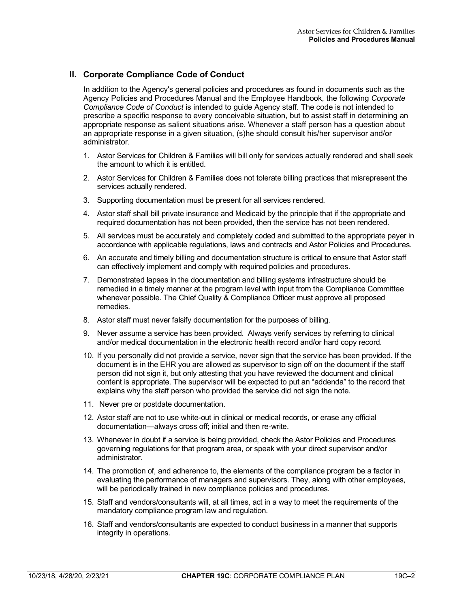# **II. Corporate Compliance Code of Conduct**

In addition to the Agency's general policies and procedures as found in documents such as the Agency Policies and Procedures Manual and the Employee Handbook, the following *Corporate Compliance Code of Conduct* is intended to guide Agency staff. The code is not intended to prescribe a specific response to every conceivable situation, but to assist staff in determining an appropriate response as salient situations arise. Whenever a staff person has a question about an appropriate response in a given situation, (s)he should consult his/her supervisor and/or administrator.

- 1. Astor Services for Children & Families will bill only for services actually rendered and shall seek the amount to which it is entitled.
- 2. Astor Services for Children & Families does not tolerate billing practices that misrepresent the services actually rendered.
- 3. Supporting documentation must be present for all services rendered.
- 4. Astor staff shall bill private insurance and Medicaid by the principle that if the appropriate and required documentation has not been provided, then the service has not been rendered.
- 5. All services must be accurately and completely coded and submitted to the appropriate payer in accordance with applicable regulations, laws and contracts and Astor Policies and Procedures.
- 6. An accurate and timely billing and documentation structure is critical to ensure that Astor staff can effectively implement and comply with required policies and procedures.
- 7. Demonstrated lapses in the documentation and billing systems infrastructure should be remedied in a timely manner at the program level with input from the Compliance Committee whenever possible. The Chief Quality & Compliance Officer must approve all proposed remedies.
- 8. Astor staff must never falsify documentation for the purposes of billing.
- 9. Never assume a service has been provided. Always verify services by referring to clinical and/or medical documentation in the electronic health record and/or hard copy record.
- 10. If you personally did not provide a service, never sign that the service has been provided. If the document is in the EHR you are allowed as supervisor to sign off on the document if the staff person did not sign it, but only attesting that you have reviewed the document and clinical content is appropriate. The supervisor will be expected to put an "addenda" to the record that explains why the staff person who provided the service did not sign the note.
- 11. Never pre or postdate documentation.
- 12. Astor staff are not to use white-out in clinical or medical records, or erase any official documentation—always cross off; initial and then re-write.
- 13. Whenever in doubt if a service is being provided, check the Astor Policies and Procedures governing regulations for that program area, or speak with your direct supervisor and/or administrator.
- 14. The promotion of, and adherence to, the elements of the compliance program be a factor in evaluating the performance of managers and supervisors. They, along with other employees, will be periodically trained in new compliance policies and procedures.
- 15. Staff and vendors/consultants will, at all times, act in a way to meet the requirements of the mandatory compliance program law and regulation.
- 16. Staff and vendors/consultants are expected to conduct business in a manner that supports integrity in operations.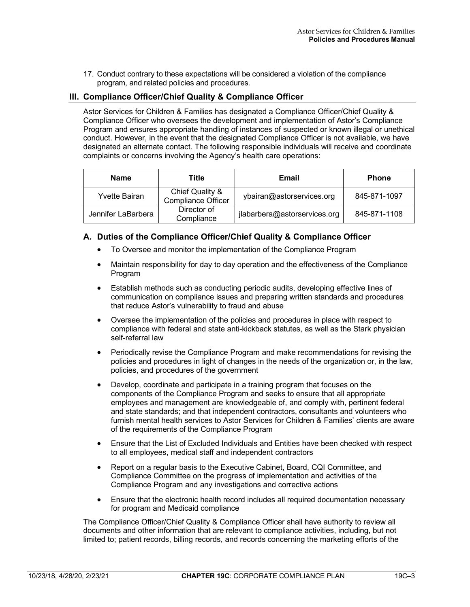17. Conduct contrary to these expectations will be considered a violation of the compliance program, and related policies and procedures.

# **III. Compliance Officer/Chief Quality & Compliance Officer**

Astor Services for Children & Families has designated a Compliance Officer/Chief Quality & Compliance Officer who oversees the development and implementation of Astor's Compliance Program and ensures appropriate handling of instances of suspected or known illegal or unethical conduct. However, in the event that the designated Compliance Officer is not available, we have designated an alternate contact. The following responsible individuals will receive and coordinate complaints or concerns involving the Agency's health care operations:

| <b>Name</b>        | Title                                        | <b>Email</b>                 | <b>Phone</b> |
|--------------------|----------------------------------------------|------------------------------|--------------|
| Yvette Bairan      | Chief Quality &<br><b>Compliance Officer</b> | ybairan@astorservices.org    | 845-871-1097 |
| Jennifer LaBarbera | Director of<br>Compliance                    | jlabarbera@astorservices.org | 845-871-1108 |

# **A. Duties of the Compliance Officer/Chief Quality & Compliance Officer**

- To Oversee and monitor the implementation of the Compliance Program
- Maintain responsibility for day to day operation and the effectiveness of the Compliance Program
- Establish methods such as conducting periodic audits, developing effective lines of communication on compliance issues and preparing written standards and procedures that reduce Astor's vulnerability to fraud and abuse
- Oversee the implementation of the policies and procedures in place with respect to compliance with federal and state anti-kickback statutes, as well as the Stark physician self-referral law
- Periodically revise the Compliance Program and make recommendations for revising the policies and procedures in light of changes in the needs of the organization or, in the law, policies, and procedures of the government
- Develop, coordinate and participate in a training program that focuses on the components of the Compliance Program and seeks to ensure that all appropriate employees and management are knowledgeable of, and comply with, pertinent federal and state standards; and that independent contractors, consultants and volunteers who furnish mental health services to Astor Services for Children & Families' clients are aware of the requirements of the Compliance Program
- Ensure that the List of Excluded Individuals and Entities have been checked with respect to all employees, medical staff and independent contractors
- Report on a regular basis to the Executive Cabinet, Board, CQI Committee, and Compliance Committee on the progress of implementation and activities of the Compliance Program and any investigations and corrective actions
- Ensure that the electronic health record includes all required documentation necessary for program and Medicaid compliance

The Compliance Officer/Chief Quality & Compliance Officer shall have authority to review all documents and other information that are relevant to compliance activities, including, but not limited to; patient records, billing records, and records concerning the marketing efforts of the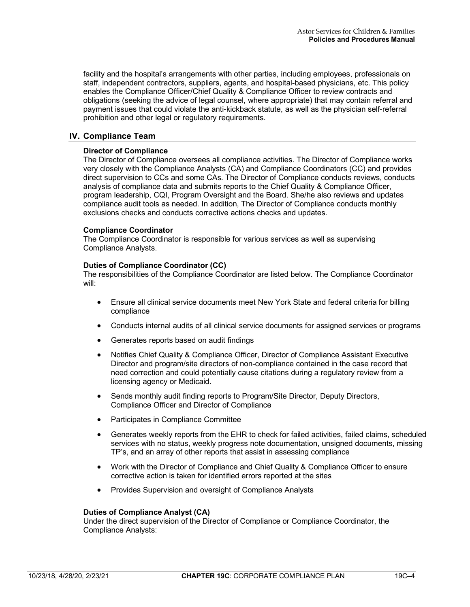facility and the hospital's arrangements with other parties, including employees, professionals on staff, independent contractors, suppliers, agents, and hospital-based physicians, etc. This policy enables the Compliance Officer/Chief Quality & Compliance Officer to review contracts and obligations (seeking the advice of legal counsel, where appropriate) that may contain referral and payment issues that could violate the anti-kickback statute, as well as the physician self-referral prohibition and other legal or regulatory requirements.

### **IV. Compliance Team**

### **Director of Compliance**

The Director of Compliance oversees all compliance activities. The Director of Compliance works very closely with the Compliance Analysts (CA) and Compliance Coordinators (CC) and provides direct supervision to CCs and some CAs. The Director of Compliance conducts reviews, conducts analysis of compliance data and submits reports to the Chief Quality & Compliance Officer, program leadership, CQI, Program Oversight and the Board. She/he also reviews and updates compliance audit tools as needed. In addition, The Director of Compliance conducts monthly exclusions checks and conducts corrective actions checks and updates.

### **Compliance Coordinator**

The Compliance Coordinator is responsible for various services as well as supervising Compliance Analysts.

### **Duties of Compliance Coordinator (CC)**

The responsibilities of the Compliance Coordinator are listed below. The Compliance Coordinator will:

- Ensure all clinical service documents meet New York State and federal criteria for billing compliance
- Conducts internal audits of all clinical service documents for assigned services or programs
- Generates reports based on audit findings
- Notifies Chief Quality & Compliance Officer, Director of Compliance Assistant Executive Director and program/site directors of non-compliance contained in the case record that need correction and could potentially cause citations during a regulatory review from a licensing agency or Medicaid.
- Sends monthly audit finding reports to Program/Site Director, Deputy Directors, Compliance Officer and Director of Compliance
- Participates in Compliance Committee
- Generates weekly reports from the EHR to check for failed activities, failed claims, scheduled services with no status, weekly progress note documentation, unsigned documents, missing TP's, and an array of other reports that assist in assessing compliance
- Work with the Director of Compliance and Chief Quality & Compliance Officer to ensure corrective action is taken for identified errors reported at the sites
- Provides Supervision and oversight of Compliance Analysts

#### **Duties of Compliance Analyst (CA)**

Under the direct supervision of the Director of Compliance or Compliance Coordinator, the Compliance Analysts: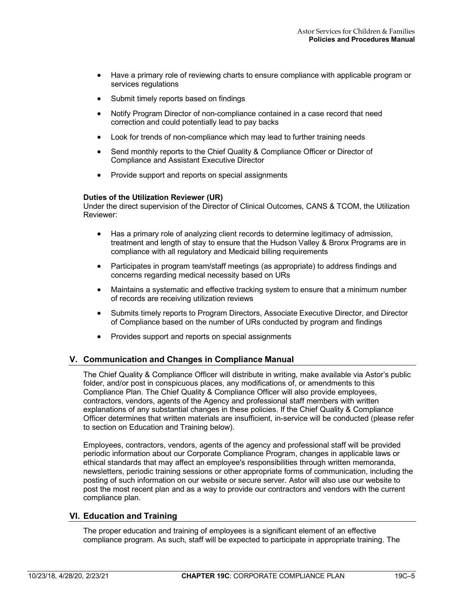- Have a primary role of reviewing charts to ensure compliance with applicable program or services regulations
- Submit timely reports based on findings
- Notify Program Director of non-compliance contained in a case record that need correction and could potentially lead to pay backs
- Look for trends of non-compliance which may lead to further training needs
- Send monthly reports to the Chief Quality & Compliance Officer or Director of Compliance and Assistant Executive Director
- Provide support and reports on special assignments

### **Duties of the Utilization Reviewer (UR)**

Under the direct supervision of the Director of Clinical Outcomes, CANS & TCOM, the Utilization Reviewer:

- Has a primary role of analyzing client records to determine legitimacy of admission, treatment and length of stay to ensure that the Hudson Valley & Bronx Programs are in compliance with all regulatory and Medicaid billing requirements
- Participates in program team/staff meetings (as appropriate) to address findings and concerns regarding medical necessity based on URs
- Maintains a systematic and effective tracking system to ensure that a minimum number of records are receiving utilization reviews
- Submits timely reports to Program Directors, Associate Executive Director, and Director of Compliance based on the number of URs conducted by program and findings
- Provides support and reports on special assignments

### **V. Communication and Changes in Compliance Manual**

The Chief Quality & Compliance Officer will distribute in writing, make available via Astor's public folder, and/or post in conspicuous places, any modifications of, or amendments to this Compliance Plan. The Chief Quality & Compliance Officer will also provide employees, contractors, vendors, agents of the Agency and professional staff members with written explanations of any substantial changes in these policies. If the Chief Quality & Compliance Officer determines that written materials are insufficient, in-service will be conducted (please refer to section on Education and Training below).

Employees, contractors, vendors, agents of the agency and professional staff will be provided periodic information about our Corporate Compliance Program, changes in applicable laws or ethical standards that may affect an employee's responsibilities through written memoranda, newsletters, periodic training sessions or other appropriate forms of communication, including the posting of such information on our website or secure server. Astor will also use our website to post the most recent plan and as a way to provide our contractors and vendors with the current compliance plan.

### **VI. Education and Training**

The proper education and training of employees is a significant element of an effective compliance program. As such, staff will be expected to participate in appropriate training. The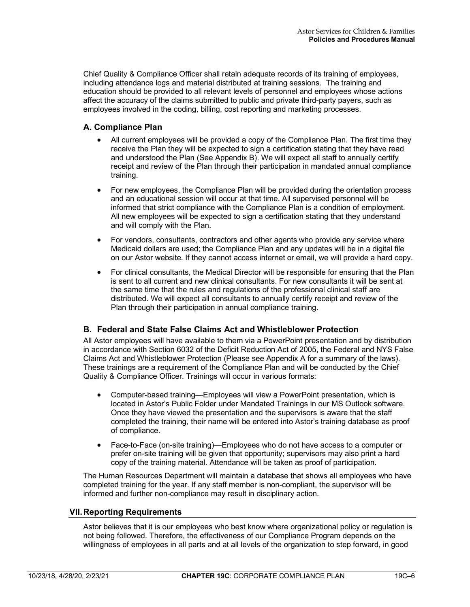Chief Quality & Compliance Officer shall retain adequate records of its training of employees, including attendance logs and material distributed at training sessions. The training and education should be provided to all relevant levels of personnel and employees whose actions affect the accuracy of the claims submitted to public and private third-party payers, such as employees involved in the coding, billing, cost reporting and marketing processes.

# **A. Compliance Plan**

- All current employees will be provided a copy of the Compliance Plan. The first time they receive the Plan they will be expected to sign a certification stating that they have read and understood the Plan (See Appendix B). We will expect all staff to annually certify receipt and review of the Plan through their participation in mandated annual compliance training.
- For new employees, the Compliance Plan will be provided during the orientation process and an educational session will occur at that time. All supervised personnel will be informed that strict compliance with the Compliance Plan is a condition of employment. All new employees will be expected to sign a certification stating that they understand and will comply with the Plan.
- For vendors, consultants, contractors and other agents who provide any service where Medicaid dollars are used; the Compliance Plan and any updates will be in a digital file on our Astor website. If they cannot access internet or email, we will provide a hard copy.
- For clinical consultants, the Medical Director will be responsible for ensuring that the Plan is sent to all current and new clinical consultants. For new consultants it will be sent at the same time that the rules and regulations of the professional clinical staff are distributed. We will expect all consultants to annually certify receipt and review of the Plan through their participation in annual compliance training.

# **B. Federal and State False Claims Act and Whistleblower Protection**

All Astor employees will have available to them via a PowerPoint presentation and by distribution in accordance with Section 6032 of the Deficit Reduction Act of 2005, the Federal and NYS False Claims Act and Whistleblower Protection (Please see Appendix A for a summary of the laws). These trainings are a requirement of the Compliance Plan and will be conducted by the Chief Quality & Compliance Officer. Trainings will occur in various formats:

- Computer-based training—Employees will view a PowerPoint presentation, which is located in Astor's Public Folder under Mandated Trainings in our MS Outlook software. Once they have viewed the presentation and the supervisors is aware that the staff completed the training, their name will be entered into Astor's training database as proof of compliance.
- Face-to-Face (on-site training)—Employees who do not have access to a computer or prefer on-site training will be given that opportunity; supervisors may also print a hard copy of the training material. Attendance will be taken as proof of participation.

The Human Resources Department will maintain a database that shows all employees who have completed training for the year. If any staff member is non-compliant, the supervisor will be informed and further non-compliance may result in disciplinary action.

# **VII.Reporting Requirements**

Astor believes that it is our employees who best know where organizational policy or regulation is not being followed. Therefore, the effectiveness of our Compliance Program depends on the willingness of employees in all parts and at all levels of the organization to step forward, in good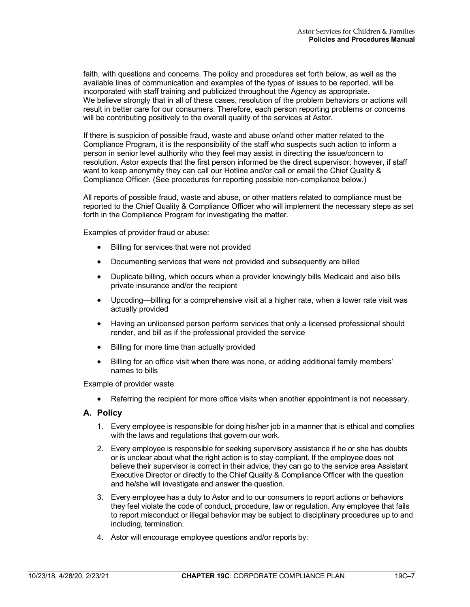faith, with questions and concerns. The policy and procedures set forth below, as well as the available lines of communication and examples of the types of issues to be reported, will be incorporated with staff training and publicized throughout the Agency as appropriate. We believe strongly that in all of these cases, resolution of the problem behaviors or actions will result in better care for our consumers. Therefore, each person reporting problems or concerns will be contributing positively to the overall quality of the services at Astor.

If there is suspicion of possible fraud, waste and abuse or/and other matter related to the Compliance Program, it is the responsibility of the staff who suspects such action to inform a person in senior level authority who they feel may assist in directing the issue/concern to resolution. Astor expects that the first person informed be the direct supervisor; however, if staff want to keep anonymity they can call our Hotline and/or call or email the Chief Quality & Compliance Officer. (See procedures for reporting possible non-compliance below.)

All reports of possible fraud, waste and abuse, or other matters related to compliance must be reported to the Chief Quality & Compliance Officer who will implement the necessary steps as set forth in the Compliance Program for investigating the matter.

Examples of provider fraud or abuse:

- Billing for services that were not provided
- Documenting services that were not provided and subsequently are billed
- Duplicate billing, which occurs when a provider knowingly bills Medicaid and also bills private insurance and/or the recipient
- Upcoding—billing for a comprehensive visit at a higher rate, when a lower rate visit was actually provided
- Having an unlicensed person perform services that only a licensed professional should render, and bill as if the professional provided the service
- Billing for more time than actually provided
- Billing for an office visit when there was none, or adding additional family members' names to bills

Example of provider waste

• Referring the recipient for more office visits when another appointment is not necessary.

### **A. Policy**

- 1. Every employee is responsible for doing his/her job in a manner that is ethical and complies with the laws and regulations that govern our work.
- 2. Every employee is responsible for seeking supervisory assistance if he or she has doubts or is unclear about what the right action is to stay compliant. If the employee does not believe their supervisor is correct in their advice, they can go to the service area Assistant Executive Director or directly to the Chief Quality & Compliance Officer with the question and he/she will investigate and answer the question.
- 3. Every employee has a duty to Astor and to our consumers to report actions or behaviors they feel violate the code of conduct, procedure, law or regulation. Any employee that fails to report misconduct or illegal behavior may be subject to disciplinary procedures up to and including, termination.
- 4. Astor will encourage employee questions and/or reports by: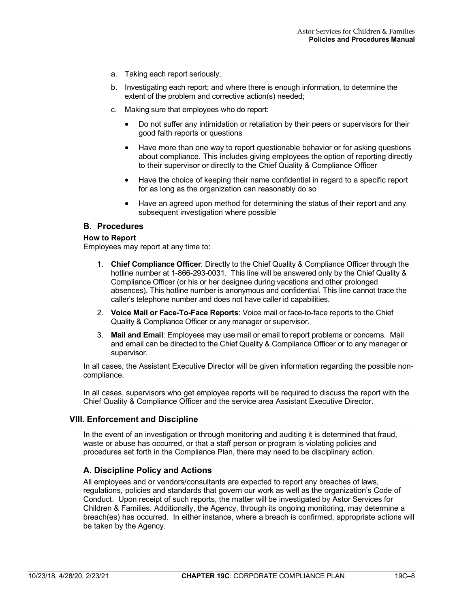- a. Taking each report seriously;
- b. Investigating each report; and where there is enough information, to determine the extent of the problem and corrective action(s) needed;
- c. Making sure that employees who do report:
	- Do not suffer any intimidation or retaliation by their peers or supervisors for their good faith reports or questions
	- Have more than one way to report questionable behavior or for asking questions about compliance. This includes giving employees the option of reporting directly to their supervisor or directly to the Chief Quality & Compliance Officer
	- Have the choice of keeping their name confidential in regard to a specific report for as long as the organization can reasonably do so
	- Have an agreed upon method for determining the status of their report and any subsequent investigation where possible

### **B. Procedures**

### **How to Report**

Employees may report at any time to:

- 1. **Chief Compliance Officer**: Directly to the Chief Quality & Compliance Officer through the hotline number at 1-866-293-0031. This line will be answered only by the Chief Quality & Compliance Officer (or his or her designee during vacations and other prolonged absences). This hotline number is anonymous and confidential. This line cannot trace the caller's telephone number and does not have caller id capabilities.
- 2. **Voice Mail or Face-To-Face Reports**: Voice mail or face-to-face reports to the Chief Quality & Compliance Officer or any manager or supervisor.
- 3. **Mail and Email**: Employees may use mail or email to report problems or concerns. Mail and email can be directed to the Chief Quality & Compliance Officer or to any manager or supervisor.

In all cases, the Assistant Executive Director will be given information regarding the possible noncompliance.

In all cases, supervisors who get employee reports will be required to discuss the report with the Chief Quality & Compliance Officer and the service area Assistant Executive Director.

### **VIII. Enforcement and Discipline**

In the event of an investigation or through monitoring and auditing it is determined that fraud, waste or abuse has occurred, or that a staff person or program is violating policies and procedures set forth in the Compliance Plan, there may need to be disciplinary action.

# **A. Discipline Policy and Actions**

All employees and or vendors/consultants are expected to report any breaches of laws, regulations, policies and standards that govern our work as well as the organization's Code of Conduct. Upon receipt of such reports, the matter will be investigated by Astor Services for Children & Families. Additionally, the Agency, through its ongoing monitoring, may determine a breach(es) has occurred. In either instance, where a breach is confirmed, appropriate actions will be taken by the Agency.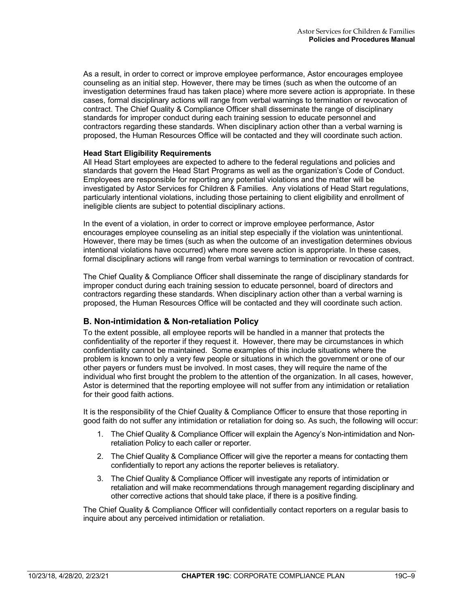As a result, in order to correct or improve employee performance, Astor encourages employee counseling as an initial step. However, there may be times (such as when the outcome of an investigation determines fraud has taken place) where more severe action is appropriate. In these cases, formal disciplinary actions will range from verbal warnings to termination or revocation of contract. The Chief Quality & Compliance Officer shall disseminate the range of disciplinary standards for improper conduct during each training session to educate personnel and contractors regarding these standards. When disciplinary action other than a verbal warning is proposed, the Human Resources Office will be contacted and they will coordinate such action.

### **Head Start Eligibility Requirements**

All Head Start employees are expected to adhere to the federal regulations and policies and standards that govern the Head Start Programs as well as the organization's Code of Conduct. Employees are responsible for reporting any potential violations and the matter will be investigated by Astor Services for Children & Families. Any violations of Head Start regulations, particularly intentional violations, including those pertaining to client eligibility and enrollment of ineligible clients are subject to potential disciplinary actions.

In the event of a violation, in order to correct or improve employee performance, Astor encourages employee counseling as an initial step especially if the violation was unintentional. However, there may be times (such as when the outcome of an investigation determines obvious intentional violations have occurred) where more severe action is appropriate. In these cases, formal disciplinary actions will range from verbal warnings to termination or revocation of contract.

The Chief Quality & Compliance Officer shall disseminate the range of disciplinary standards for improper conduct during each training session to educate personnel, board of directors and contractors regarding these standards. When disciplinary action other than a verbal warning is proposed, the Human Resources Office will be contacted and they will coordinate such action.

# **B. Non-intimidation & Non-retaliation Policy**

To the extent possible, all employee reports will be handled in a manner that protects the confidentiality of the reporter if they request it. However, there may be circumstances in which confidentiality cannot be maintained. Some examples of this include situations where the problem is known to only a very few people or situations in which the government or one of our other payers or funders must be involved. In most cases, they will require the name of the individual who first brought the problem to the attention of the organization. In all cases, however, Astor is determined that the reporting employee will not suffer from any intimidation or retaliation for their good faith actions.

It is the responsibility of the Chief Quality & Compliance Officer to ensure that those reporting in good faith do not suffer any intimidation or retaliation for doing so. As such, the following will occur:

- 1. The Chief Quality & Compliance Officer will explain the Agency's Non-intimidation and Nonretaliation Policy to each caller or reporter.
- 2. The Chief Quality & Compliance Officer will give the reporter a means for contacting them confidentially to report any actions the reporter believes is retaliatory.
- 3. The Chief Quality & Compliance Officer will investigate any reports of intimidation or retaliation and will make recommendations through management regarding disciplinary and other corrective actions that should take place, if there is a positive finding.

The Chief Quality & Compliance Officer will confidentially contact reporters on a regular basis to inquire about any perceived intimidation or retaliation.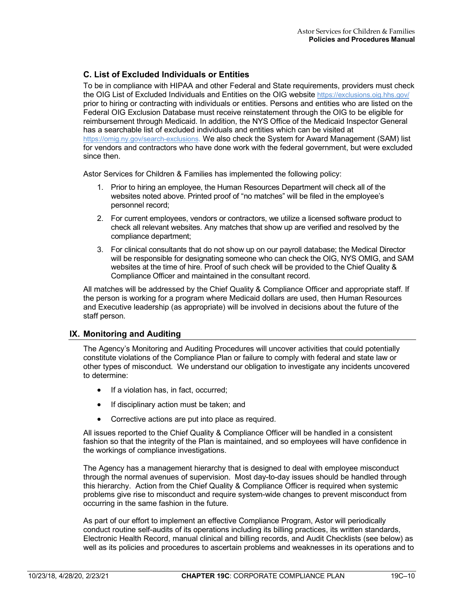# **C. List of Excluded Individuals or Entities**

To be in compliance with HIPAA and other Federal and State requirements, providers must check the OIG List of Excluded Individuals and Entities on the OIG website https://exclusions.oig.hhs.gov/ prior to hiring or contracting with individuals or entities. Persons and entities who are listed on the Federal OIG Exclusion Database must receive reinstatement through the OIG to be eligible for reimbursement through Medicaid. In addition, the NYS Office of the Medicaid Inspector General has a searchable list of excluded individuals and entities which can be visited at https://omig.ny.gov/search-exclusions. We also check the System for Award Management (SAM) list for vendors and contractors who have done work with the federal government, but were excluded since then.

Astor Services for Children & Families has implemented the following policy:

- 1. Prior to hiring an employee, the Human Resources Department will check all of the websites noted above. Printed proof of "no matches" will be filed in the employee's personnel record;
- 2. For current employees, vendors or contractors, we utilize a licensed software product to check all relevant websites. Any matches that show up are verified and resolved by the compliance department;
- 3. For clinical consultants that do not show up on our payroll database; the Medical Director will be responsible for designating someone who can check the OIG, NYS OMIG, and SAM websites at the time of hire. Proof of such check will be provided to the Chief Quality & Compliance Officer and maintained in the consultant record.

All matches will be addressed by the Chief Quality & Compliance Officer and appropriate staff. If the person is working for a program where Medicaid dollars are used, then Human Resources and Executive leadership (as appropriate) will be involved in decisions about the future of the staff person.

# **IX. Monitoring and Auditing**

The Agency's Monitoring and Auditing Procedures will uncover activities that could potentially constitute violations of the Compliance Plan or failure to comply with federal and state law or other types of misconduct. We understand our obligation to investigate any incidents uncovered to determine:

- If a violation has, in fact, occurred;
- If disciplinary action must be taken; and
- Corrective actions are put into place as required.

All issues reported to the Chief Quality & Compliance Officer will be handled in a consistent fashion so that the integrity of the Plan is maintained, and so employees will have confidence in the workings of compliance investigations.

The Agency has a management hierarchy that is designed to deal with employee misconduct through the normal avenues of supervision. Most day-to-day issues should be handled through this hierarchy. Action from the Chief Quality & Compliance Officer is required when systemic problems give rise to misconduct and require system-wide changes to prevent misconduct from occurring in the same fashion in the future.

As part of our effort to implement an effective Compliance Program, Astor will periodically conduct routine self-audits of its operations including its billing practices, its written standards, Electronic Health Record, manual clinical and billing records, and Audit Checklists (see below) as well as its policies and procedures to ascertain problems and weaknesses in its operations and to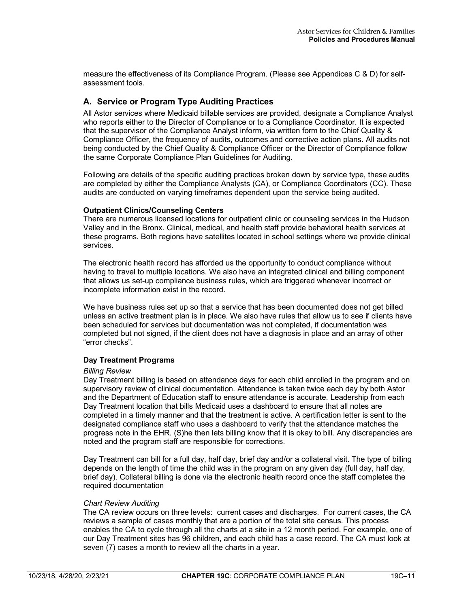measure the effectiveness of its Compliance Program. (Please see Appendices C & D) for selfassessment tools.

### **A. Service or Program Type Auditing Practices**

All Astor services where Medicaid billable services are provided, designate a Compliance Analyst who reports either to the Director of Compliance or to a Compliance Coordinator. It is expected that the supervisor of the Compliance Analyst inform, via written form to the Chief Quality & Compliance Officer, the frequency of audits, outcomes and corrective action plans. All audits not being conducted by the Chief Quality & Compliance Officer or the Director of Compliance follow the same Corporate Compliance Plan Guidelines for Auditing.

Following are details of the specific auditing practices broken down by service type, these audits are completed by either the Compliance Analysts (CA), or Compliance Coordinators (CC). These audits are conducted on varying timeframes dependent upon the service being audited.

### **Outpatient Clinics/Counseling Centers**

There are numerous licensed locations for outpatient clinic or counseling services in the Hudson Valley and in the Bronx. Clinical, medical, and health staff provide behavioral health services at these programs. Both regions have satellites located in school settings where we provide clinical services.

The electronic health record has afforded us the opportunity to conduct compliance without having to travel to multiple locations. We also have an integrated clinical and billing component that allows us set-up compliance business rules, which are triggered whenever incorrect or incomplete information exist in the record.

We have business rules set up so that a service that has been documented does not get billed unless an active treatment plan is in place. We also have rules that allow us to see if clients have been scheduled for services but documentation was not completed, if documentation was completed but not signed, if the client does not have a diagnosis in place and an array of other "error checks".

### **Day Treatment Programs**

#### *Billing Review*

Day Treatment billing is based on attendance days for each child enrolled in the program and on supervisory review of clinical documentation. Attendance is taken twice each day by both Astor and the Department of Education staff to ensure attendance is accurate. Leadership from each Day Treatment location that bills Medicaid uses a dashboard to ensure that all notes are completed in a timely manner and that the treatment is active. A certification letter is sent to the designated compliance staff who uses a dashboard to verify that the attendance matches the progress note in the EHR. (S)he then lets billing know that it is okay to bill. Any discrepancies are noted and the program staff are responsible for corrections.

Day Treatment can bill for a full day, half day, brief day and/or a collateral visit. The type of billing depends on the length of time the child was in the program on any given day (full day, half day, brief day). Collateral billing is done via the electronic health record once the staff completes the required documentation

### *Chart Review Auditing*

The CA review occurs on three levels: current cases and discharges. For current cases, the CA reviews a sample of cases monthly that are a portion of the total site census. This process enables the CA to cycle through all the charts at a site in a 12 month period. For example, one of our Day Treatment sites has 96 children, and each child has a case record. The CA must look at seven (7) cases a month to review all the charts in a year.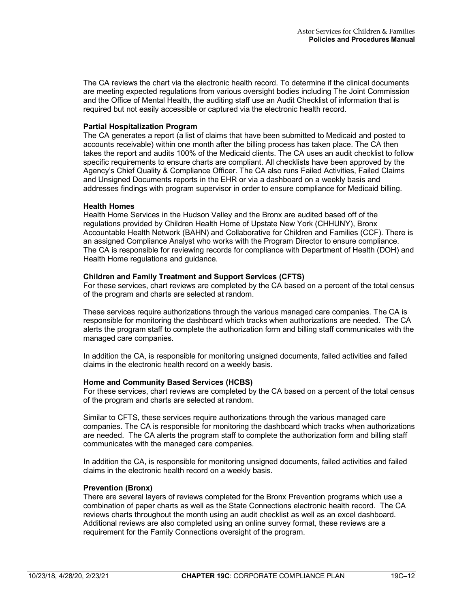The CA reviews the chart via the electronic health record. To determine if the clinical documents are meeting expected regulations from various oversight bodies including The Joint Commission and the Office of Mental Health, the auditing staff use an Audit Checklist of information that is required but not easily accessible or captured via the electronic health record.

### **Partial Hospitalization Program**

The CA generates a report (a list of claims that have been submitted to Medicaid and posted to accounts receivable) within one month after the billing process has taken place. The CA then takes the report and audits 100% of the Medicaid clients. The CA uses an audit checklist to follow specific requirements to ensure charts are compliant. All checklists have been approved by the Agency's Chief Quality & Compliance Officer. The CA also runs Failed Activities, Failed Claims and Unsigned Documents reports in the EHR or via a dashboard on a weekly basis and addresses findings with program supervisor in order to ensure compliance for Medicaid billing.

### **Health Homes**

Health Home Services in the Hudson Valley and the Bronx are audited based off of the regulations provided by Children Health Home of Upstate New York (CHHUNY), Bronx Accountable Health Network (BAHN) and Collaborative for Children and Families (CCF). There is an assigned Compliance Analyst who works with the Program Director to ensure compliance. The CA is responsible for reviewing records for compliance with Department of Health (DOH) and Health Home regulations and guidance.

### **Children and Family Treatment and Support Services (CFTS)**

For these services, chart reviews are completed by the CA based on a percent of the total census of the program and charts are selected at random.

These services require authorizations through the various managed care companies. The CA is responsible for monitoring the dashboard which tracks when authorizations are needed. The CA alerts the program staff to complete the authorization form and billing staff communicates with the managed care companies.

In addition the CA, is responsible for monitoring unsigned documents, failed activities and failed claims in the electronic health record on a weekly basis.

#### **Home and Community Based Services (HCBS)**

For these services, chart reviews are completed by the CA based on a percent of the total census of the program and charts are selected at random.

Similar to CFTS, these services require authorizations through the various managed care companies. The CA is responsible for monitoring the dashboard which tracks when authorizations are needed. The CA alerts the program staff to complete the authorization form and billing staff communicates with the managed care companies.

In addition the CA, is responsible for monitoring unsigned documents, failed activities and failed claims in the electronic health record on a weekly basis.

### **Prevention (Bronx)**

There are several layers of reviews completed for the Bronx Prevention programs which use a combination of paper charts as well as the State Connections electronic health record. The CA reviews charts throughout the month using an audit checklist as well as an excel dashboard. Additional reviews are also completed using an online survey format, these reviews are a requirement for the Family Connections oversight of the program.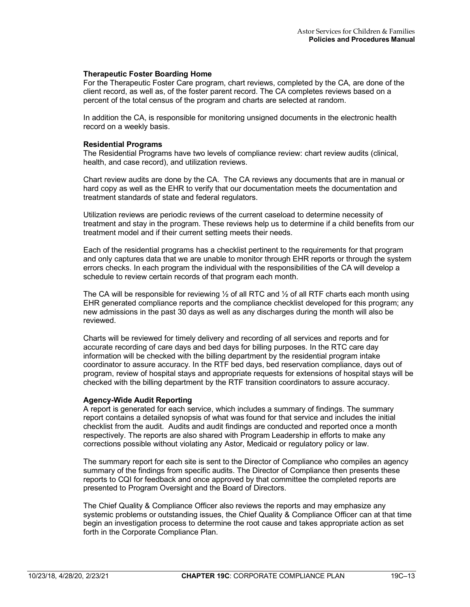### **Therapeutic Foster Boarding Home**

For the Therapeutic Foster Care program, chart reviews, completed by the CA, are done of the client record, as well as, of the foster parent record. The CA completes reviews based on a percent of the total census of the program and charts are selected at random.

In addition the CA, is responsible for monitoring unsigned documents in the electronic health record on a weekly basis.

### **Residential Programs**

The Residential Programs have two levels of compliance review: chart review audits (clinical, health, and case record), and utilization reviews.

Chart review audits are done by the CA. The CA reviews any documents that are in manual or hard copy as well as the EHR to verify that our documentation meets the documentation and treatment standards of state and federal regulators.

Utilization reviews are periodic reviews of the current caseload to determine necessity of treatment and stay in the program. These reviews help us to determine if a child benefits from our treatment model and if their current setting meets their needs.

Each of the residential programs has a checklist pertinent to the requirements for that program and only captures data that we are unable to monitor through EHR reports or through the system errors checks. In each program the individual with the responsibilities of the CA will develop a schedule to review certain records of that program each month.

The CA will be responsible for reviewing  $\frac{1}{2}$  of all RTC and  $\frac{1}{2}$  of all RTF charts each month using EHR generated compliance reports and the compliance checklist developed for this program; any new admissions in the past 30 days as well as any discharges during the month will also be reviewed.

Charts will be reviewed for timely delivery and recording of all services and reports and for accurate recording of care days and bed days for billing purposes. In the RTC care day information will be checked with the billing department by the residential program intake coordinator to assure accuracy. In the RTF bed days, bed reservation compliance, days out of program, review of hospital stays and appropriate requests for extensions of hospital stays will be checked with the billing department by the RTF transition coordinators to assure accuracy.

#### **Agency-Wide Audit Reporting**

A report is generated for each service, which includes a summary of findings. The summary report contains a detailed synopsis of what was found for that service and includes the initial checklist from the audit. Audits and audit findings are conducted and reported once a month respectively. The reports are also shared with Program Leadership in efforts to make any corrections possible without violating any Astor, Medicaid or regulatory policy or law.

The summary report for each site is sent to the Director of Compliance who compiles an agency summary of the findings from specific audits. The Director of Compliance then presents these reports to CQI for feedback and once approved by that committee the completed reports are presented to Program Oversight and the Board of Directors.

The Chief Quality & Compliance Officer also reviews the reports and may emphasize any systemic problems or outstanding issues, the Chief Quality & Compliance Officer can at that time begin an investigation process to determine the root cause and takes appropriate action as set forth in the Corporate Compliance Plan.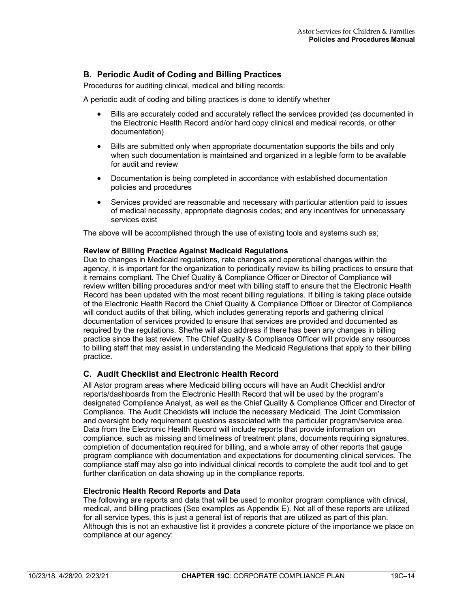# **B. Periodic Audit of Coding and Billing Practices**

Procedures for auditing clinical, medical and billing records:

A periodic audit of coding and billing practices is done to identify whether

- Bills are accurately coded and accurately reflect the services provided (as documented in the Electronic Health Record and/or hard copy clinical and medical records, or other documentation)
- Bills are submitted only when appropriate documentation supports the bills and only when such documentation is maintained and organized in a legible form to be available for audit and review
- Documentation is being completed in accordance with established documentation policies and procedures
- Services provided are reasonable and necessary with particular attention paid to issues of medical necessity, appropriate diagnosis codes; and any incentives for unnecessary services exist

The above will be accomplished through the use of existing tools and systems such as;

### **Review of Billing Practice Against Medicaid Regulations**

Due to changes in Medicaid regulations, rate changes and operational changes within the agency, it is important for the organization to periodically review its billing practices to ensure that it remains compliant. The Chief Quality & Compliance Officer or Director of Compliance will review written billing procedures and/or meet with billing staff to ensure that the Electronic Health Record has been updated with the most recent billing regulations. If billing is taking place outside of the Electronic Health Record the Chief Quality & Compliance Officer or Director of Compliance will conduct audits of that billing, which includes generating reports and gathering clinical documentation of services provided to ensure that services are provided and documented as required by the regulations. She/he will also address if there has been any changes in billing practice since the last review. The Chief Quality & Compliance Officer will provide any resources to billing staff that may assist in understanding the Medicaid Regulations that apply to their billing practice.

# **C. Audit Checklist and Electronic Health Record**

All Astor program areas where Medicaid billing occurs will have an Audit Checklist and/or reports/dashboards from the Electronic Health Record that will be used by the program's designated Compliance Analyst, as well as the Chief Quality & Compliance Officer and Director of Compliance. The Audit Checklists will include the necessary Medicaid, The Joint Commission and oversight body requirement questions associated with the particular program/service area. Data from the Electronic Health Record will include reports that provide information on compliance, such as missing and timeliness of treatment plans, documents requiring signatures, completion of documentation required for billing, and a whole array of other reports that gauge program compliance with documentation and expectations for documenting clinical services. The compliance staff may also go into individual clinical records to complete the audit tool and to get further clarification on data showing up in the compliance reports.

### **Electronic Health Record Reports and Data**

The following are reports and data that will be used to monitor program compliance with clinical, medical, and billing practices (See examples as Appendix E). Not all of these reports are utilized for all service types, this is just a general list of reports that are utilized as part of this plan. Although this is not an exhaustive list it provides a concrete picture of the importance we place on compliance at our agency: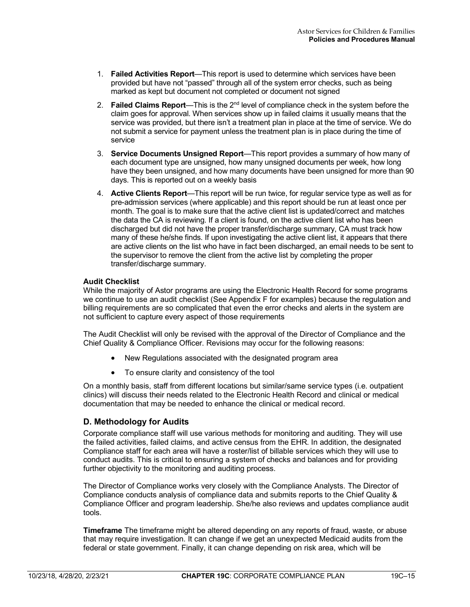- 1. **Failed Activities Report**—This report is used to determine which services have been provided but have not "passed" through all of the system error checks, such as being marked as kept but document not completed or document not signed
- 2. **Failed Claims Report**—This is the 2nd level of compliance check in the system before the claim goes for approval. When services show up in failed claims it usually means that the service was provided, but there isn't a treatment plan in place at the time of service. We do not submit a service for payment unless the treatment plan is in place during the time of service
- 3. **Service Documents Unsigned Report**—This report provides a summary of how many of each document type are unsigned, how many unsigned documents per week, how long have they been unsigned, and how many documents have been unsigned for more than 90 days. This is reported out on a weekly basis
- 4. **Active Clients Report**—This report will be run twice, for regular service type as well as for pre-admission services (where applicable) and this report should be run at least once per month. The goal is to make sure that the active client list is updated/correct and matches the data the CA is reviewing. If a client is found, on the active client list who has been discharged but did not have the proper transfer/discharge summary, CA must track how many of these he/she finds. If upon investigating the active client list, it appears that there are active clients on the list who have in fact been discharged, an email needs to be sent to the supervisor to remove the client from the active list by completing the proper transfer/discharge summary.

### **Audit Checklist**

While the majority of Astor programs are using the Electronic Health Record for some programs we continue to use an audit checklist (See Appendix F for examples) because the regulation and billing requirements are so complicated that even the error checks and alerts in the system are not sufficient to capture every aspect of those requirements

The Audit Checklist will only be revised with the approval of the Director of Compliance and the Chief Quality & Compliance Officer. Revisions may occur for the following reasons:

- New Regulations associated with the designated program area
- To ensure clarity and consistency of the tool

On a monthly basis, staff from different locations but similar/same service types (i.e. outpatient clinics) will discuss their needs related to the Electronic Health Record and clinical or medical documentation that may be needed to enhance the clinical or medical record.

# **D. Methodology for Audits**

Corporate compliance staff will use various methods for monitoring and auditing. They will use the failed activities, failed claims, and active census from the EHR. In addition, the designated Compliance staff for each area will have a roster/list of billable services which they will use to conduct audits. This is critical to ensuring a system of checks and balances and for providing further objectivity to the monitoring and auditing process.

The Director of Compliance works very closely with the Compliance Analysts. The Director of Compliance conducts analysis of compliance data and submits reports to the Chief Quality & Compliance Officer and program leadership. She/he also reviews and updates compliance audit tools.

**Timeframe** The timeframe might be altered depending on any reports of fraud, waste, or abuse that may require investigation. It can change if we get an unexpected Medicaid audits from the federal or state government. Finally, it can change depending on risk area, which will be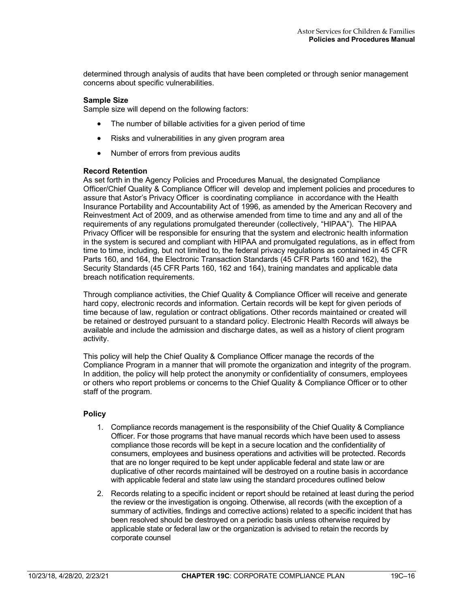determined through analysis of audits that have been completed or through senior management concerns about specific vulnerabilities.

# **Sample Size**

Sample size will depend on the following factors:

- The number of billable activities for a given period of time
- Risks and vulnerabilities in any given program area
- Number of errors from previous audits

### **Record Retention**

As set forth in the Agency Policies and Procedures Manual, the designated Compliance Officer/Chief Quality & Compliance Officer will develop and implement policies and procedures to assure that Astor's Privacy Officer is coordinating compliance in accordance with the Health Insurance Portability and Accountability Act of 1996, as amended by the American Recovery and Reinvestment Act of 2009, and as otherwise amended from time to time and any and all of the requirements of any regulations promulgated thereunder (collectively, "HIPAA"). The HIPAA Privacy Officer will be responsible for ensuring that the system and electronic health information in the system is secured and compliant with HIPAA and promulgated regulations, as in effect from time to time, including, but not limited to, the federal privacy regulations as contained in 45 CFR Parts 160, and 164, the Electronic Transaction Standards (45 CFR Parts 160 and 162), the Security Standards (45 CFR Parts 160, 162 and 164), training mandates and applicable data breach notification requirements.

Through compliance activities, the Chief Quality & Compliance Officer will receive and generate hard copy, electronic records and information. Certain records will be kept for given periods of time because of law, regulation or contract obligations. Other records maintained or created will be retained or destroyed pursuant to a standard policy. Electronic Health Records will always be available and include the admission and discharge dates, as well as a history of client program activity.

This policy will help the Chief Quality & Compliance Officer manage the records of the Compliance Program in a manner that will promote the organization and integrity of the program. In addition, the policy will help protect the anonymity or confidentiality of consumers, employees or others who report problems or concerns to the Chief Quality & Compliance Officer or to other staff of the program.

### **Policy**

- 1. Compliance records management is the responsibility of the Chief Quality & Compliance Officer. For those programs that have manual records which have been used to assess compliance those records will be kept in a secure location and the confidentiality of consumers, employees and business operations and activities will be protected. Records that are no longer required to be kept under applicable federal and state law or are duplicative of other records maintained will be destroyed on a routine basis in accordance with applicable federal and state law using the standard procedures outlined below
- 2. Records relating to a specific incident or report should be retained at least during the period the review or the investigation is ongoing. Otherwise, all records (with the exception of a summary of activities, findings and corrective actions) related to a specific incident that has been resolved should be destroyed on a periodic basis unless otherwise required by applicable state or federal law or the organization is advised to retain the records by corporate counsel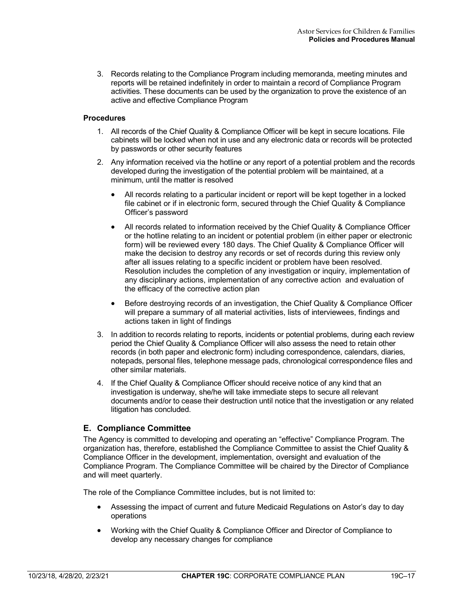3. Records relating to the Compliance Program including memoranda, meeting minutes and reports will be retained indefinitely in order to maintain a record of Compliance Program activities. These documents can be used by the organization to prove the existence of an active and effective Compliance Program

### **Procedures**

- 1. All records of the Chief Quality & Compliance Officer will be kept in secure locations. File cabinets will be locked when not in use and any electronic data or records will be protected by passwords or other security features
- 2. Any information received via the hotline or any report of a potential problem and the records developed during the investigation of the potential problem will be maintained, at a minimum, until the matter is resolved
	- All records relating to a particular incident or report will be kept together in a locked file cabinet or if in electronic form, secured through the Chief Quality & Compliance Officer's password
	- All records related to information received by the Chief Quality & Compliance Officer or the hotline relating to an incident or potential problem (in either paper or electronic form) will be reviewed every 180 days. The Chief Quality & Compliance Officer will make the decision to destroy any records or set of records during this review only after all issues relating to a specific incident or problem have been resolved. Resolution includes the completion of any investigation or inquiry, implementation of any disciplinary actions, implementation of any corrective action and evaluation of the efficacy of the corrective action plan
	- Before destroying records of an investigation, the Chief Quality & Compliance Officer will prepare a summary of all material activities, lists of interviewees, findings and actions taken in light of findings
- 3. In addition to records relating to reports, incidents or potential problems, during each review period the Chief Quality & Compliance Officer will also assess the need to retain other records (in both paper and electronic form) including correspondence, calendars, diaries, notepads, personal files, telephone message pads, chronological correspondence files and other similar materials.
- 4. If the Chief Quality & Compliance Officer should receive notice of any kind that an investigation is underway, she/he will take immediate steps to secure all relevant documents and/or to cease their destruction until notice that the investigation or any related litigation has concluded.

# **E. Compliance Committee**

The Agency is committed to developing and operating an "effective" Compliance Program. The organization has, therefore, established the Compliance Committee to assist the Chief Quality & Compliance Officer in the development, implementation, oversight and evaluation of the Compliance Program. The Compliance Committee will be chaired by the Director of Compliance and will meet quarterly.

The role of the Compliance Committee includes, but is not limited to:

- Assessing the impact of current and future Medicaid Regulations on Astor's day to day operations
- Working with the Chief Quality & Compliance Officer and Director of Compliance to develop any necessary changes for compliance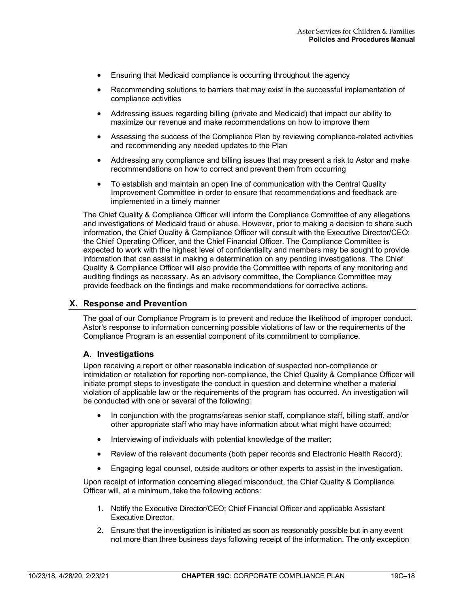- Ensuring that Medicaid compliance is occurring throughout the agency
- Recommending solutions to barriers that may exist in the successful implementation of compliance activities
- Addressing issues regarding billing (private and Medicaid) that impact our ability to maximize our revenue and make recommendations on how to improve them
- Assessing the success of the Compliance Plan by reviewing compliance-related activities and recommending any needed updates to the Plan
- Addressing any compliance and billing issues that may present a risk to Astor and make recommendations on how to correct and prevent them from occurring
- To establish and maintain an open line of communication with the Central Quality Improvement Committee in order to ensure that recommendations and feedback are implemented in a timely manner

The Chief Quality & Compliance Officer will inform the Compliance Committee of any allegations and investigations of Medicaid fraud or abuse. However, prior to making a decision to share such information, the Chief Quality & Compliance Officer will consult with the Executive Director/CEO; the Chief Operating Officer, and the Chief Financial Officer. The Compliance Committee is expected to work with the highest level of confidentiality and members may be sought to provide information that can assist in making a determination on any pending investigations. The Chief Quality & Compliance Officer will also provide the Committee with reports of any monitoring and auditing findings as necessary. As an advisory committee, the Compliance Committee may provide feedback on the findings and make recommendations for corrective actions.

### **X. Response and Prevention**

The goal of our Compliance Program is to prevent and reduce the likelihood of improper conduct. Astor's response to information concerning possible violations of law or the requirements of the Compliance Program is an essential component of its commitment to compliance.

### **A. Investigations**

Upon receiving a report or other reasonable indication of suspected non-compliance or intimidation or retaliation for reporting non-compliance, the Chief Quality & Compliance Officer will initiate prompt steps to investigate the conduct in question and determine whether a material violation of applicable law or the requirements of the program has occurred. An investigation will be conducted with one or several of the following:

- In conjunction with the programs/areas senior staff, compliance staff, billing staff, and/or other appropriate staff who may have information about what might have occurred;
- Interviewing of individuals with potential knowledge of the matter;
- Review of the relevant documents (both paper records and Electronic Health Record);
- Engaging legal counsel, outside auditors or other experts to assist in the investigation.

Upon receipt of information concerning alleged misconduct, the Chief Quality & Compliance Officer will, at a minimum, take the following actions:

- 1. Notify the Executive Director/CEO; Chief Financial Officer and applicable Assistant Executive Director.
- 2. Ensure that the investigation is initiated as soon as reasonably possible but in any event not more than three business days following receipt of the information. The only exception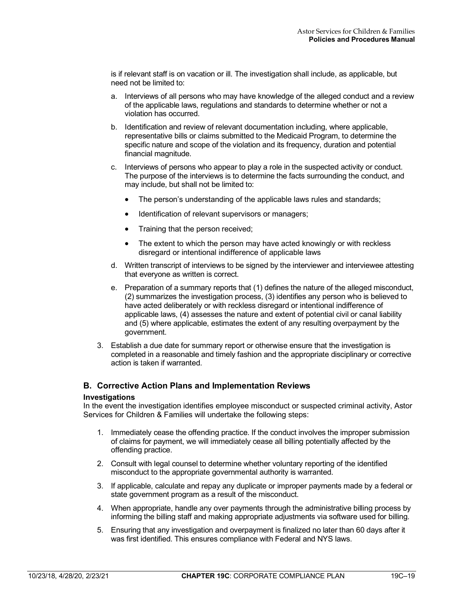is if relevant staff is on vacation or ill. The investigation shall include, as applicable, but need not be limited to:

- a. Interviews of all persons who may have knowledge of the alleged conduct and a review of the applicable laws, regulations and standards to determine whether or not a violation has occurred.
- b. Identification and review of relevant documentation including, where applicable, representative bills or claims submitted to the Medicaid Program, to determine the specific nature and scope of the violation and its frequency, duration and potential financial magnitude.
- c. Interviews of persons who appear to play a role in the suspected activity or conduct. The purpose of the interviews is to determine the facts surrounding the conduct, and may include, but shall not be limited to:
	- The person's understanding of the applicable laws rules and standards;
	- Identification of relevant supervisors or managers;
	- Training that the person received;
	- The extent to which the person may have acted knowingly or with reckless disregard or intentional indifference of applicable laws
- d. Written transcript of interviews to be signed by the interviewer and interviewee attesting that everyone as written is correct.
- e. Preparation of a summary reports that (1) defines the nature of the alleged misconduct, (2) summarizes the investigation process, (3) identifies any person who is believed to have acted deliberately or with reckless disregard or intentional indifference of applicable laws, (4) assesses the nature and extent of potential civil or canal liability and (5) where applicable, estimates the extent of any resulting overpayment by the government.
- 3. Establish a due date for summary report or otherwise ensure that the investigation is completed in a reasonable and timely fashion and the appropriate disciplinary or corrective action is taken if warranted.

# **B. Corrective Action Plans and Implementation Reviews**

#### **Investigations**

In the event the investigation identifies employee misconduct or suspected criminal activity, Astor Services for Children & Families will undertake the following steps:

- 1. Immediately cease the offending practice. If the conduct involves the improper submission of claims for payment, we will immediately cease all billing potentially affected by the offending practice.
- 2. Consult with legal counsel to determine whether voluntary reporting of the identified misconduct to the appropriate governmental authority is warranted.
- 3. If applicable, calculate and repay any duplicate or improper payments made by a federal or state government program as a result of the misconduct.
- 4. When appropriate, handle any over payments through the administrative billing process by informing the billing staff and making appropriate adjustments via software used for billing.
- 5. Ensuring that any investigation and overpayment is finalized no later than 60 days after it was first identified. This ensures compliance with Federal and NYS laws.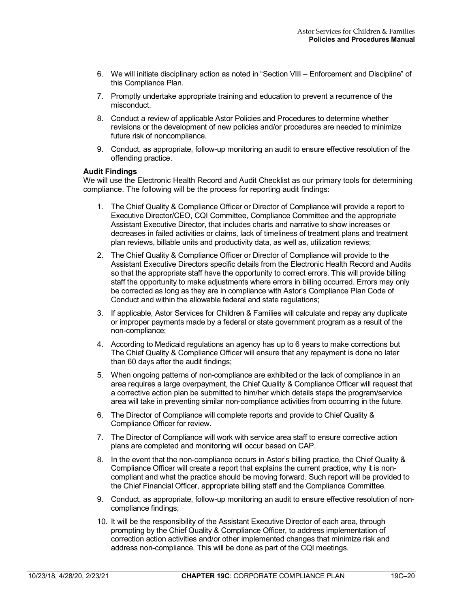- 6. We will initiate disciplinary action as noted in "Section VIII Enforcement and Discipline" of this Compliance Plan.
- 7. Promptly undertake appropriate training and education to prevent a recurrence of the misconduct.
- 8. Conduct a review of applicable Astor Policies and Procedures to determine whether revisions or the development of new policies and/or procedures are needed to minimize future risk of noncompliance.
- 9. Conduct, as appropriate, follow-up monitoring an audit to ensure effective resolution of the offending practice.

### **Audit Findings**

We will use the Electronic Health Record and Audit Checklist as our primary tools for determining compliance. The following will be the process for reporting audit findings:

- 1. The Chief Quality & Compliance Officer or Director of Compliance will provide a report to Executive Director/CEO, CQI Committee, Compliance Committee and the appropriate Assistant Executive Director, that includes charts and narrative to show increases or decreases in failed activities or claims, lack of timeliness of treatment plans and treatment plan reviews, billable units and productivity data, as well as, utilization reviews;
- 2. The Chief Quality & Compliance Officer or Director of Compliance will provide to the Assistant Executive Directors specific details from the Electronic Health Record and Audits so that the appropriate staff have the opportunity to correct errors. This will provide billing staff the opportunity to make adjustments where errors in billing occurred. Errors may only be corrected as long as they are in compliance with Astor's Compliance Plan Code of Conduct and within the allowable federal and state regulations;
- 3. If applicable, Astor Services for Children & Families will calculate and repay any duplicate or improper payments made by a federal or state government program as a result of the non-compliance;
- 4. According to Medicaid regulations an agency has up to 6 years to make corrections but The Chief Quality & Compliance Officer will ensure that any repayment is done no later than 60 days after the audit findings;
- 5. When ongoing patterns of non-compliance are exhibited or the lack of compliance in an area requires a large overpayment, the Chief Quality & Compliance Officer will request that a corrective action plan be submitted to him/her which details steps the program/service area will take in preventing similar non-compliance activities from occurring in the future.
- 6. The Director of Compliance will complete reports and provide to Chief Quality & Compliance Officer for review.
- 7. The Director of Compliance will work with service area staff to ensure corrective action plans are completed and monitoring will occur based on CAP.
- 8. In the event that the non-compliance occurs in Astor's billing practice, the Chief Quality & Compliance Officer will create a report that explains the current practice, why it is noncompliant and what the practice should be moving forward. Such report will be provided to the Chief Financial Officer, appropriate billing staff and the Compliance Committee.
- 9. Conduct, as appropriate, follow-up monitoring an audit to ensure effective resolution of noncompliance findings;
- 10. It will be the responsibility of the Assistant Executive Director of each area, through prompting by the Chief Quality & Compliance Officer, to address implementation of correction action activities and/or other implemented changes that minimize risk and address non-compliance. This will be done as part of the CQI meetings.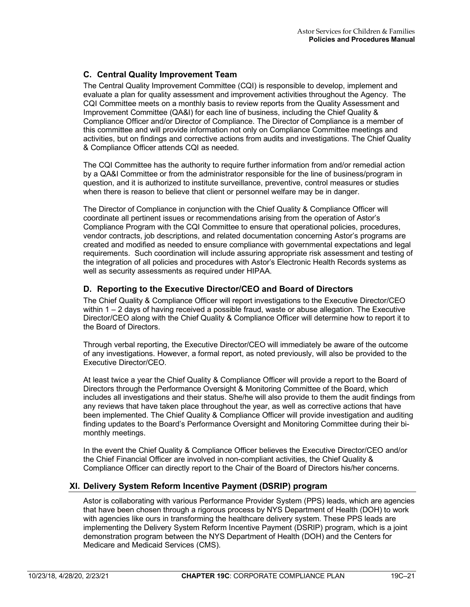# **C. Central Quality Improvement Team**

The Central Quality Improvement Committee (CQI) is responsible to develop, implement and evaluate a plan for quality assessment and improvement activities throughout the Agency. The CQI Committee meets on a monthly basis to review reports from the Quality Assessment and Improvement Committee (QA&I) for each line of business, including the Chief Quality & Compliance Officer and/or Director of Compliance. The Director of Compliance is a member of this committee and will provide information not only on Compliance Committee meetings and activities, but on findings and corrective actions from audits and investigations. The Chief Quality & Compliance Officer attends CQI as needed.

The CQI Committee has the authority to require further information from and/or remedial action by a QA&I Committee or from the administrator responsible for the line of business/program in question, and it is authorized to institute surveillance, preventive, control measures or studies when there is reason to believe that client or personnel welfare may be in danger.

The Director of Compliance in conjunction with the Chief Quality & Compliance Officer will coordinate all pertinent issues or recommendations arising from the operation of Astor's Compliance Program with the CQI Committee to ensure that operational policies, procedures, vendor contracts, job descriptions, and related documentation concerning Astor's programs are created and modified as needed to ensure compliance with governmental expectations and legal requirements. Such coordination will include assuring appropriate risk assessment and testing of the integration of all policies and procedures with Astor's Electronic Health Records systems as well as security assessments as required under HIPAA.

# **D. Reporting to the Executive Director/CEO and Board of Directors**

The Chief Quality & Compliance Officer will report investigations to the Executive Director/CEO within 1 – 2 days of having received a possible fraud, waste or abuse allegation. The Executive Director/CEO along with the Chief Quality & Compliance Officer will determine how to report it to the Board of Directors.

Through verbal reporting, the Executive Director/CEO will immediately be aware of the outcome of any investigations. However, a formal report, as noted previously, will also be provided to the Executive Director/CEO.

At least twice a year the Chief Quality & Compliance Officer will provide a report to the Board of Directors through the Performance Oversight & Monitoring Committee of the Board, which includes all investigations and their status. She/he will also provide to them the audit findings from any reviews that have taken place throughout the year, as well as corrective actions that have been implemented. The Chief Quality & Compliance Officer will provide investigation and auditing finding updates to the Board's Performance Oversight and Monitoring Committee during their bimonthly meetings.

In the event the Chief Quality & Compliance Officer believes the Executive Director/CEO and/or the Chief Financial Officer are involved in non-compliant activities, the Chief Quality & Compliance Officer can directly report to the Chair of the Board of Directors his/her concerns.

# **XI. Delivery System Reform Incentive Payment (DSRIP) program**

Astor is collaborating with various Performance Provider System (PPS) leads, which are agencies that have been chosen through a rigorous process by NYS Department of Health (DOH) to work with agencies like ours in transforming the healthcare delivery system. These PPS leads are implementing the Delivery System Reform Incentive Payment (DSRIP) program, which is a joint demonstration program between the NYS Department of Health (DOH) and the Centers for Medicare and Medicaid Services (CMS).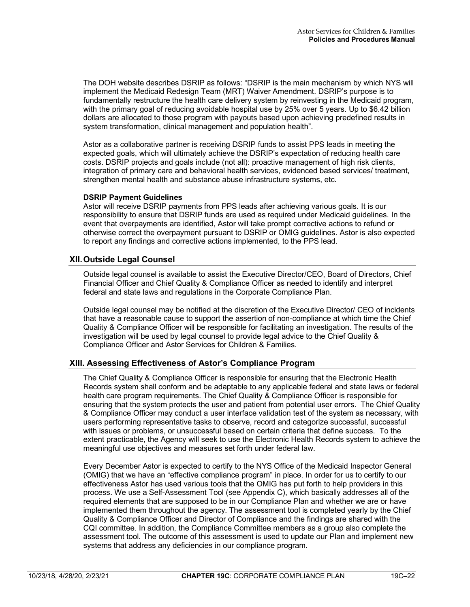The DOH website describes DSRIP as follows: "DSRIP is the main mechanism by which NYS will implement the Medicaid Redesign Team (MRT) Waiver Amendment. DSRIP's purpose is to fundamentally restructure the health care delivery system by reinvesting in the Medicaid program, with the primary goal of reducing avoidable hospital use by 25% over 5 years. Up to \$6.42 billion dollars are allocated to those program with payouts based upon achieving predefined results in system transformation, clinical management and population health".

Astor as a collaborative partner is receiving DSRIP funds to assist PPS leads in meeting the expected goals, which will ultimately achieve the DSRIP's expectation of reducing health care costs. DSRIP projects and goals include (not all): proactive management of high risk clients, integration of primary care and behavioral health services, evidenced based services/ treatment, strengthen mental health and substance abuse infrastructure systems, etc.

### **DSRIP Payment Guidelines**

Astor will receive DSRIP payments from PPS leads after achieving various goals. It is our responsibility to ensure that DSRIP funds are used as required under Medicaid guidelines. In the event that overpayments are identified, Astor will take prompt corrective actions to refund or otherwise correct the overpayment pursuant to DSRIP or OMIG guidelines. Astor is also expected to report any findings and corrective actions implemented, to the PPS lead.

# **XII.Outside Legal Counsel**

Outside legal counsel is available to assist the Executive Director/CEO, Board of Directors, Chief Financial Officer and Chief Quality & Compliance Officer as needed to identify and interpret federal and state laws and regulations in the Corporate Compliance Plan.

Outside legal counsel may be notified at the discretion of the Executive Director/ CEO of incidents that have a reasonable cause to support the assertion of non-compliance at which time the Chief Quality & Compliance Officer will be responsible for facilitating an investigation. The results of the investigation will be used by legal counsel to provide legal advice to the Chief Quality & Compliance Officer and Astor Services for Children & Families.

# **XIII. Assessing Effectiveness of Astor's Compliance Program**

The Chief Quality & Compliance Officer is responsible for ensuring that the Electronic Health Records system shall conform and be adaptable to any applicable federal and state laws or federal health care program requirements. The Chief Quality & Compliance Officer is responsible for ensuring that the system protects the user and patient from potential user errors. The Chief Quality & Compliance Officer may conduct a user interface validation test of the system as necessary, with users performing representative tasks to observe, record and categorize successful, successful with issues or problems, or unsuccessful based on certain criteria that define success. To the extent practicable, the Agency will seek to use the Electronic Health Records system to achieve the meaningful use objectives and measures set forth under federal law.

Every December Astor is expected to certify to the NYS Office of the Medicaid Inspector General (OMIG) that we have an "effective compliance program" in place. In order for us to certify to our effectiveness Astor has used various tools that the OMIG has put forth to help providers in this process. We use a Self-Assessment Tool (see Appendix C), which basically addresses all of the required elements that are supposed to be in our Compliance Plan and whether we are or have implemented them throughout the agency. The assessment tool is completed yearly by the Chief Quality & Compliance Officer and Director of Compliance and the findings are shared with the CQI committee. In addition, the Compliance Committee members as a group also complete the assessment tool. The outcome of this assessment is used to update our Plan and implement new systems that address any deficiencies in our compliance program.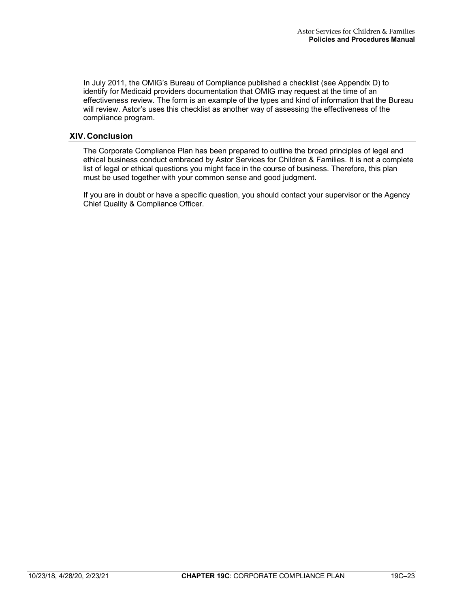In July 2011, the OMIG's Bureau of Compliance published a checklist (see Appendix D) to identify for Medicaid providers documentation that OMIG may request at the time of an effectiveness review. The form is an example of the types and kind of information that the Bureau will review. Astor's uses this checklist as another way of assessing the effectiveness of the compliance program.

### **XIV.Conclusion**

The Corporate Compliance Plan has been prepared to outline the broad principles of legal and ethical business conduct embraced by Astor Services for Children & Families. It is not a complete list of legal or ethical questions you might face in the course of business. Therefore, this plan must be used together with your common sense and good judgment.

If you are in doubt or have a specific question, you should contact your supervisor or the Agency Chief Quality & Compliance Officer.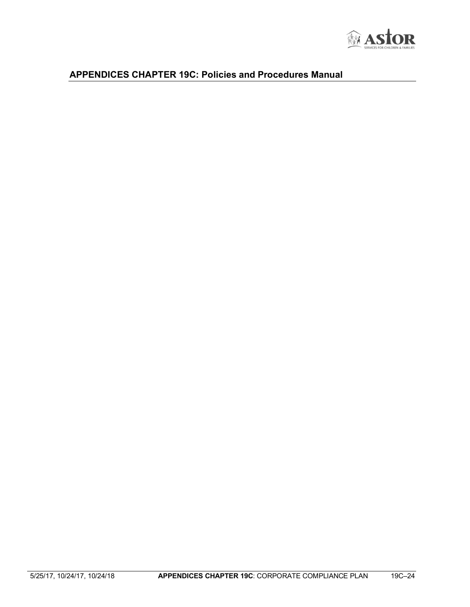

# **APPENDICES CHAPTER 19C: Policies and Procedures Manual**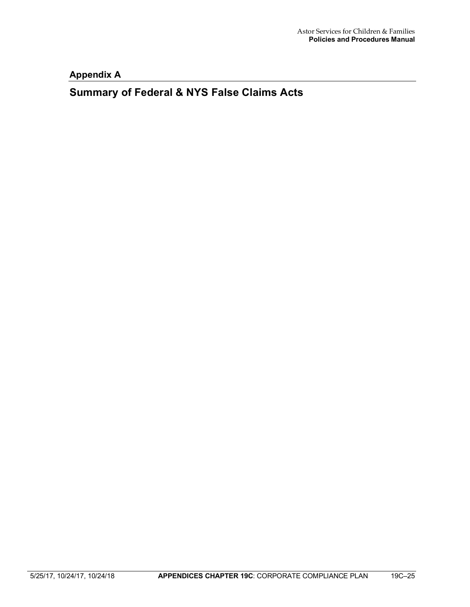**Appendix A**

# **Summary of Federal & NYS False Claims Acts**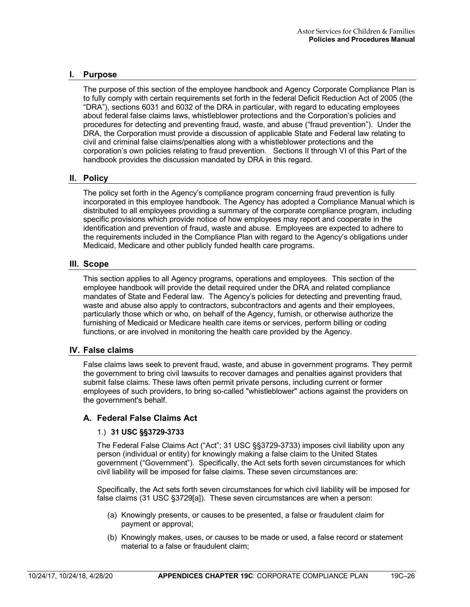# **I. Purpose**

The purpose of this section of the employee handbook and Agency Corporate Compliance Plan is to fully comply with certain requirements set forth in the federal Deficit Reduction Act of 2005 (the "DRA"), sections 6031 and 6032 of the DRA in particular, with regard to educating employees about federal false claims laws, whistleblower protections and the Corporation's policies and procedures for detecting and preventing fraud, waste, and abuse ("fraud prevention"). Under the DRA, the Corporation must provide a discussion of applicable State and Federal law relating to civil and criminal false claims/penalties along with a whistleblower protections and the corporation's own policies relating to fraud prevention. Sections II through VI of this Part of the handbook provides the discussion mandated by DRA in this regard.

# **II. Policy**

The policy set forth in the Agency's compliance program concerning fraud prevention is fully incorporated in this employee handbook. The Agency has adopted a Compliance Manual which is distributed to all employees providing a summary of the corporate compliance program, including specific provisions which provide notice of how employees may report and cooperate in the identification and prevention of fraud, waste and abuse. Employees are expected to adhere to the requirements included in the Compliance Plan with regard to the Agency's obligations under Medicaid, Medicare and other publicly funded health care programs.

# **III. Scope**

This section applies to all Agency programs, operations and employees. This section of the employee handbook will provide the detail required under the DRA and related compliance mandates of State and Federal law. The Agency's policies for detecting and preventing fraud, waste and abuse also apply to contractors, subcontractors and agents and their employees, particularly those which or who, on behalf of the Agency, furnish, or otherwise authorize the furnishing of Medicaid or Medicare health care items or services, perform billing or coding functions, or are involved in monitoring the health care provided by the Agency.

# **IV. False claims**

False claims laws seek to prevent fraud, waste, and abuse in government programs. They permit the government to bring civil lawsuits to recover damages and penalties against providers that submit false claims. These laws often permit private persons, including current or former employees of such providers, to bring so-called "whistleblower" actions against the providers on the government's behalf.

# **A. Federal False Claims Act**

# 1.) **31 USC §§3729-3733**

The Federal False Claims Act ("Act"; 31 USC §§3729-3733) imposes civil liability upon any person (individual or entity) for knowingly making a false claim to the United States government ("Government"). Specifically, the Act sets forth seven circumstances for which civil liability will be imposed for false claims. These seven circumstances are:

Specifically, the Act sets forth seven circumstances for which civil liability will be imposed for false claims (31 USC §3729[a]). These seven circumstances are when a person:

- (a) Knowingly presents, or causes to be presented, a false or fraudulent claim for payment or approval;
- (b) Knowingly makes, uses, or causes to be made or used, a false record or statement material to a false or fraudulent claim;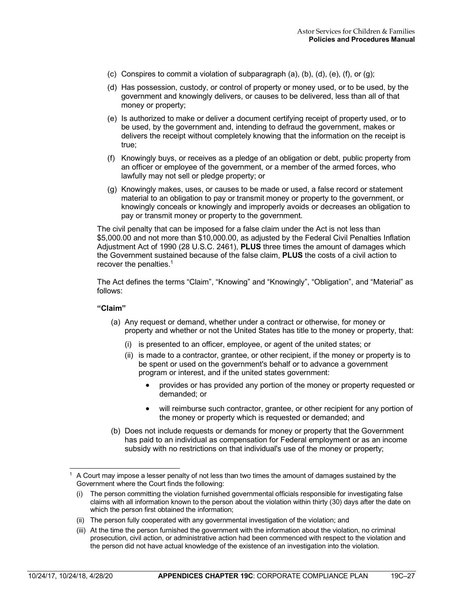- (c) Conspires to commit a violation of subparagraph  $(a)$ ,  $(b)$ ,  $(d)$ ,  $(e)$ ,  $(f)$ , or  $(q)$ ;
- (d) Has possession, custody, or control of property or money used, or to be used, by the government and knowingly delivers, or causes to be delivered, less than all of that money or property;
- (e) Is authorized to make or deliver a document certifying receipt of property used, or to be used, by the government and, intending to defraud the government, makes or delivers the receipt without completely knowing that the information on the receipt is true;
- (f) Knowingly buys, or receives as a pledge of an obligation or debt, public property from an officer or employee of the government, or a member of the armed forces, who lawfully may not sell or pledge property; or
- (g) Knowingly makes, uses, or causes to be made or used, a false record or statement material to an obligation to pay or transmit money or property to the government, or knowingly conceals or knowingly and improperly avoids or decreases an obligation to pay or transmit money or property to the government.

The civil penalty that can be imposed for a false claim under the Act is not less than \$5,000.00 and not more than \$10,000.00, as adjusted by the Federal Civil Penalties Inflation Adjustment Act of 1990 (28 U.S.C. 2461), **PLUS** three times the amount of damages which the Government sustained because of the false claim, **PLUS** the costs of a civil action to recover the penalties.<sup>1</sup>

The Act defines the terms "Claim", "Knowing" and "Knowingly", "Obligation", and "Material" as follows:

### **"Claim"**

- (a) Any request or demand, whether under a contract or otherwise, for money or property and whether or not the United States has title to the money or property, that:
	- (i) is presented to an officer, employee, or agent of the united states; or
	- (ii) is made to a contractor, grantee, or other recipient, if the money or property is to be spent or used on the government's behalf or to advance a government program or interest, and if the united states government:
		- provides or has provided any portion of the money or property requested or demanded; or
		- will reimburse such contractor, grantee, or other recipient for any portion of the money or property which is requested or demanded; and
- (b) Does not include requests or demands for money or property that the Government has paid to an individual as compensation for Federal employment or as an income subsidy with no restrictions on that individual's use of the money or property;

- (ii) The person fully cooperated with any governmental investigation of the violation; and
- (iii) At the time the person furnished the government with the information about the violation, no criminal prosecution, civil action, or administrative action had been commenced with respect to the violation and the person did not have actual knowledge of the existence of an investigation into the violation.

 <sup>1</sup> A Court may impose a lesser penalty of not less than two times the amount of damages sustained by the Government where the Court finds the following:

<sup>(</sup>i) The person committing the violation furnished governmental officials responsible for investigating false claims with all information known to the person about the violation within thirty (30) days after the date on which the person first obtained the information;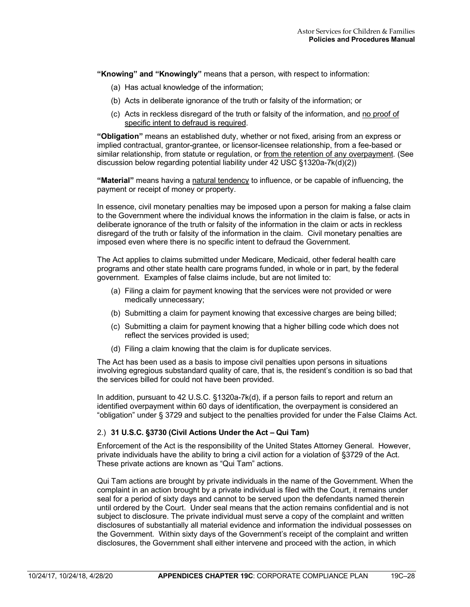**"Knowing" and "Knowingly"** means that a person, with respect to information:

- (a) Has actual knowledge of the information;
- (b) Acts in deliberate ignorance of the truth or falsity of the information; or
- (c) Acts in reckless disregard of the truth or falsity of the information, and no proof of specific intent to defraud is required.

**"Obligation"** means an established duty, whether or not fixed, arising from an express or implied contractual, grantor-grantee, or licensor-licensee relationship, from a fee-based or similar relationship, from statute or regulation, or from the retention of any overpayment. (See discussion below regarding potential liability under 42 USC §1320a-7k(d)(2))

**"Material"** means having a natural tendency to influence, or be capable of influencing, the payment or receipt of money or property.

In essence, civil monetary penalties may be imposed upon a person for making a false claim to the Government where the individual knows the information in the claim is false, or acts in deliberate ignorance of the truth or falsity of the information in the claim or acts in reckless disregard of the truth or falsity of the information in the claim. Civil monetary penalties are imposed even where there is no specific intent to defraud the Government.

The Act applies to claims submitted under Medicare, Medicaid, other federal health care programs and other state health care programs funded, in whole or in part, by the federal government. Examples of false claims include, but are not limited to:

- (a) Filing a claim for payment knowing that the services were not provided or were medically unnecessary;
- (b) Submitting a claim for payment knowing that excessive charges are being billed;
- (c) Submitting a claim for payment knowing that a higher billing code which does not reflect the services provided is used;
- (d) Filing a claim knowing that the claim is for duplicate services.

The Act has been used as a basis to impose civil penalties upon persons in situations involving egregious substandard quality of care, that is, the resident's condition is so bad that the services billed for could not have been provided.

In addition, pursuant to 42 U.S.C. §1320a-7k(d), if a person fails to report and return an identified overpayment within 60 days of identification, the overpayment is considered an "obligation" under § 3729 and subject to the penalties provided for under the False Claims Act.

### 2.) **31 U.S.C. §3730 (Civil Actions Under the Act – Qui Tam)**

Enforcement of the Act is the responsibility of the United States Attorney General. However, private individuals have the ability to bring a civil action for a violation of §3729 of the Act. These private actions are known as "Qui Tam" actions.

Qui Tam actions are brought by private individuals in the name of the Government. When the complaint in an action brought by a private individual is filed with the Court, it remains under seal for a period of sixty days and cannot to be served upon the defendants named therein until ordered by the Court. Under seal means that the action remains confidential and is not subject to disclosure. The private individual must serve a copy of the complaint and written disclosures of substantially all material evidence and information the individual possesses on the Government. Within sixty days of the Government's receipt of the complaint and written disclosures, the Government shall either intervene and proceed with the action, in which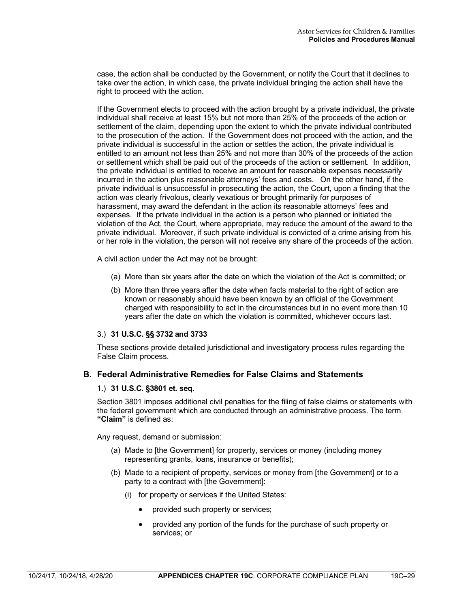case, the action shall be conducted by the Government, or notify the Court that it declines to take over the action, in which case, the private individual bringing the action shall have the right to proceed with the action.

If the Government elects to proceed with the action brought by a private individual, the private individual shall receive at least 15% but not more than 25% of the proceeds of the action or settlement of the claim, depending upon the extent to which the private individual contributed to the prosecution of the action. If the Government does not proceed with the action, and the private individual is successful in the action or settles the action, the private individual is entitled to an amount not less than 25% and not more than 30% of the proceeds of the action or settlement which shall be paid out of the proceeds of the action or settlement. In addition, the private individual is entitled to receive an amount for reasonable expenses necessarily incurred in the action plus reasonable attorneys' fees and costs. On the other hand, if the private individual is unsuccessful in prosecuting the action, the Court, upon a finding that the action was clearly frivolous, clearly vexatious or brought primarily for purposes of harassment, may award the defendant in the action its reasonable attorneys' fees and expenses. If the private individual in the action is a person who planned or initiated the violation of the Act, the Court, where appropriate, may reduce the amount of the award to the private individual. Moreover, if such private individual is convicted of a crime arising from his or her role in the violation, the person will not receive any share of the proceeds of the action.

A civil action under the Act may not be brought:

- (a) More than six years after the date on which the violation of the Act is committed; or
- (b) More than three years after the date when facts material to the right of action are known or reasonably should have been known by an official of the Government charged with responsibility to act in the circumstances but in no event more than 10 years after the date on which the violation is committed, whichever occurs last.

### 3.) **31 U.S.C. §§ 3732 and 3733**

These sections provide detailed jurisdictional and investigatory process rules regarding the False Claim process.

### **B. Federal Administrative Remedies for False Claims and Statements**

### 1.) **31 U.S.C. §3801 et. seq.**

Section 3801 imposes additional civil penalties for the filing of false claims or statements with the federal government which are conducted through an administrative process. The term **"Claim"** is defined as:

Any request, demand or submission:

- (a) Made to [the Government] for property, services or money (including money representing grants, loans, insurance or benefits);
- (b) Made to a recipient of property, services or money from [the Government] or to a party to a contract with [the Government]:
	- (i) for property or services if the United States:
		- provided such property or services;
		- provided any portion of the funds for the purchase of such property or services; or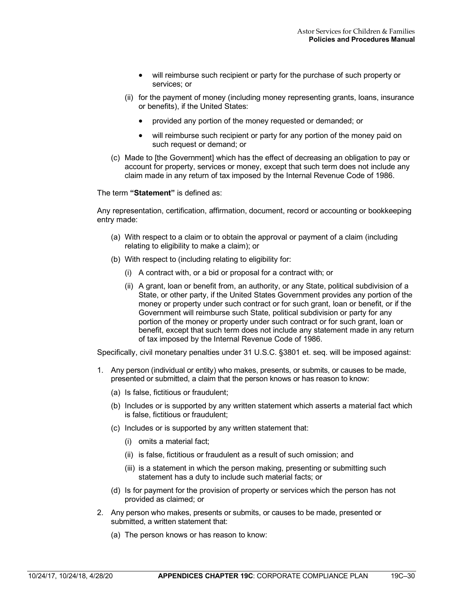- will reimburse such recipient or party for the purchase of such property or services; or
- (ii) for the payment of money (including money representing grants, loans, insurance or benefits), if the United States:
	- provided any portion of the money requested or demanded; or
	- will reimburse such recipient or party for any portion of the money paid on such request or demand; or
- (c) Made to [the Government] which has the effect of decreasing an obligation to pay or account for property, services or money, except that such term does not include any claim made in any return of tax imposed by the Internal Revenue Code of 1986.

The term **"Statement"** is defined as:

Any representation, certification, affirmation, document, record or accounting or bookkeeping entry made:

- (a) With respect to a claim or to obtain the approval or payment of a claim (including relating to eligibility to make a claim); or
- (b) With respect to (including relating to eligibility for:
	- (i) A contract with, or a bid or proposal for a contract with; or
	- (ii) A grant, loan or benefit from, an authority, or any State, political subdivision of a State, or other party, if the United States Government provides any portion of the money or property under such contract or for such grant, loan or benefit, or if the Government will reimburse such State, political subdivision or party for any portion of the money or property under such contract or for such grant, loan or benefit, except that such term does not include any statement made in any return of tax imposed by the Internal Revenue Code of 1986.

Specifically, civil monetary penalties under 31 U.S.C. §3801 et. seq. will be imposed against:

- 1. Any person (individual or entity) who makes, presents, or submits, or causes to be made, presented or submitted, a claim that the person knows or has reason to know:
	- (a) Is false, fictitious or fraudulent;
	- (b) Includes or is supported by any written statement which asserts a material fact which is false, fictitious or fraudulent;
	- (c) Includes or is supported by any written statement that:
		- (i) omits a material fact;
		- (ii) is false, fictitious or fraudulent as a result of such omission; and
		- (iii) is a statement in which the person making, presenting or submitting such statement has a duty to include such material facts; or
	- (d) Is for payment for the provision of property or services which the person has not provided as claimed; or
- 2. Any person who makes, presents or submits, or causes to be made, presented or submitted, a written statement that:
	- (a) The person knows or has reason to know: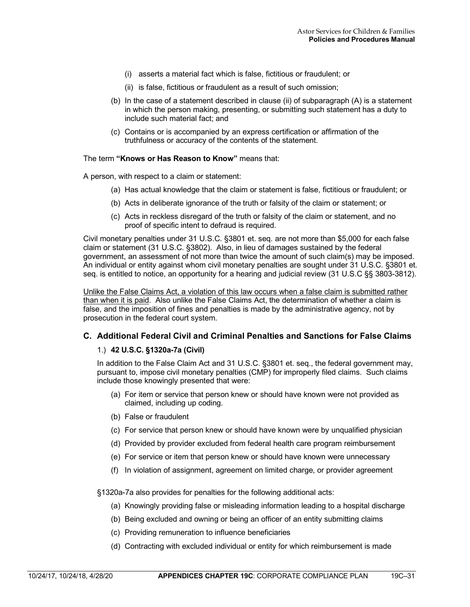- (i) asserts a material fact which is false, fictitious or fraudulent; or
- (ii) is false, fictitious or fraudulent as a result of such omission;
- (b) In the case of a statement described in clause (ii) of subparagraph (A) is a statement in which the person making, presenting, or submitting such statement has a duty to include such material fact; and
- (c) Contains or is accompanied by an express certification or affirmation of the truthfulness or accuracy of the contents of the statement.

### The term **"Knows or Has Reason to Know"** means that:

A person, with respect to a claim or statement:

- (a) Has actual knowledge that the claim or statement is false, fictitious or fraudulent; or
- (b) Acts in deliberate ignorance of the truth or falsity of the claim or statement; or
- (c) Acts in reckless disregard of the truth or falsity of the claim or statement, and no proof of specific intent to defraud is required.

Civil monetary penalties under 31 U.S.C. §3801 et. seq. are not more than \$5,000 for each false claim or statement (31 U.S.C. §3802). Also, in lieu of damages sustained by the federal government, an assessment of not more than twice the amount of such claim(s) may be imposed. An individual or entity against whom civil monetary penalties are sought under 31 U.S.C. §3801 et. seq. is entitled to notice, an opportunity for a hearing and judicial review (31 U.S.C §§ 3803-3812).

Unlike the False Claims Act, a violation of this law occurs when a false claim is submitted rather than when it is paid. Also unlike the False Claims Act, the determination of whether a claim is false, and the imposition of fines and penalties is made by the administrative agency, not by prosecution in the federal court system.

### **C. Additional Federal Civil and Criminal Penalties and Sanctions for False Claims**

### 1.) **42 U.S.C. §1320a-7a (Civil)**

In addition to the False Claim Act and 31 U.S.C. §3801 et. seq., the federal government may, pursuant to, impose civil monetary penalties (CMP) for improperly filed claims. Such claims include those knowingly presented that were:

- (a) For item or service that person knew or should have known were not provided as claimed, including up coding.
- (b) False or fraudulent
- (c) For service that person knew or should have known were by unqualified physician
- (d) Provided by provider excluded from federal health care program reimbursement
- (e) For service or item that person knew or should have known were unnecessary
- (f) In violation of assignment, agreement on limited charge, or provider agreement

§1320a-7a also provides for penalties for the following additional acts:

- (a) Knowingly providing false or misleading information leading to a hospital discharge
- (b) Being excluded and owning or being an officer of an entity submitting claims
- (c) Providing remuneration to influence beneficiaries
- (d) Contracting with excluded individual or entity for which reimbursement is made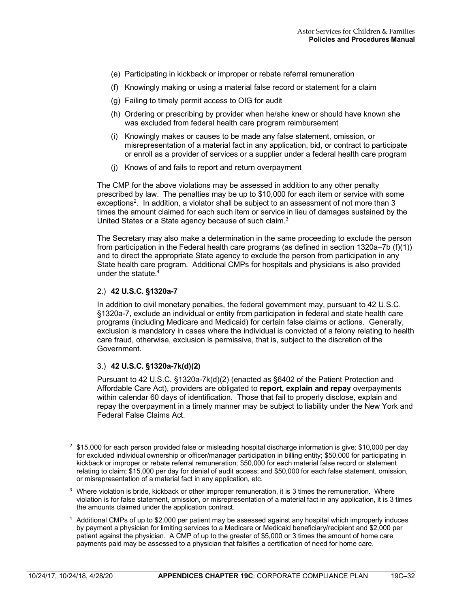- (e) Participating in kickback or improper or rebate referral remuneration
- (f) Knowingly making or using a material false record or statement for a claim
- (g) Failing to timely permit access to OIG for audit
- (h) Ordering or prescribing by provider when he/she knew or should have known she was excluded from federal health care program reimbursement
- (i) Knowingly makes or causes to be made any false statement, omission, or misrepresentation of a material fact in any application, bid, or contract to participate or enroll as a provider of services or a supplier under a federal health care program
- (j) Knows of and fails to report and return overpayment

The CMP for the above violations may be assessed in addition to any other penalty prescribed by law. The penalties may be up to \$10,000 for each item or service with some exceptions<sup>2</sup>. In addition, a violator shall be subject to an assessment of not more than 3 times the amount claimed for each such item or service in lieu of damages sustained by the United States or a State agency because of such claim.<sup>3</sup>

The Secretary may also make a determination in the same proceeding to exclude the person from participation in the Federal health care programs (as defined in section 1320a–7b (f)(1)) and to direct the appropriate State agency to exclude the person from participation in any State health care program. Additional CMPs for hospitals and physicians is also provided under the statute  $4$ 

# 2.) **42 U.S.C. §1320a-7**

In addition to civil monetary penalties, the federal government may, pursuant to 42 U.S.C. §1320a-7, exclude an individual or entity from participation in federal and state health care programs (including Medicare and Medicaid) for certain false claims or actions. Generally, exclusion is mandatory in cases where the individual is convicted of a felony relating to health care fraud, otherwise, exclusion is permissive, that is, subject to the discretion of the Government.

# 3.) **42 U.S.C. §1320a-7k(d)(2)**

Pursuant to 42 U.S.C. §1320a-7k(d)(2) (enacted as §6402 of the Patient Protection and Affordable Care Act), providers are obligated to **report, explain and repay** overpayments within calendar 60 days of identification. Those that fail to properly disclose, explain and repay the overpayment in a timely manner may be subject to liability under the New York and Federal False Claims Act.

<sup>&</sup>lt;sup>2</sup> \$15,000 for each person provided false or misleading hospital discharge information is give; \$10,000 per day for excluded individual ownership or officer/manager participation in billing entity; \$50,000 for participating in kickback or improper or rebate referral remuneration; \$50,000 for each material false record or statement relating to claim; \$15,000 per day for denial of audit access; and \$50,000 for each false statement, omission, or misrepresentation of a material fact in any application, etc.

 $3$  Where violation is bride, kickback or other improper remuneration, it is 3 times the remuneration. Where violation is for false statement, omission, or misrepresentation of a material fact in any application, it is 3 times the amounts claimed under the application contract.

<sup>4</sup> Additional CMPs of up to \$2,000 per patient may be assessed against any hospital which improperly induces by payment a physician for limiting services to a Medicare or Medicaid beneficiary/recipient and \$2,000 per patient against the physician. A CMP of up to the greater of \$5,000 or 3 times the amount of home care payments paid may be assessed to a physician that falsifies a certification of need for home care.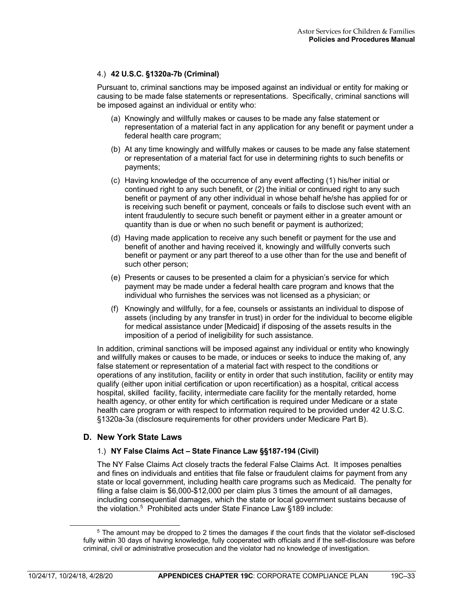# 4.) **42 U.S.C. §1320a-7b (Criminal)**

Pursuant to, criminal sanctions may be imposed against an individual or entity for making or causing to be made false statements or representations. Specifically, criminal sanctions will be imposed against an individual or entity who:

- (a) Knowingly and willfully makes or causes to be made any false statement or representation of a material fact in any application for any benefit or payment under a federal health care program;
- (b) At any time knowingly and willfully makes or causes to be made any false statement or representation of a material fact for use in determining rights to such benefits or payments;
- (c) Having knowledge of the occurrence of any event affecting (1) his/her initial or continued right to any such benefit, or (2) the initial or continued right to any such benefit or payment of any other individual in whose behalf he/she has applied for or is receiving such benefit or payment, conceals or fails to disclose such event with an intent fraudulently to secure such benefit or payment either in a greater amount or quantity than is due or when no such benefit or payment is authorized;
- (d) Having made application to receive any such benefit or payment for the use and benefit of another and having received it, knowingly and willfully converts such benefit or payment or any part thereof to a use other than for the use and benefit of such other person;
- (e) Presents or causes to be presented a claim for a physician's service for which payment may be made under a federal health care program and knows that the individual who furnishes the services was not licensed as a physician; or
- (f) Knowingly and willfully, for a fee, counsels or assistants an individual to dispose of assets (including by any transfer in trust) in order for the individual to become eligible for medical assistance under [Medicaid] if disposing of the assets results in the imposition of a period of ineligibility for such assistance.

In addition, criminal sanctions will be imposed against any individual or entity who knowingly and willfully makes or causes to be made, or induces or seeks to induce the making of, any false statement or representation of a material fact with respect to the conditions or operations of any institution, facility or entity in order that such institution, facility or entity may qualify (either upon initial certification or upon recertification) as a hospital, critical access hospital, skilled facility, facility, intermediate care facility for the mentally retarded, home health agency, or other entity for which certification is required under Medicare or a state health care program or with respect to information required to be provided under 42 U.S.C. §1320a-3a (disclosure requirements for other providers under Medicare Part B).

### **D. New York State Laws**

### 1.) **NY False Claims Act – State Finance Law §§187-194 (Civil)**

The NY False Claims Act closely tracts the federal False Claims Act. It imposes penalties and fines on individuals and entities that file false or fraudulent claims for payment from any state or local government, including health care programs such as Medicaid. The penalty for filing a false claim is \$6,000-\$12,000 per claim plus 3 times the amount of all damages, including consequential damages, which the state or local government sustains because of the violation.<sup>5</sup> Prohibited acts under State Finance Law §189 include:

 <sup>5</sup> The amount may be dropped to 2 times the damages if the court finds that the violator self-disclosed fully within 30 days of having knowledge, fully cooperated with officials and if the self-disclosure was before criminal, civil or administrative prosecution and the violator had no knowledge of investigation.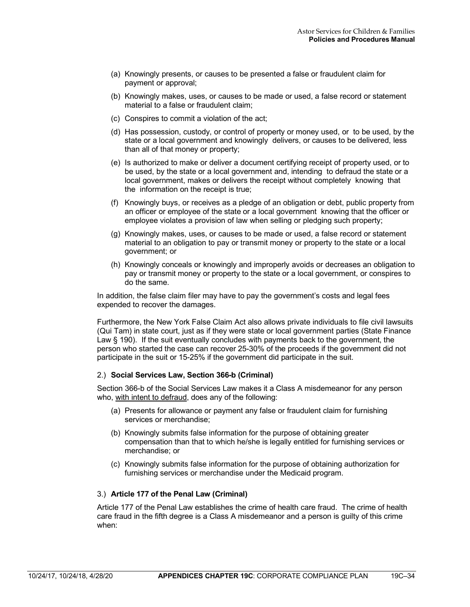- (a) Knowingly presents, or causes to be presented a false or fraudulent claim for payment or approval;
- (b) Knowingly makes, uses, or causes to be made or used, a false record or statement material to a false or fraudulent claim;
- (c) Conspires to commit a violation of the act;
- (d) Has possession, custody, or control of property or money used, or to be used, by the state or a local government and knowingly delivers, or causes to be delivered, less than all of that money or property;
- (e) Is authorized to make or deliver a document certifying receipt of property used, or to be used, by the state or a local government and, intending to defraud the state or a local government, makes or delivers the receipt without completely knowing that the information on the receipt is true;
- (f) Knowingly buys, or receives as a pledge of an obligation or debt, public property from an officer or employee of the state or a local government knowing that the officer or employee violates a provision of law when selling or pledging such property;
- (g) Knowingly makes, uses, or causes to be made or used, a false record or statement material to an obligation to pay or transmit money or property to the state or a local government; or
- (h) Knowingly conceals or knowingly and improperly avoids or decreases an obligation to pay or transmit money or property to the state or a local government, or conspires to do the same.

In addition, the false claim filer may have to pay the government's costs and legal fees expended to recover the damages.

Furthermore, the New York False Claim Act also allows private individuals to file civil lawsuits (Qui Tam) in state court, just as if they were state or local government parties (State Finance Law § 190). If the suit eventually concludes with payments back to the government, the person who started the case can recover 25-30% of the proceeds if the government did not participate in the suit or 15-25% if the government did participate in the suit.

### 2.) **Social Services Law, Section 366-b (Criminal)**

Section 366-b of the Social Services Law makes it a Class A misdemeanor for any person who, with intent to defraud, does any of the following:

- (a) Presents for allowance or payment any false or fraudulent claim for furnishing services or merchandise;
- (b) Knowingly submits false information for the purpose of obtaining greater compensation than that to which he/she is legally entitled for furnishing services or merchandise; or
- (c) Knowingly submits false information for the purpose of obtaining authorization for furnishing services or merchandise under the Medicaid program.

### 3.) **Article 177 of the Penal Law (Criminal)**

Article 177 of the Penal Law establishes the crime of health care fraud. The crime of health care fraud in the fifth degree is a Class A misdemeanor and a person is guilty of this crime when: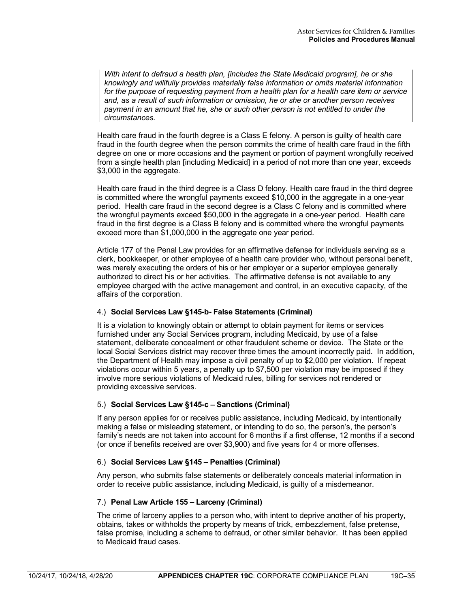*With intent to defraud a health plan, [includes the State Medicaid program], he or she knowingly and willfully provides materially false information or omits material information for the purpose of requesting payment from a health plan for a health care item or service and, as a result of such information or omission, he or she or another person receives payment in an amount that he, she or such other person is not entitled to under the circumstances.* 

Health care fraud in the fourth degree is a Class E felony. A person is guilty of health care fraud in the fourth degree when the person commits the crime of health care fraud in the fifth degree on one or more occasions and the payment or portion of payment wrongfully received from a single health plan [including Medicaid] in a period of not more than one year, exceeds \$3,000 in the aggregate.

Health care fraud in the third degree is a Class D felony. Health care fraud in the third degree is committed where the wrongful payments exceed \$10,000 in the aggregate in a one-year period. Health care fraud in the second degree is a Class C felony and is committed where the wrongful payments exceed \$50,000 in the aggregate in a one-year period. Health care fraud in the first degree is a Class B felony and is committed where the wrongful payments exceed more than \$1,000,000 in the aggregate one year period.

Article 177 of the Penal Law provides for an affirmative defense for individuals serving as a clerk, bookkeeper, or other employee of a health care provider who, without personal benefit, was merely executing the orders of his or her employer or a superior employee generally authorized to direct his or her activities. The affirmative defense is not available to any employee charged with the active management and control, in an executive capacity, of the affairs of the corporation.

### 4.) **Social Services Law §145-b- False Statements (Criminal)**

It is a violation to knowingly obtain or attempt to obtain payment for items or services furnished under any Social Services program, including Medicaid, by use of a false statement, deliberate concealment or other fraudulent scheme or device. The State or the local Social Services district may recover three times the amount incorrectly paid. In addition, the Department of Health may impose a civil penalty of up to \$2,000 per violation. If repeat violations occur within 5 years, a penalty up to \$7,500 per violation may be imposed if they involve more serious violations of Medicaid rules, billing for services not rendered or providing excessive services.

### 5.) **Social Services Law §145-c – Sanctions (Criminal)**

If any person applies for or receives public assistance, including Medicaid, by intentionally making a false or misleading statement, or intending to do so, the person's, the person's family's needs are not taken into account for 6 months if a first offense, 12 months if a second (or once if benefits received are over \$3,900) and five years for 4 or more offenses.

### 6.) **Social Services Law §145 – Penalties (Criminal)**

Any person, who submits false statements or deliberately conceals material information in order to receive public assistance, including Medicaid, is guilty of a misdemeanor.

### 7.) **Penal Law Article 155 – Larceny (Criminal)**

The crime of larceny applies to a person who, with intent to deprive another of his property, obtains, takes or withholds the property by means of trick, embezzlement, false pretense, false promise, including a scheme to defraud, or other similar behavior. It has been applied to Medicaid fraud cases.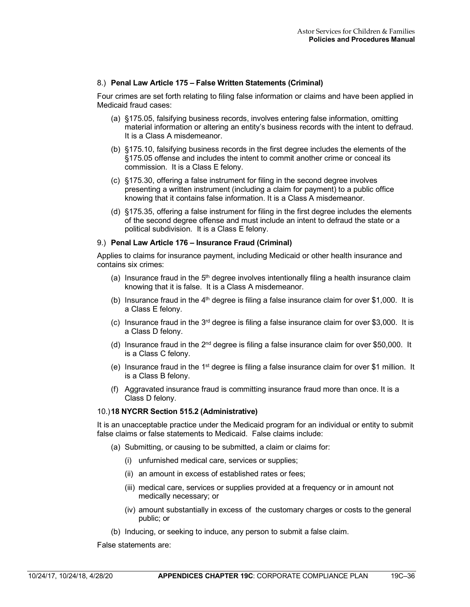### 8.) **Penal Law Article 175 – False Written Statements (Criminal)**

Four crimes are set forth relating to filing false information or claims and have been applied in Medicaid fraud cases:

- (a) §175.05, falsifying business records, involves entering false information, omitting material information or altering an entity's business records with the intent to defraud. It is a Class A misdemeanor.
- (b) §175.10, falsifying business records in the first degree includes the elements of the §175.05 offense and includes the intent to commit another crime or conceal its commission. It is a Class E felony.
- (c) §175.30, offering a false instrument for filing in the second degree involves presenting a written instrument (including a claim for payment) to a public office knowing that it contains false information. It is a Class A misdemeanor.
- (d) §175.35, offering a false instrument for filing in the first degree includes the elements of the second degree offense and must include an intent to defraud the state or a political subdivision. It is a Class E felony.

#### 9.) **Penal Law Article 176 – Insurance Fraud (Criminal)**

Applies to claims for insurance payment, including Medicaid or other health insurance and contains six crimes:

- (a) Insurance fraud in the  $5<sup>th</sup>$  degree involves intentionally filing a health insurance claim knowing that it is false. It is a Class A misdemeanor.
- (b) Insurance fraud in the  $4<sup>th</sup>$  degree is filing a false insurance claim for over \$1,000. It is a Class E felony.
- (c) Insurance fraud in the  $3<sup>rd</sup>$  degree is filing a false insurance claim for over \$3,000. It is a Class D felony.
- (d) Insurance fraud in the  $2<sup>nd</sup>$  degree is filing a false insurance claim for over \$50,000. It is a Class C felony.
- (e) Insurance fraud in the 1<sup>st</sup> degree is filing a false insurance claim for over \$1 million. It is a Class B felony.
- (f) Aggravated insurance fraud is committing insurance fraud more than once. It is a Class D felony.

#### 10.)**18 NYCRR Section 515.2 (Administrative)**

It is an unacceptable practice under the Medicaid program for an individual or entity to submit false claims or false statements to Medicaid. False claims include:

- (a) Submitting, or causing to be submitted, a claim or claims for:
	- (i) unfurnished medical care, services or supplies;
	- (ii) an amount in excess of established rates or fees;
	- (iii) medical care, services or supplies provided at a frequency or in amount not medically necessary; or
	- (iv) amount substantially in excess of the customary charges or costs to the general public; or
- (b) Inducing, or seeking to induce, any person to submit a false claim.

False statements are: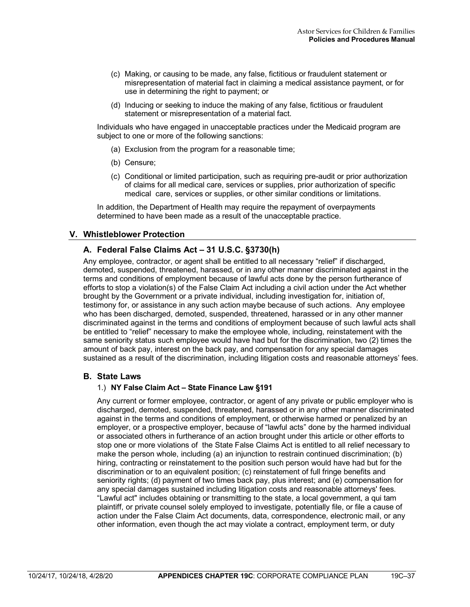- (c) Making, or causing to be made, any false, fictitious or fraudulent statement or misrepresentation of material fact in claiming a medical assistance payment, or for use in determining the right to payment; or
- (d) Inducing or seeking to induce the making of any false, fictitious or fraudulent statement or misrepresentation of a material fact.

Individuals who have engaged in unacceptable practices under the Medicaid program are subject to one or more of the following sanctions:

- (a) Exclusion from the program for a reasonable time;
- (b) Censure;
- (c) Conditional or limited participation, such as requiring pre-audit or prior authorization of claims for all medical care, services or supplies, prior authorization of specific medical care, services or supplies, or other similar conditions or limitations.

In addition, the Department of Health may require the repayment of overpayments determined to have been made as a result of the unacceptable practice.

### **V. Whistleblower Protection**

### **A. Federal False Claims Act – 31 U.S.C. §3730(h)**

Any employee, contractor, or agent shall be entitled to all necessary "relief" if discharged, demoted, suspended, threatened, harassed, or in any other manner discriminated against in the terms and conditions of employment because of lawful acts done by the person furtherance of efforts to stop a violation(s) of the False Claim Act including a civil action under the Act whether brought by the Government or a private individual, including investigation for, initiation of, testimony for, or assistance in any such action maybe because of such actions. Any employee who has been discharged, demoted, suspended, threatened, harassed or in any other manner discriminated against in the terms and conditions of employment because of such lawful acts shall be entitled to "relief" necessary to make the employee whole, including, reinstatement with the same seniority status such employee would have had but for the discrimination, two (2) times the amount of back pay, interest on the back pay, and compensation for any special damages sustained as a result of the discrimination, including litigation costs and reasonable attorneys' fees.

### **B. State Laws**

### 1.) **NY False Claim Act – State Finance Law §191**

Any current or former employee, contractor, or agent of any private or public employer who is discharged, demoted, suspended, threatened, harassed or in any other manner discriminated against in the terms and conditions of employment, or otherwise harmed or penalized by an employer, or a prospective employer, because of "lawful acts" done by the harmed individual or associated others in furtherance of an action brought under this article or other efforts to stop one or more violations of the State False Claims Act is entitled to all relief necessary to make the person whole, including (a) an injunction to restrain continued discrimination; (b) hiring, contracting or reinstatement to the position such person would have had but for the discrimination or to an equivalent position; (c) reinstatement of full fringe benefits and seniority rights; (d) payment of two times back pay, plus interest; and (e) compensation for any special damages sustained including litigation costs and reasonable attorneys' fees. "Lawful act" includes obtaining or transmitting to the state, a local government, a qui tam plaintiff, or private counsel solely employed to investigate, potentially file, or file a cause of action under the False Claim Act documents, data, correspondence, electronic mail, or any other information, even though the act may violate a contract, employment term, or duty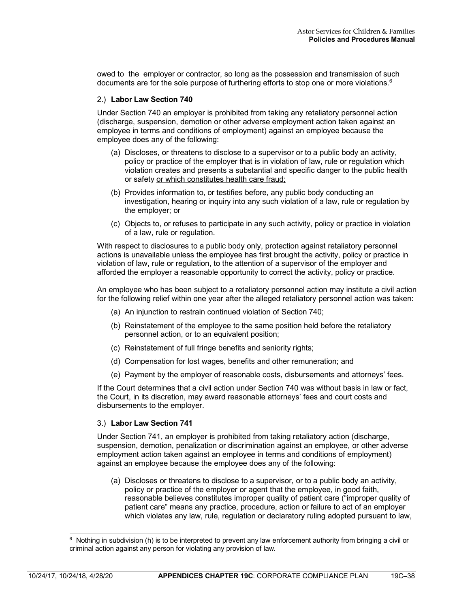owed to the employer or contractor, so long as the possession and transmission of such documents are for the sole purpose of furthering efforts to stop one or more violations.<sup>6</sup>

### 2.) **Labor Law Section 740**

Under Section 740 an employer is prohibited from taking any retaliatory personnel action (discharge, suspension, demotion or other adverse employment action taken against an employee in terms and conditions of employment) against an employee because the employee does any of the following:

- (a) Discloses, or threatens to disclose to a supervisor or to a public body an activity, policy or practice of the employer that is in violation of law, rule or regulation which violation creates and presents a substantial and specific danger to the public health or safety or which constitutes health care fraud;
- (b) Provides information to, or testifies before, any public body conducting an investigation, hearing or inquiry into any such violation of a law, rule or regulation by the employer; or
- (c) Objects to, or refuses to participate in any such activity, policy or practice in violation of a law, rule or regulation.

With respect to disclosures to a public body only, protection against retaliatory personnel actions is unavailable unless the employee has first brought the activity, policy or practice in violation of law, rule or regulation, to the attention of a supervisor of the employer and afforded the employer a reasonable opportunity to correct the activity, policy or practice.

An employee who has been subject to a retaliatory personnel action may institute a civil action for the following relief within one year after the alleged retaliatory personnel action was taken:

- (a) An injunction to restrain continued violation of Section 740;
- (b) Reinstatement of the employee to the same position held before the retaliatory personnel action, or to an equivalent position;
- (c) Reinstatement of full fringe benefits and seniority rights;
- (d) Compensation for lost wages, benefits and other remuneration; and
- (e) Payment by the employer of reasonable costs, disbursements and attorneys' fees.

If the Court determines that a civil action under Section 740 was without basis in law or fact, the Court, in its discretion, may award reasonable attorneys' fees and court costs and disbursements to the employer.

### 3.) **Labor Law Section 741**

Under Section 741, an employer is prohibited from taking retaliatory action (discharge, suspension, demotion, penalization or discrimination against an employee, or other adverse employment action taken against an employee in terms and conditions of employment) against an employee because the employee does any of the following:

(a) Discloses or threatens to disclose to a supervisor, or to a public body an activity, policy or practice of the employer or agent that the employee, in good faith, reasonable believes constitutes improper quality of patient care ("improper quality of patient care" means any practice, procedure, action or failure to act of an employer which violates any law, rule, regulation or declaratory ruling adopted pursuant to law,

<sup>&</sup>lt;sup>6</sup> Nothing in subdivision (h) is to be interpreted to prevent any law enforcement authority from bringing a civil or criminal action against any person for violating any provision of law.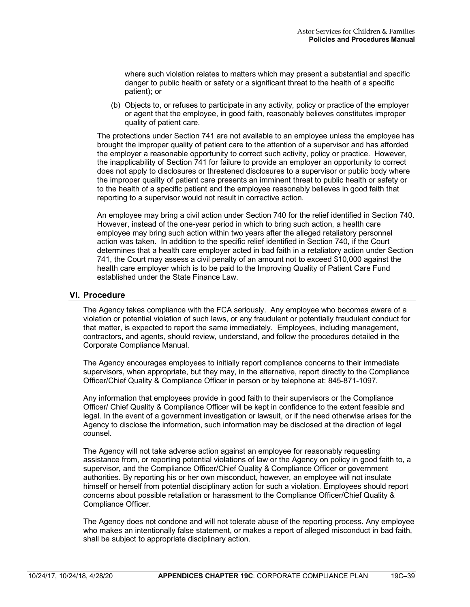where such violation relates to matters which may present a substantial and specific danger to public health or safety or a significant threat to the health of a specific patient); or

(b) Objects to, or refuses to participate in any activity, policy or practice of the employer or agent that the employee, in good faith, reasonably believes constitutes improper quality of patient care.

The protections under Section 741 are not available to an employee unless the employee has brought the improper quality of patient care to the attention of a supervisor and has afforded the employer a reasonable opportunity to correct such activity, policy or practice. However, the inapplicability of Section 741 for failure to provide an employer an opportunity to correct does not apply to disclosures or threatened disclosures to a supervisor or public body where the improper quality of patient care presents an imminent threat to public health or safety or to the health of a specific patient and the employee reasonably believes in good faith that reporting to a supervisor would not result in corrective action.

An employee may bring a civil action under Section 740 for the relief identified in Section 740. However, instead of the one-year period in which to bring such action, a health care employee may bring such action within two years after the alleged retaliatory personnel action was taken. In addition to the specific relief identified in Section 740, if the Court determines that a health care employer acted in bad faith in a retaliatory action under Section 741, the Court may assess a civil penalty of an amount not to exceed \$10,000 against the health care employer which is to be paid to the Improving Quality of Patient Care Fund established under the State Finance Law.

### **VI. Procedure**

The Agency takes compliance with the FCA seriously. Any employee who becomes aware of a violation or potential violation of such laws, or any fraudulent or potentially fraudulent conduct for that matter, is expected to report the same immediately. Employees, including management, contractors, and agents, should review, understand, and follow the procedures detailed in the Corporate Compliance Manual.

The Agency encourages employees to initially report compliance concerns to their immediate supervisors, when appropriate, but they may, in the alternative, report directly to the Compliance Officer/Chief Quality & Compliance Officer in person or by telephone at: 845-871-1097.

Any information that employees provide in good faith to their supervisors or the Compliance Officer/ Chief Quality & Compliance Officer will be kept in confidence to the extent feasible and legal. In the event of a government investigation or lawsuit, or if the need otherwise arises for the Agency to disclose the information, such information may be disclosed at the direction of legal counsel.

The Agency will not take adverse action against an employee for reasonably requesting assistance from, or reporting potential violations of law or the Agency on policy in good faith to, a supervisor, and the Compliance Officer/Chief Quality & Compliance Officer or government authorities. By reporting his or her own misconduct, however, an employee will not insulate himself or herself from potential disciplinary action for such a violation. Employees should report concerns about possible retaliation or harassment to the Compliance Officer/Chief Quality & Compliance Officer.

The Agency does not condone and will not tolerate abuse of the reporting process. Any employee who makes an intentionally false statement, or makes a report of alleged misconduct in bad faith, shall be subject to appropriate disciplinary action.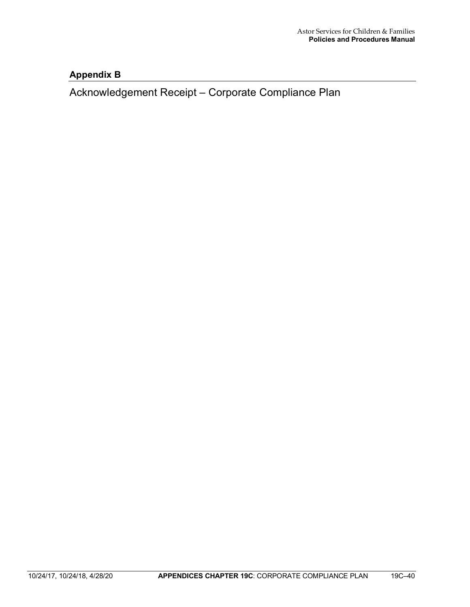# **Appendix B**

Acknowledgement Receipt – Corporate Compliance Plan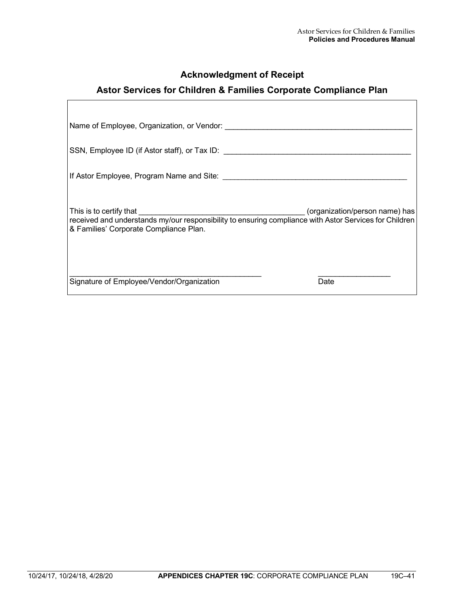٦

# **Acknowledgment of Receipt**

# **Astor Services for Children & Families Corporate Compliance Plan**

| Name of Employee, Organization, or Vendor:                                                                                                                                                                                                                    |      |
|---------------------------------------------------------------------------------------------------------------------------------------------------------------------------------------------------------------------------------------------------------------|------|
| SSN, Employee ID (if Astor staff), or Tax ID: <b>All and Tay ID:</b> All and Tay ID: <b>All and Tay ID:</b> All and Tay ID: <b>All and Tay ID:</b> All and Tay ID: <b>All and Tay ID:</b> All and Tay ID: <b>All and Tay ID:</b> All and Tay ID: <b>All a</b> |      |
| If Astor Employee, Program Name and Site:                                                                                                                                                                                                                     |      |
| & Families' Corporate Compliance Plan.                                                                                                                                                                                                                        |      |
| Signature of Employee/Vendor/Organization                                                                                                                                                                                                                     | Date |

 $\sqrt{ }$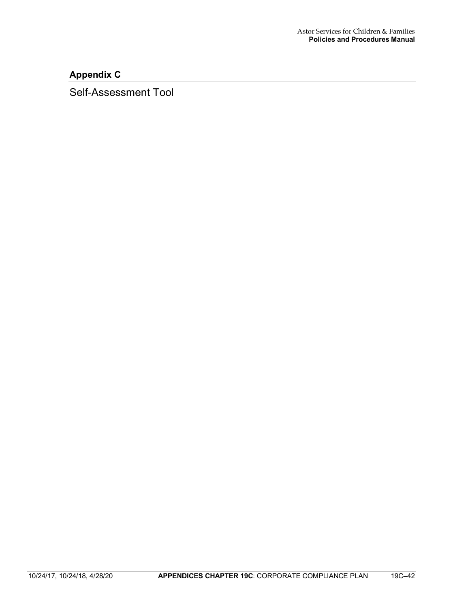# **Appendix C**

Self-Assessment Tool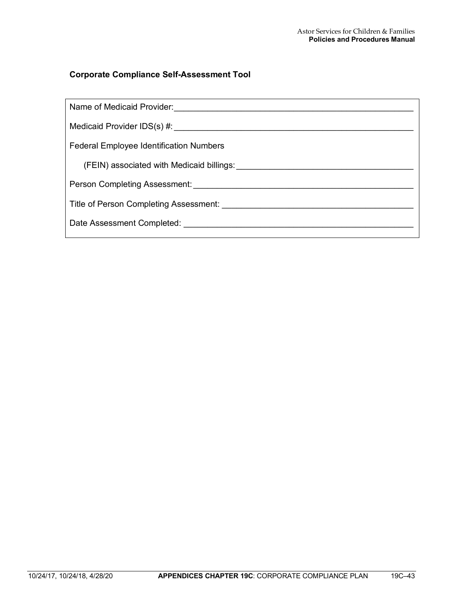# **Corporate Compliance Self-Assessment Tool**

| <b>Federal Employee Identification Numbers</b>                                                                                                                                                                                 |
|--------------------------------------------------------------------------------------------------------------------------------------------------------------------------------------------------------------------------------|
|                                                                                                                                                                                                                                |
|                                                                                                                                                                                                                                |
| Title of Person Completing Assessment:                                                                                                                                                                                         |
| Date Assessment Completed: Note that the example of the set of the set of the set of the set of the set of the set of the set of the set of the set of the set of the set of the set of the set of the set of the set of the s |
|                                                                                                                                                                                                                                |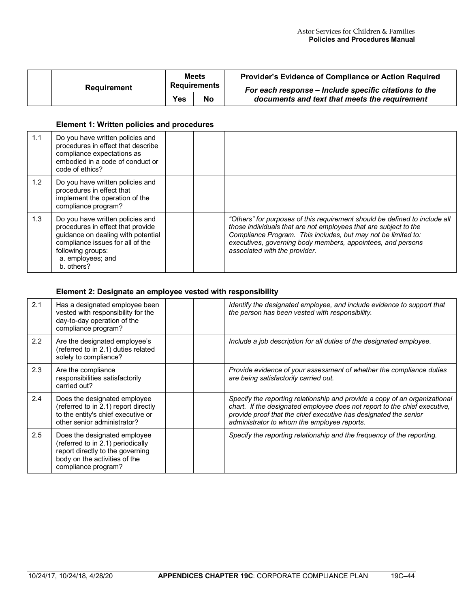| <b>Requirement</b> |     | <b>Meets</b><br><b>Requirements</b> | <b>Provider's Evidence of Compliance or Action Required</b><br>For each response – Include specific citations to the |
|--------------------|-----|-------------------------------------|----------------------------------------------------------------------------------------------------------------------|
|                    | Yes | <b>No</b>                           | documents and text that meets the requirement                                                                        |

## **Element 1: Written policies and procedures**

| 1.1 | Do you have written policies and<br>procedures in effect that describe<br>compliance expectations as<br>embodied in a code of conduct or<br>code of ethics?                                             |  |                                                                                                                                                                                                                                                                                                                 |
|-----|---------------------------------------------------------------------------------------------------------------------------------------------------------------------------------------------------------|--|-----------------------------------------------------------------------------------------------------------------------------------------------------------------------------------------------------------------------------------------------------------------------------------------------------------------|
| 1.2 | Do you have written policies and<br>procedures in effect that<br>implement the operation of the<br>compliance program?                                                                                  |  |                                                                                                                                                                                                                                                                                                                 |
| 1.3 | Do you have written policies and<br>procedures in effect that provide<br>guidance on dealing with potential<br>compliance issues for all of the<br>following groups:<br>a. employees; and<br>b. others? |  | "Others" for purposes of this requirement should be defined to include all<br>those individuals that are not employees that are subject to the<br>Compliance Program. This includes, but may not be limited to:<br>executives, governing body members, appointees, and persons<br>associated with the provider. |

## **Element 2: Designate an employee vested with responsibility**

| 2.1 | Has a designated employee been<br>vested with responsibility for the<br>day-to-day operation of the<br>compliance program?                                    | Identify the designated employee, and include evidence to support that<br>the person has been vested with responsibility.                                                                                                                                                  |
|-----|---------------------------------------------------------------------------------------------------------------------------------------------------------------|----------------------------------------------------------------------------------------------------------------------------------------------------------------------------------------------------------------------------------------------------------------------------|
| 2.2 | Are the designated employee's<br>(referred to in 2.1) duties related<br>solely to compliance?                                                                 | Include a job description for all duties of the designated employee.                                                                                                                                                                                                       |
| 2.3 | Are the compliance<br>responsibilities satisfactorily<br>carried out?                                                                                         | Provide evidence of your assessment of whether the compliance duties<br>are being satisfactorily carried out.                                                                                                                                                              |
| 2.4 | Does the designated employee<br>(referred to in 2.1) report directly<br>to the entity's chief executive or<br>other senior administrator?                     | Specify the reporting relationship and provide a copy of an organizational<br>chart. If the designated employee does not report to the chief executive,<br>provide proof that the chief executive has designated the senior<br>administrator to whom the employee reports. |
| 2.5 | Does the designated employee<br>(referred to in 2.1) periodically<br>report directly to the governing<br>body on the activities of the<br>compliance program? | Specify the reporting relationship and the frequency of the reporting.                                                                                                                                                                                                     |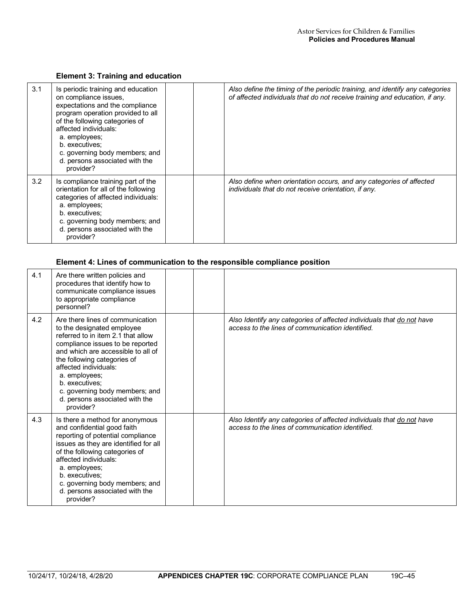### **Element 3: Training and education**

| 3.1 | Is periodic training and education<br>on compliance issues,<br>expectations and the compliance<br>program operation provided to all<br>of the following categories of<br>affected individuals:<br>a. employees;<br>b. executives:<br>c. governing body members; and<br>d. persons associated with the<br>provider? | Also define the timing of the periodic training, and identify any categories<br>of affected individuals that do not receive training and education, if any. |
|-----|--------------------------------------------------------------------------------------------------------------------------------------------------------------------------------------------------------------------------------------------------------------------------------------------------------------------|-------------------------------------------------------------------------------------------------------------------------------------------------------------|
| 3.2 | Is compliance training part of the<br>orientation for all of the following<br>categories of affected individuals:<br>a. employees;<br>b. executives:<br>c. governing body members; and<br>d. persons associated with the<br>provider?                                                                              | Also define when orientation occurs, and any categories of affected<br>individuals that do not receive orientation, if any.                                 |

## **Element 4: Lines of communication to the responsible compliance position**

| 4.1 | Are there written policies and<br>procedures that identify how to<br>communicate compliance issues<br>to appropriate compliance<br>personnel?                                                                                                                                                                                                              |  |                                                                                                                           |
|-----|------------------------------------------------------------------------------------------------------------------------------------------------------------------------------------------------------------------------------------------------------------------------------------------------------------------------------------------------------------|--|---------------------------------------------------------------------------------------------------------------------------|
| 4.2 | Are there lines of communication<br>to the designated employee<br>referred to in item 2.1 that allow<br>compliance issues to be reported<br>and which are accessible to all of<br>the following categories of<br>affected individuals:<br>a. employees;<br>b. executives:<br>c. governing body members; and<br>d. persons associated with the<br>provider? |  | Also Identify any categories of affected individuals that do not have<br>access to the lines of communication identified. |
| 4.3 | Is there a method for anonymous<br>and confidential good faith<br>reporting of potential compliance<br>issues as they are identified for all<br>of the following categories of<br>affected individuals:<br>a. employees;<br>b. executives:<br>c. governing body members; and<br>d. persons associated with the<br>provider?                                |  | Also Identify any categories of affected individuals that do not have<br>access to the lines of communication identified. |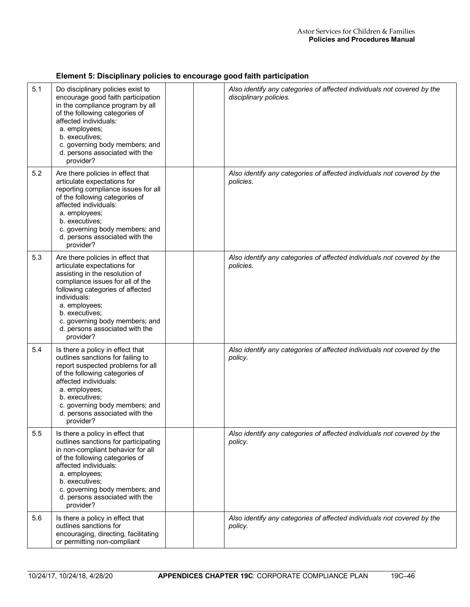### **Element 5: Disciplinary policies to encourage good faith participation**

| 5.1 | Do disciplinary policies exist to<br>encourage good faith participation<br>in the compliance program by all<br>of the following categories of<br>affected individuals:<br>a. employees;<br>b. executives:<br>c. governing body members; and<br>d. persons associated with the<br>provider?                     | Also identify any categories of affected individuals not covered by the<br>disciplinary policies. |
|-----|----------------------------------------------------------------------------------------------------------------------------------------------------------------------------------------------------------------------------------------------------------------------------------------------------------------|---------------------------------------------------------------------------------------------------|
| 5.2 | Are there policies in effect that<br>articulate expectations for<br>reporting compliance issues for all<br>of the following categories of<br>affected individuals:<br>a. employees;<br>b. executives;<br>c. governing body members; and<br>d. persons associated with the<br>provider?                         | Also identify any categories of affected individuals not covered by the<br>policies.              |
| 5.3 | Are there policies in effect that<br>articulate expectations for<br>assisting in the resolution of<br>compliance issues for all of the<br>following categories of affected<br>individuals:<br>a. employees;<br>b. executives;<br>c. governing body members; and<br>d. persons associated with the<br>provider? | Also identify any categories of affected individuals not covered by the<br>policies.              |
| 5.4 | Is there a policy in effect that<br>outlines sanctions for failing to<br>report suspected problems for all<br>of the following categories of<br>affected individuals:<br>a. employees;<br>b. executives;<br>c. governing body members; and<br>d. persons associated with the<br>provider?                      | Also identify any categories of affected individuals not covered by the<br>policy.                |
| 5.5 | Is there a policy in effect that<br>outlines sanctions for participating<br>in non-compliant behavior for all<br>of the following categories of<br>affected individuals:<br>a. employees;<br>b. executives;<br>c. governing body members; and<br>d. persons associated with the<br>provider?                   | Also identify any categories of affected individuals not covered by the<br>policy.                |
| 5.6 | Is there a policy in effect that<br>outlines sanctions for<br>encouraging, directing, facilitating<br>or permitting non-compliant                                                                                                                                                                              | Also identify any categories of affected individuals not covered by the<br>policy.                |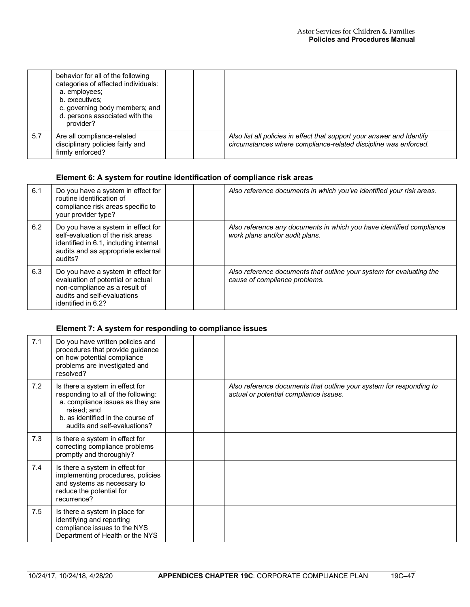|     | behavior for all of the following<br>categories of affected individuals:<br>a. employees;<br>b. executives;<br>c. governing body members; and<br>d. persons associated with the<br>provider? |  |                                                                                                                                           |
|-----|----------------------------------------------------------------------------------------------------------------------------------------------------------------------------------------------|--|-------------------------------------------------------------------------------------------------------------------------------------------|
| 5.7 | Are all compliance-related<br>disciplinary policies fairly and<br>firmly enforced?                                                                                                           |  | Also list all policies in effect that support your answer and Identify<br>circumstances where compliance-related discipline was enforced. |

### **Element 6: A system for routine identification of compliance risk areas**

| 6.1 | Do you have a system in effect for<br>routine identification of<br>compliance risk areas specific to<br>your provider type?                                       | Also reference documents in which you've identified your risk areas.                                   |
|-----|-------------------------------------------------------------------------------------------------------------------------------------------------------------------|--------------------------------------------------------------------------------------------------------|
| 6.2 | Do you have a system in effect for<br>self-evaluation of the risk areas<br>identified in 6.1, including internal<br>audits and as appropriate external<br>audits? | Also reference any documents in which you have identified compliance<br>work plans and/or audit plans. |
| 6.3 | Do you have a system in effect for<br>evaluation of potential or actual<br>non-compliance as a result of<br>audits and self-evaluations<br>identified in 6.2?     | Also reference documents that outline your system for evaluating the<br>cause of compliance problems.  |

### **Element 7: A system for responding to compliance issues**

| 7.1 | Do you have written policies and<br>procedures that provide guidance<br>on how potential compliance<br>problems are investigated and<br>resolved?                                              |  |                                                                                                               |
|-----|------------------------------------------------------------------------------------------------------------------------------------------------------------------------------------------------|--|---------------------------------------------------------------------------------------------------------------|
| 7.2 | Is there a system in effect for<br>responding to all of the following:<br>a. compliance issues as they are<br>raised; and<br>b, as identified in the course of<br>audits and self-evaluations? |  | Also reference documents that outline your system for responding to<br>actual or potential compliance issues. |
| 7.3 | Is there a system in effect for<br>correcting compliance problems<br>promptly and thoroughly?                                                                                                  |  |                                                                                                               |
| 7.4 | Is there a system in effect for<br>implementing procedures, policies<br>and systems as necessary to<br>reduce the potential for<br>recurrence?                                                 |  |                                                                                                               |
| 7.5 | Is there a system in place for<br>identifying and reporting<br>compliance issues to the NYS<br>Department of Health or the NYS                                                                 |  |                                                                                                               |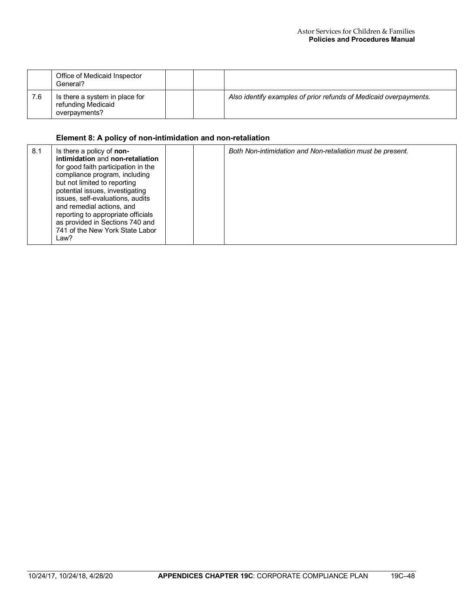|     | Office of Medicaid Inspector<br>General?                              |  |                                                                   |
|-----|-----------------------------------------------------------------------|--|-------------------------------------------------------------------|
| 7.6 | Is there a system in place for<br>refunding Medicaid<br>overpayments? |  | Also identify examples of prior refunds of Medicaid overpayments. |

## **Element 8: A policy of non-intimidation and non-retaliation**

| 8.1 | Is there a policy of non-<br>intimidation and non-retaliation<br>for good faith participation in the<br>compliance program, including<br>but not limited to reporting<br>potential issues, investigating<br>issues, self-evaluations, audits<br>and remedial actions, and<br>reporting to appropriate officials<br>as provided in Sections 740 and<br>741 of the New York State Labor<br>Law? | Both Non-intimidation and Non-retaliation must be present. |
|-----|-----------------------------------------------------------------------------------------------------------------------------------------------------------------------------------------------------------------------------------------------------------------------------------------------------------------------------------------------------------------------------------------------|------------------------------------------------------------|
|-----|-----------------------------------------------------------------------------------------------------------------------------------------------------------------------------------------------------------------------------------------------------------------------------------------------------------------------------------------------------------------------------------------------|------------------------------------------------------------|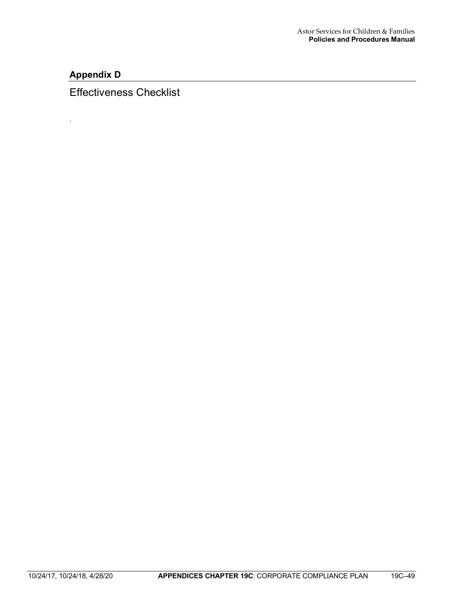# **Appendix D**

.

Effectiveness Checklist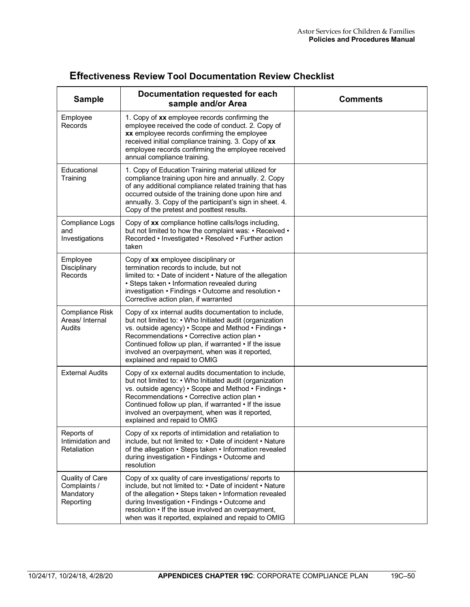| <b>Sample</b>                                             | Documentation requested for each<br>sample and/or Area                                                                                                                                                                                                                                                                                                          | <b>Comments</b> |
|-----------------------------------------------------------|-----------------------------------------------------------------------------------------------------------------------------------------------------------------------------------------------------------------------------------------------------------------------------------------------------------------------------------------------------------------|-----------------|
| Employee<br>Records                                       | 1. Copy of xx employee records confirming the<br>employee received the code of conduct. 2. Copy of<br>xx employee records confirming the employee<br>received initial compliance training. 3. Copy of xx<br>employee records confirming the employee received<br>annual compliance training.                                                                    |                 |
| Educational<br>Training                                   | 1. Copy of Education Training material utilized for<br>compliance training upon hire and annually. 2. Copy<br>of any additional compliance related training that has<br>occurred outside of the training done upon hire and<br>annually. 3. Copy of the participant's sign in sheet. 4.<br>Copy of the pretest and posttest results.                            |                 |
| Compliance Logs<br>and<br>Investigations                  | Copy of xx compliance hotline calls/logs including,<br>but not limited to how the complaint was: • Received •<br>Recorded • Investigated • Resolved • Further action<br>taken                                                                                                                                                                                   |                 |
| Employee<br>Disciplinary<br>Records                       | Copy of xx employee disciplinary or<br>termination records to include, but not<br>limited to: • Date of incident • Nature of the allegation<br>• Steps taken • Information revealed during<br>investigation • Findings • Outcome and resolution •<br>Corrective action plan, if warranted                                                                       |                 |
| <b>Compliance Risk</b><br>Areas/ Internal<br>Audits       | Copy of xx internal audits documentation to include,<br>but not limited to: • Who Initiated audit (organization<br>vs. outside agency) • Scope and Method • Findings •<br>Recommendations • Corrective action plan •<br>Continued follow up plan, if warranted • If the issue<br>involved an overpayment, when was it reported,<br>explained and repaid to OMIG |                 |
| <b>External Audits</b>                                    | Copy of xx external audits documentation to include,<br>but not limited to: • Who Initiated audit (organization<br>vs. outside agency) • Scope and Method • Findings •<br>Recommendations • Corrective action plan •<br>Continued follow up plan, if warranted • If the issue<br>involved an overpayment, when was it reported,<br>explained and repaid to OMIG |                 |
| Reports of<br>Intimidation and<br>Retaliation             | Copy of xx reports of intimidation and retaliation to<br>include, but not limited to: • Date of incident • Nature<br>of the allegation • Steps taken • Information revealed<br>during investigation • Findings • Outcome and<br>resolution                                                                                                                      |                 |
| Quality of Care<br>Complaints /<br>Mandatory<br>Reporting | Copy of xx quality of care investigations/ reports to<br>include, but not limited to: • Date of incident • Nature<br>of the allegation • Steps taken • Information revealed<br>during Investigation • Findings • Outcome and<br>resolution • If the issue involved an overpayment,<br>when was it reported, explained and repaid to OMIG                        |                 |

## **Effectiveness Review Tool Documentation Review Checklist**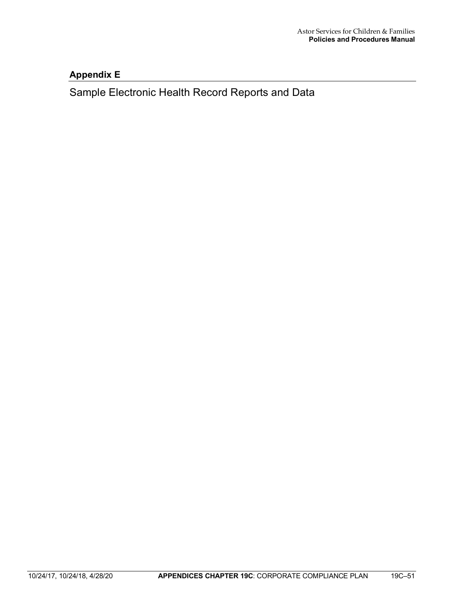# **Appendix E**

Sample Electronic Health Record Reports and Data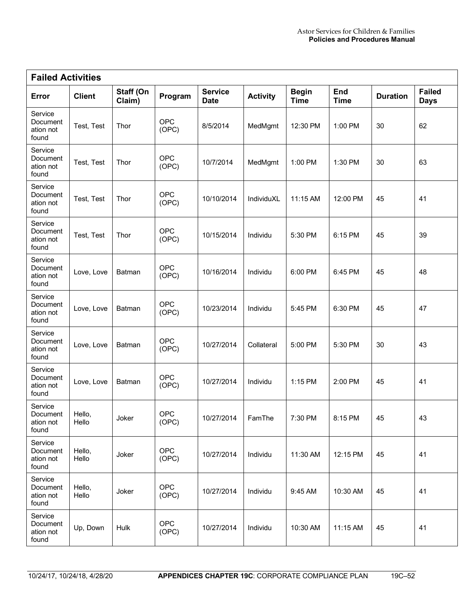| <b>Failed Activities</b>                         |                 |                     |                     |                               |                 |                             |                    |                 |                              |
|--------------------------------------------------|-----------------|---------------------|---------------------|-------------------------------|-----------------|-----------------------------|--------------------|-----------------|------------------------------|
| Error                                            | <b>Client</b>   | Staff (On<br>Claim) | Program             | <b>Service</b><br><b>Date</b> | <b>Activity</b> | <b>Begin</b><br><b>Time</b> | End<br><b>Time</b> | <b>Duration</b> | <b>Failed</b><br><b>Days</b> |
| Service<br><b>Document</b><br>ation not<br>found | Test, Test      | Thor                | OPC<br>(OPC)        | 8/5/2014                      | MedMgmt         | 12:30 PM                    | $1:00$ PM          | 30              | 62                           |
| Service<br><b>Document</b><br>ation not<br>found | Test, Test      | Thor                | <b>OPC</b><br>(OPC) | 10/7/2014                     | MedMgmt         | 1:00 PM                     | 1:30 PM            | 30              | 63                           |
| Service<br>Document<br>ation not<br>found        | Test, Test      | Thor                | <b>OPC</b><br>(OPC) | 10/10/2014                    | IndividuXL      | 11:15 AM                    | 12:00 PM           | 45              | 41                           |
| Service<br>Document<br>ation not<br>found        | Test, Test      | Thor                | <b>OPC</b><br>(OPC) | 10/15/2014                    | Individu        | 5:30 PM                     | 6:15 PM            | 45              | 39                           |
| Service<br>Document<br>ation not<br>found        | Love, Love      | <b>Batman</b>       | OPC<br>(OPC)        | 10/16/2014                    | Individu        | 6:00 PM                     | 6:45 PM            | 45              | 48                           |
| Service<br>Document<br>ation not<br>found        | Love, Love      | <b>Batman</b>       | <b>OPC</b><br>(OPC) | 10/23/2014                    | Individu        | 5:45 PM                     | 6:30 PM            | 45              | 47                           |
| Service<br>Document<br>ation not<br>found        | Love, Love      | <b>Batman</b>       | <b>OPC</b><br>(OPC) | 10/27/2014                    | Collateral      | 5:00 PM                     | 5:30 PM            | 30              | 43                           |
| Service<br>Document<br>ation not<br>found        | Love, Love      | <b>Batman</b>       | <b>OPC</b><br>(OPC) | 10/27/2014                    | Individu        | 1:15 PM                     | 2:00 PM            | 45              | 41                           |
| Service<br>Document<br>ation not<br>found        | Hello,<br>Hello | Joker               | OPC<br>(OPC)        | 10/27/2014                    | FamThe          | 7:30 PM                     | 8:15 PM            | 45              | 43                           |
| Service<br>Document<br>ation not<br>found        | Hello,<br>Hello | Joker               | <b>OPC</b><br>(OPC) | 10/27/2014                    | Individu        | 11:30 AM                    | 12:15 PM           | 45              | 41                           |
| Service<br>Document<br>ation not<br>found        | Hello,<br>Hello | Joker               | <b>OPC</b><br>(OPC) | 10/27/2014                    | Individu        | 9:45 AM                     | 10:30 AM           | 45              | 41                           |
| Service<br>Document<br>ation not<br>found        | Up, Down        | Hulk                | <b>OPC</b><br>(OPC) | 10/27/2014                    | Individu        | 10:30 AM                    | 11:15 AM           | 45              | 41                           |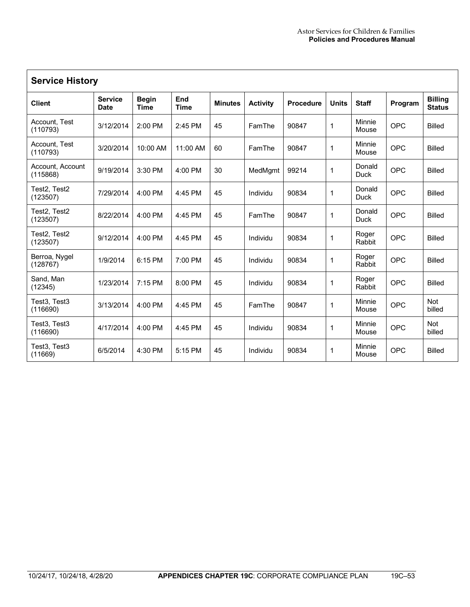| <b>Service History</b>                            |                               |                             |             |                |                 |                  |              |                       |            |                                 |
|---------------------------------------------------|-------------------------------|-----------------------------|-------------|----------------|-----------------|------------------|--------------|-----------------------|------------|---------------------------------|
| <b>Client</b>                                     | <b>Service</b><br><b>Date</b> | <b>Begin</b><br><b>Time</b> | End<br>Time | <b>Minutes</b> | <b>Activity</b> | <b>Procedure</b> | <b>Units</b> | <b>Staff</b>          | Program    | <b>Billing</b><br><b>Status</b> |
| Account, Test<br>(110793)                         | 3/12/2014                     | $2:00$ PM                   | $2:45$ PM   | 45             | FamThe          | 90847            | 1            | Minnie<br>Mouse       | <b>OPC</b> | <b>Billed</b>                   |
| Account. Test<br>(110793)                         | 3/20/2014                     | 10:00 AM                    | 11:00 AM    | 60             | FamThe          | 90847            | 1            | Minnie<br>Mouse       | <b>OPC</b> | <b>Billed</b>                   |
| Account, Account<br>(115868)                      | 9/19/2014                     | 3:30 PM                     | 4:00 PM     | 30             | MedMgmt         | 99214            | 1            | Donald<br><b>Duck</b> | <b>OPC</b> | <b>Billed</b>                   |
| Test2, Test2<br>(123507)                          | 7/29/2014                     | 4:00 PM                     | 4:45 PM     | 45             | Individu        | 90834            | 1            | Donald<br><b>Duck</b> | <b>OPC</b> | <b>Billed</b>                   |
| Test2, Test2<br>(123507)                          | 8/22/2014                     | $4:00$ PM                   | 4:45 PM     | 45             | FamThe          | 90847            | 1            | Donald<br><b>Duck</b> | <b>OPC</b> | <b>Billed</b>                   |
| Test2, Test2<br>(123507)                          | 9/12/2014                     | 4:00 PM                     | 4:45 PM     | 45             | Individu        | 90834            | 1            | Roger<br>Rabbit       | <b>OPC</b> | <b>Billed</b>                   |
| Berroa, Nygel<br>(128767)                         | 1/9/2014                      | 6:15 PM                     | $7:00$ PM   | 45             | Individu        | 90834            | 1            | Roger<br>Rabbit       | <b>OPC</b> | <b>Billed</b>                   |
| Sand, Man<br>(12345)                              | 1/23/2014                     | 7:15 PM                     | 8:00 PM     | 45             | Individu        | 90834            | 1            | Roger<br>Rabbit       | <b>OPC</b> | <b>Billed</b>                   |
| Test <sub>3</sub> . Test <sub>3</sub><br>(116690) | 3/13/2014                     | 4:00 PM                     | 4:45 PM     | 45             | FamThe          | 90847            | 1            | Minnie<br>Mouse       | <b>OPC</b> | Not<br>billed                   |
| Test3, Test3<br>(116690)                          | 4/17/2014                     | 4:00 PM                     | 4:45 PM     | 45             | Individu        | 90834            | 1            | Minnie<br>Mouse       | <b>OPC</b> | Not<br>billed                   |
| Test3, Test3<br>(11669)                           | 6/5/2014                      | 4:30 PM                     | $5:15$ PM   | 45             | Individu        | 90834            | 1            | Minnie<br>Mouse       | <b>OPC</b> | <b>Billed</b>                   |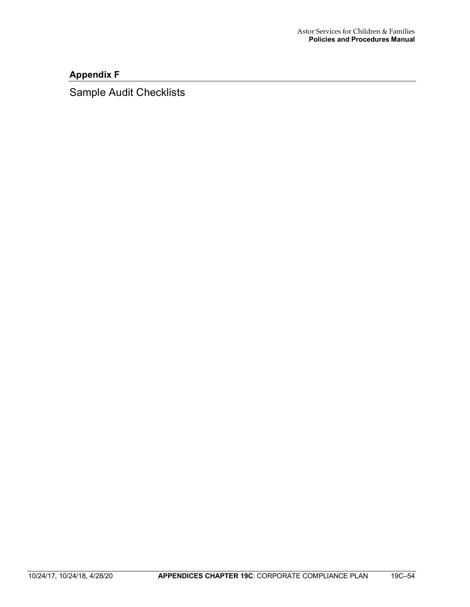# **Appendix F**

Sample Audit Checklists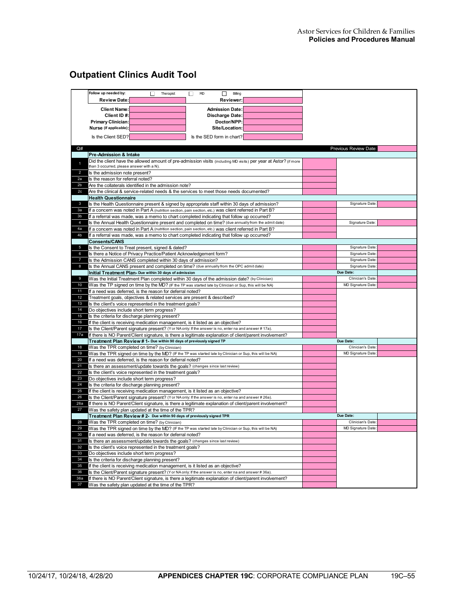# **Outpatient Clinics Audit Tool**

|                     | Follow up needed by:                      | П<br>Therapist                                                                                                                            | $\Box$ MD<br>Billing<br>$\Box$                                                                                   |  |                                  |  |
|---------------------|-------------------------------------------|-------------------------------------------------------------------------------------------------------------------------------------------|------------------------------------------------------------------------------------------------------------------|--|----------------------------------|--|
|                     | <b>Review Date:</b>                       |                                                                                                                                           | Reviewer                                                                                                         |  |                                  |  |
|                     | <b>Client Name:</b>                       |                                                                                                                                           | <b>Admission Date:</b>                                                                                           |  |                                  |  |
|                     | Client ID#:                               |                                                                                                                                           | <b>Discharge Date</b>                                                                                            |  |                                  |  |
|                     | <b>Primary Clinician:</b>                 |                                                                                                                                           | Doctor/NPP:                                                                                                      |  |                                  |  |
|                     | Nurse (if applicable):                    |                                                                                                                                           | Site/Location:                                                                                                   |  |                                  |  |
|                     |                                           |                                                                                                                                           |                                                                                                                  |  |                                  |  |
|                     | Is the Client SED?                        |                                                                                                                                           | Is the SED form in chart?                                                                                        |  |                                  |  |
| Q#                  |                                           |                                                                                                                                           |                                                                                                                  |  | Previous Review Date:            |  |
|                     | Pre-Admission & Intake                    |                                                                                                                                           |                                                                                                                  |  |                                  |  |
|                     |                                           |                                                                                                                                           | Did the client have the allowed amount of pre-admission visits (including MD visits) per year at Astor? (if more |  |                                  |  |
| $\mathbf{1}$        | than 3 occurred, please answer with a N). |                                                                                                                                           |                                                                                                                  |  |                                  |  |
| $\overline{a}$      | Is the admission note present?            |                                                                                                                                           |                                                                                                                  |  |                                  |  |
| 2a                  | Is the reason for referral noted?         |                                                                                                                                           |                                                                                                                  |  |                                  |  |
| 2 <sub>b</sub>      |                                           | Are the collaterals identified in the admission note?                                                                                     |                                                                                                                  |  |                                  |  |
| 2c                  |                                           |                                                                                                                                           | Are the clinical & service-related needs & the services to meet those needs documented?                          |  |                                  |  |
|                     | <b>Health Questionnaire</b>               |                                                                                                                                           |                                                                                                                  |  |                                  |  |
| $\mathbf{3}$        |                                           |                                                                                                                                           | Is the Health Questionnaire present & signed by appropriate staff within 30 days of admission?                   |  | Signature Date:                  |  |
| 3a                  |                                           |                                                                                                                                           | If a concern was noted in Part A (nutrition section, pain section, etc.) was client referred in Part B?          |  |                                  |  |
| 3 <sub>b</sub>      |                                           |                                                                                                                                           | If a referral was made, was a memo to chart completed indicating that follow up occurred?                        |  |                                  |  |
| 4                   |                                           |                                                                                                                                           | Is the Annual Health Questionnaire present and completed on time? (due annually from the admit date)             |  | Signature Date:                  |  |
| 4a                  |                                           |                                                                                                                                           | If a concern was noted in Part A (nutrition section, pain section, etc.) was client referred in Part B?          |  |                                  |  |
| 4b                  |                                           |                                                                                                                                           | If a referral was made, was a memo to chart completed indicating that follow up occurred?                        |  |                                  |  |
|                     | <b>Consents/CANS</b>                      |                                                                                                                                           |                                                                                                                  |  |                                  |  |
| $\overline{5}$<br>6 |                                           | Is the Consent to Treat present, signed & dated?                                                                                          |                                                                                                                  |  | Signature Date<br>Signature Date |  |
| $\overline{7}$      |                                           | Is there a Notice of Privacy Practice/Patient Acknowledgement form?                                                                       |                                                                                                                  |  | Signature Date                   |  |
| 8                   |                                           | Is the Admission CANS completed within 30 days of admission?                                                                              |                                                                                                                  |  | Signature Date                   |  |
|                     |                                           | Initial Treatment Plan-Due within 30 days of admission                                                                                    | Is the Annual CANS present and completed on time? (due annually from the OPC admit date)                         |  | Due Date:                        |  |
| 9                   |                                           |                                                                                                                                           | Was the Initial Treatment Plan completed within 30 days of the admission date? (by Clinician)                    |  | Clinician's Date                 |  |
| 10                  |                                           |                                                                                                                                           | Was the TP signed on time by the MD? (IF the TP was started late by Clinician or Sup, this will be NA)           |  | MD Signature Date                |  |
| 11                  |                                           | If a need was deferred, is the reason for deferral noted?                                                                                 |                                                                                                                  |  |                                  |  |
| 12                  |                                           | Treatment goals, objectives & related services are present & described?                                                                   |                                                                                                                  |  |                                  |  |
| 13                  |                                           | Is the client's voice represented in the treatment goals?                                                                                 |                                                                                                                  |  |                                  |  |
| 14                  |                                           | Do objectives include short term progress?                                                                                                |                                                                                                                  |  |                                  |  |
| 15                  |                                           | Is the criteria for discharge planning present?                                                                                           |                                                                                                                  |  |                                  |  |
| 16                  |                                           | If the client is receiving medication management, is it listed as an objective?                                                           |                                                                                                                  |  |                                  |  |
| 17                  |                                           |                                                                                                                                           | Is the Client/Parent signature present? (Y or NA only: If the answer is no, enter na and answer # 17a).          |  |                                  |  |
| 17a                 |                                           |                                                                                                                                           | If there is NO Parent/Client signature, is there a legitimate explanation of client/parent involvement?          |  |                                  |  |
|                     |                                           | Treatment Plan Review #1- Due within 90 days of previously signed TP                                                                      |                                                                                                                  |  | Due Date:                        |  |
| 18                  |                                           | Was the TPR completed on time? (by Clinician)                                                                                             |                                                                                                                  |  | Clinician's Date:                |  |
| 19<br>20            |                                           |                                                                                                                                           | Was the TPR signed on time by the MD? (IF the TP was started late by Clinician or Sup, this will be NA)          |  | MD Signature Date:               |  |
| 21                  |                                           | If a need was deferred, is the reason for deferral noted?                                                                                 |                                                                                                                  |  |                                  |  |
| 22                  |                                           | Is there an assessment/update towards the goals? (changes since last review)<br>Is the client's voice represented in the treatment goals? |                                                                                                                  |  |                                  |  |
| 23                  |                                           | Do objectives include short term progress?                                                                                                |                                                                                                                  |  |                                  |  |
| 24                  |                                           | Is the criteria for discharge planning present?                                                                                           |                                                                                                                  |  |                                  |  |
| 25                  |                                           | If the client is receiving medication management, is it listed as an objective?                                                           |                                                                                                                  |  |                                  |  |
| 26                  |                                           |                                                                                                                                           | Is the Client/Parent signature present? (Y or NA only: If the answer is no, enter na and answer # 26a).          |  |                                  |  |
| 26a                 |                                           |                                                                                                                                           | If there is NO Parent/Client signature, is there a legitimate explanation of client/parent involvement?          |  |                                  |  |
| 27                  |                                           | Was the safety plan updated at the time of the TPR?                                                                                       |                                                                                                                  |  |                                  |  |
|                     |                                           | Treatment Plan Review #2- Due within 90 days of previously signed TPR                                                                     |                                                                                                                  |  | Due Date:                        |  |
| 28                  |                                           | Was the TPR completed on time? (by Clinician)                                                                                             |                                                                                                                  |  | Clinician's Date:                |  |
| 29                  |                                           |                                                                                                                                           | Was the TPR signed on time by the MD? (IF the TP was started late by Clinician or Sup, this will be NA)          |  | MD Signature Date:               |  |
| 30                  |                                           | If a need was deferred, is the reason for deferral noted?                                                                                 |                                                                                                                  |  |                                  |  |
| 31                  |                                           | Is there an assessment/update towards the goals? (changes since last review)                                                              |                                                                                                                  |  |                                  |  |
| 32                  |                                           | Is the client's voice represented in the treatment goals?                                                                                 |                                                                                                                  |  |                                  |  |
| 33                  |                                           | Do objectives include short term progress?                                                                                                |                                                                                                                  |  |                                  |  |
| 34                  |                                           | Is the criteria for discharge planning present?                                                                                           |                                                                                                                  |  |                                  |  |
| 35                  |                                           | If the client is receiving medication management, is it listed as an objective?                                                           |                                                                                                                  |  |                                  |  |
| 36                  |                                           |                                                                                                                                           | Is the Client/Parent signature present? (Yor NA only: If the answer is no, enter na and answer # 36a).           |  |                                  |  |
| 36a                 |                                           |                                                                                                                                           | If there is NO Parent/Client signature, is there a legitimate explanation of client/parent involvement?          |  |                                  |  |
| 37                  |                                           | Was the safety plan updated at the time of the TPR?                                                                                       |                                                                                                                  |  |                                  |  |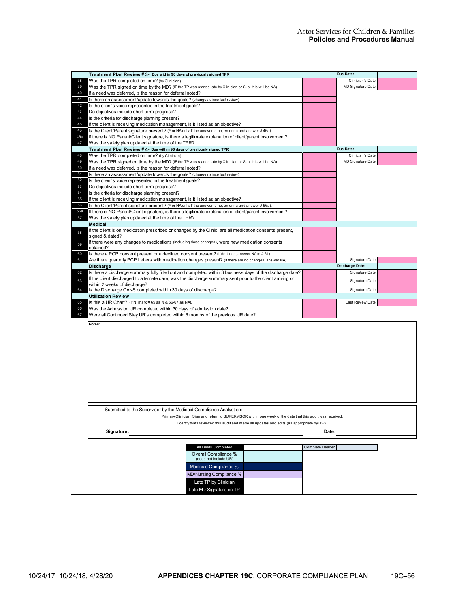|     | Treatment Plan Review # 3- Due within 90 days of previously signed TPR                                                                                                                                                  |                 | Due Date:                      |  |
|-----|-------------------------------------------------------------------------------------------------------------------------------------------------------------------------------------------------------------------------|-----------------|--------------------------------|--|
| 38  | Was the TPR completed on time? (by Clinician)                                                                                                                                                                           |                 | Clinician's Date:              |  |
| 39  | Was the TPR signed on time by the MD? (IF the TP was started late by Clinician or Sup, this will be NA)                                                                                                                 |                 | MD Signature Date:             |  |
| 40  | If a need was deferred, is the reason for deferral noted?                                                                                                                                                               |                 |                                |  |
| 41  | Is there an assessment/update towards the goals? (changes since last review)                                                                                                                                            |                 |                                |  |
| 42  | Is the client's voice represented in the treatment goals?                                                                                                                                                               |                 |                                |  |
| 43  | Do objectives include short term progress?                                                                                                                                                                              |                 |                                |  |
| 44  | Is the criteria for discharge planning present?                                                                                                                                                                         |                 |                                |  |
| 45  | If the client is receiving medication management, is it listed as an objective?                                                                                                                                         |                 |                                |  |
| 46  | Is the Client/Parent signature present? (Yor NA only: If the answer is no, enter na and answer # 46a).                                                                                                                  |                 |                                |  |
| 46a | If there is NO Parent/Client signature, is there a legitimate explanation of client/parent involvement?                                                                                                                 |                 |                                |  |
| 47  | Was the safety plan updated at the time of the TPR?                                                                                                                                                                     |                 |                                |  |
| 48  | Treatment Plan Review #4- Due within 90 days of previously signed TPR                                                                                                                                                   |                 | Due Date:<br>Clinician's Date: |  |
| 49  | Was the TPR completed on time? (by Clinician)<br>Was the TPR signed on time by the MD? (IF the TP was started late by Clinician or Sup, this will be NA)                                                                |                 | MD Signature Date:             |  |
| 50  | If a need was deferred, is the reason for deferral noted?                                                                                                                                                               |                 |                                |  |
| 51  | Is there an assessment/update towards the goals? (changes since last review)                                                                                                                                            |                 |                                |  |
| 52  | Is the client's voice represented in the treatment goals?                                                                                                                                                               |                 |                                |  |
| 53  | Do objectives include short term progress?                                                                                                                                                                              |                 |                                |  |
| 54  | Is the criteria for discharge planning present?                                                                                                                                                                         |                 |                                |  |
| 55  | If the client is receiving medication management, is it listed as an objective?                                                                                                                                         |                 |                                |  |
| 56  | Is the Client/Parent signature present? (Y or NA only: If the answer is no, enter na and answer # 56a).                                                                                                                 |                 |                                |  |
| 56a | If there is NO Parent/Client signature, is there a legitimate explanation of client/parent involvement?                                                                                                                 |                 |                                |  |
| 57  | Was the safety plan updated at the time of the TPR?                                                                                                                                                                     |                 |                                |  |
|     | <b>Medical</b>                                                                                                                                                                                                          |                 |                                |  |
| 58  | If the client is on medication prescribed or changed by the Clinic, are all medication consents present,                                                                                                                |                 |                                |  |
|     | signed & dated?                                                                                                                                                                                                         |                 |                                |  |
| 59  | If there were any changes to medications (including dose changes), were new medication consents                                                                                                                         |                 |                                |  |
|     | obtained?                                                                                                                                                                                                               |                 |                                |  |
| 60  | Is there a PCP consent present or a declined consent present? (If declined, answer NA to #61)                                                                                                                           |                 |                                |  |
| 61  | Are there quarterly PCP Letters with medication changes present? (If there are no changes, answer NA).                                                                                                                  |                 | Signature Date:                |  |
| 62  | <b>Discharge</b>                                                                                                                                                                                                        |                 | <b>Discharge Date:</b>         |  |
|     | Is there a discharge summary fully filled out and completed within 3 business days of the discharge date?<br>If the client discharged to alternate care, was the discharge summary sent prior to the client arriving or |                 | Signature Date:                |  |
| 63  | within 2 weeks of discharge?                                                                                                                                                                                            |                 | Signature Date:                |  |
| 64  | Is the Discharge CANS completed within 30 days of discharge?                                                                                                                                                            |                 | Signature Date:                |  |
|     | <b>Utilization Review</b>                                                                                                                                                                                               |                 |                                |  |
| 65  | Is this a UR Chart? (If N, mark #65 as N & 66-67 as NA).                                                                                                                                                                |                 | Last Review Date:              |  |
| 66  | Was the Admission UR completed within 30 days of admission date?                                                                                                                                                        |                 |                                |  |
| 67  | Were all Continued Stay UR's completed within 6 months of the previous UR date?                                                                                                                                         |                 |                                |  |
|     | Notes:                                                                                                                                                                                                                  |                 |                                |  |
|     |                                                                                                                                                                                                                         |                 |                                |  |
|     |                                                                                                                                                                                                                         |                 |                                |  |
|     |                                                                                                                                                                                                                         |                 |                                |  |
|     |                                                                                                                                                                                                                         |                 |                                |  |
|     |                                                                                                                                                                                                                         |                 |                                |  |
|     |                                                                                                                                                                                                                         |                 |                                |  |
|     |                                                                                                                                                                                                                         |                 |                                |  |
|     |                                                                                                                                                                                                                         |                 |                                |  |
|     |                                                                                                                                                                                                                         |                 |                                |  |
|     |                                                                                                                                                                                                                         |                 |                                |  |
|     |                                                                                                                                                                                                                         |                 |                                |  |
|     |                                                                                                                                                                                                                         |                 |                                |  |
|     |                                                                                                                                                                                                                         |                 |                                |  |
|     | Submitted to the Supervisor by the Medicaid Compliance Analyst on:                                                                                                                                                      |                 |                                |  |
|     | Primary Clinician: Sign and return to SUPERVISOR within one week of the date that this audit was received.                                                                                                              |                 |                                |  |
|     | I certify that I reviewed this audit and made all updates and edits (as appropriate by law).                                                                                                                            |                 |                                |  |
|     | Signature:                                                                                                                                                                                                              | Date:           |                                |  |
|     |                                                                                                                                                                                                                         |                 |                                |  |
|     | All Fields Completed                                                                                                                                                                                                    | Complete Header |                                |  |
|     | Overall Compliance %                                                                                                                                                                                                    |                 |                                |  |
|     | (does not include UR)                                                                                                                                                                                                   |                 |                                |  |
|     | Medicaid Compliance %                                                                                                                                                                                                   |                 |                                |  |
|     | <b>MD/Nursing Compliance %</b>                                                                                                                                                                                          |                 |                                |  |
|     |                                                                                                                                                                                                                         |                 |                                |  |
|     | Late TP by Clinician                                                                                                                                                                                                    |                 |                                |  |
|     | Late MD Signature on TP                                                                                                                                                                                                 |                 |                                |  |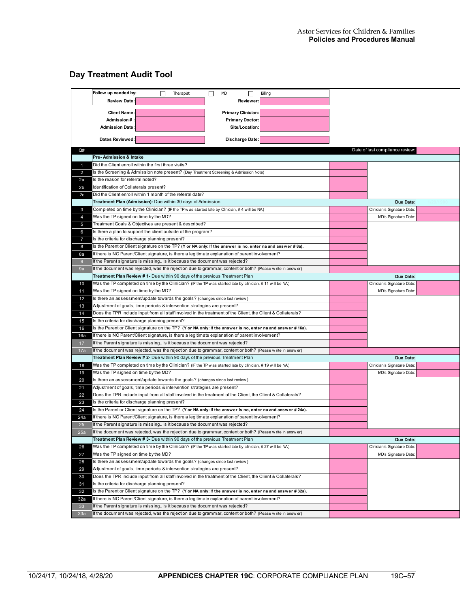# **Day Treatment Audit Tool**

|                | Follow up needed by:<br>Therapist<br>П<br>Billing<br>$\overline{\phantom{a}}$<br>П<br><b>MD</b>              |                                 |
|----------------|--------------------------------------------------------------------------------------------------------------|---------------------------------|
|                | <b>Review Date:</b><br><b>Reviewer</b>                                                                       |                                 |
|                |                                                                                                              |                                 |
|                | <b>Primary Clinician:</b><br><b>Client Name:</b>                                                             |                                 |
|                | <b>Primary Doctor:</b><br>Admission #                                                                        |                                 |
|                | <b>Admission Date:</b><br>Site/Location:                                                                     |                                 |
|                |                                                                                                              |                                 |
|                | Dates Reviewed:<br>Discharge Date:                                                                           |                                 |
| Q#             |                                                                                                              | Date of last compliance review: |
|                | <b>Pre-Admission &amp; Intake</b>                                                                            |                                 |
| 1              | Did the Client enroll within the first three visits?                                                         |                                 |
| $\overline{2}$ | Is the Screening & Admission note present? (Day Treatment Screening & Admission Note)                        |                                 |
| 2a             | Is the reason for referral noted?                                                                            |                                 |
| 2 <sub>b</sub> | Identification of Collaterals present?                                                                       |                                 |
| 2 <sub>c</sub> | Did the Client enroll within 1 month of the referral date?                                                   |                                 |
|                | Treatment Plan (Admission)- Due within 30 days of Admission                                                  | Due Date:                       |
| 3              | Completed on time by the Clinician? (IF the TP w as started late by Clinician, #4 w ill be NA)               | Clinician's Signature Date      |
| $\overline{4}$ | Was the TP signed on time by the MD?                                                                         | MD's Signature Date             |
| 5              | Treatment Goals & Objectives are present & described?                                                        |                                 |
| 6              | Is there a plan to support the client outside of the program?                                                |                                 |
| $\overline{7}$ | Is the criteria for discharge planning present?                                                              |                                 |
| 8              | Is the Parent or Client signature on the TP? (Y or NA only: If the answer is no, enter na and answer #8a).   |                                 |
| 8a             | If there is NO Parent/Client signature, is there a legitimate explanation of parent involvement?             |                                 |
| 9              | If the Parent signature is missing Is it because the document was rejected?                                  |                                 |
| 9a             | If the document was rejected, was the rejection due to grammar, content or both? (Please write in answer)    |                                 |
|                | Treatment Plan Review # 1- Due within 90 days of the previous Treatment Plan                                 | Due Date:                       |
| 10             | Was the TP completed on time by the Clinician? (IF the TP was started late by clinician, #11 will be NA)     | Clinician's Signature Date:     |
| 11             | Was the TP signed on time by the MD?                                                                         | MD's Signature Date:            |
| 12             | Is there an assessment/update towards the goals? (changes since last review)                                 |                                 |
| 13             | Adjustment of goals, time periods & intervention strategies are present?                                     |                                 |
| 14             | Does the TPR include input from all staff involved in the treatment of the Client, the Client & Collaterals? |                                 |
| 15             | Is the criteria for discharge planning present?                                                              |                                 |
| 16             | Is the Parent or Client signature on the TP? (Y or NA only: If the answer is no, enter na and answer # 16a). |                                 |
| 16a            | If there is NO Parent/Client signature, is there a legitimate explanation of parent involvement?             |                                 |
| 17             | If the Parent signature is missing Is it because the document was rejected?                                  |                                 |
| 17a            | If the document was rejected, was the rejection due to grammar, content or both? (Please w rite in answer)   |                                 |
|                | Treatment Plan Review # 2- Due within 90 days of the previous Treatment Plan                                 | Due Date:                       |
| 18             | Was the TP completed on time by the Clinician? (IF the TP was started late by clinician, # 19 will be NA)    | Clinician's Signature Date      |
| 19             | Was the TP signed on time by the MD?                                                                         | MD's Signature Date             |
| 20             | Is there an assessment/update towards the goals? (changes since last review )                                |                                 |
| 21             | Adjustment of goals, time periods & intervention strategies are present?                                     |                                 |
| 22             | Does the TPR include input from all staff involved in the treatment of the Client, the Client & Collaterals? |                                 |
| 23             | Is the criteria for discharge planning present?                                                              |                                 |
| 24             | Is the Parent or Client signature on the TP? (Y or NA only: If the answer is no, enter na and answer # 24a). |                                 |
| 24a            | If there is NO Parent/Client signature, is there a legitimate explanation of parent involvement?             |                                 |
| 25             | If the Parent signature is missing Is it because the document was rejected?                                  |                                 |
| 25a            | If the document was rejected, was the rejection due to grammar, content or both? (Please write in answer)    |                                 |
|                | Treatment Plan Review #3- Due within 90 days of the previous Treatment Plan                                  | Due Date:                       |
| 26             | Was the TP completed on time by the Clinician? (IF the TP was started late by clinician, #27 will be NA)     | Clinician's Signature Date      |
| 27             | Was the TP signed on time by the MD?                                                                         | MD's Signature Date:            |
| 28             | Is there an assessment/update towards the goals? (changes since last review)                                 |                                 |
| 29             | Adjustment of goals, time periods & intervention strategies are present?                                     |                                 |
| 30             | Does the TPR include input from all staff involved in the treatment of the Client, the Client & Collaterals? |                                 |
| 31             | Is the criteria for discharge planning present?                                                              |                                 |
| 32             | Is the Parent or Client signature on the TP? (Y or NA only: If the answer is no, enter na and answer #32a).  |                                 |
| 32a            | If there is NO Parent/Client signature, is there a legitimate explanation of parent involvement?             |                                 |
|                | If the Parent signature is missing Is it because the document was rejected?                                  |                                 |
| 33             |                                                                                                              |                                 |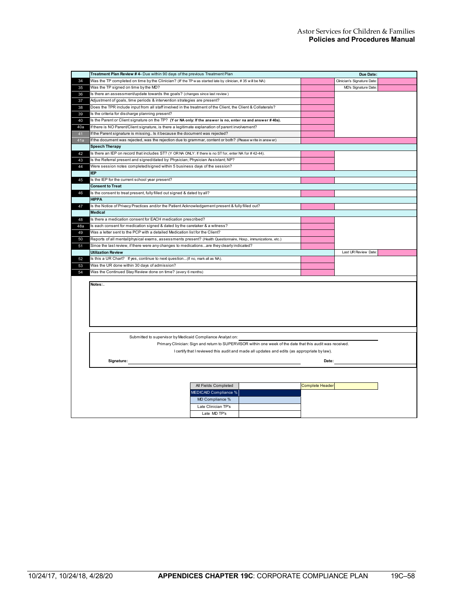|     | Treatment Plan Review # 4- Due within 90 days of the previous Treatment Plan                                  |                       |                                                                                                            |                        | Due Date:                   |  |
|-----|---------------------------------------------------------------------------------------------------------------|-----------------------|------------------------------------------------------------------------------------------------------------|------------------------|-----------------------------|--|
| 34  | Was the TP completed on time by the Clinician? (IF the TP was started late by clinician, #35 will be NA)      |                       |                                                                                                            |                        | Clinician's Signature Date: |  |
| 35  | Was the TP signed on time by the MD?                                                                          |                       |                                                                                                            |                        | MD's Signature Date         |  |
| 36  | Is there an assessment/update towards the goals? (changes since last review)                                  |                       |                                                                                                            |                        |                             |  |
| 37  | Adjustment of goals, time periods & intervention strategies are present?                                      |                       |                                                                                                            |                        |                             |  |
| 38  | Does the TPR include input from all staff involved in the treatment of the Client, the Client & Collaterals?  |                       |                                                                                                            |                        |                             |  |
| 39  | Is the criteria for discharge planning present?                                                               |                       |                                                                                                            |                        |                             |  |
| 40  | Is the Parent or Client signature on the TP? (Y or NA only: If the answer is no, enter na and answer #40a).   |                       |                                                                                                            |                        |                             |  |
| 40a | If there is NO Parent/Client signature, is there a legitimate explanation of parent involvement?              |                       |                                                                                                            |                        |                             |  |
| 41  | If the Parent signature is missing Is it because the document was rejected?                                   |                       |                                                                                                            |                        |                             |  |
| 41a | If the document was rejected, was the rejection due to grammar, content or both? (Please write in answer)     |                       |                                                                                                            |                        |                             |  |
|     | <b>Speech Therapy</b>                                                                                         |                       |                                                                                                            |                        |                             |  |
| 42  | Is there an IEP on record that includes ST? (Y OR NA ONLY: If there is no ST for, enter NA for #42-44).       |                       |                                                                                                            |                        |                             |  |
| 43  | Is the Referral present and signed/dated by: Physician; Physician Assistant; NP?                              |                       |                                                                                                            |                        |                             |  |
| 44  | Were session notes completed/signed within 5 business days of the session?                                    |                       |                                                                                                            |                        |                             |  |
|     | <b>IEP</b>                                                                                                    |                       |                                                                                                            |                        |                             |  |
| 45  | Is the IEP for the current school year present?                                                               |                       |                                                                                                            |                        |                             |  |
|     | <b>Consent to Treat</b>                                                                                       |                       |                                                                                                            |                        |                             |  |
| 46  | Is the consent to treat present, fully filled out signed & dated by all?                                      |                       |                                                                                                            |                        |                             |  |
|     | <b>HIPPA</b>                                                                                                  |                       |                                                                                                            |                        |                             |  |
| 47  | Is the Notice of Privacy Practices and/or the Patient Acknowledgement present & fully filled out?             |                       |                                                                                                            |                        |                             |  |
|     | <b>Medical</b>                                                                                                |                       |                                                                                                            |                        |                             |  |
| 48  | Is there a medication consent for EACH medication prescribed?                                                 |                       |                                                                                                            |                        |                             |  |
| 48a | Is each consent for medication signed & dated by the caretaker & a witness?                                   |                       |                                                                                                            |                        |                             |  |
| 49  | Was a letter sent to the PCP with a detailed Medication list for the Client?                                  |                       |                                                                                                            |                        |                             |  |
| 50  | Reports of all mental/physical exams, assessments present? (Health Questionnaire, Hosp., immunizations, etc.) |                       |                                                                                                            |                        |                             |  |
| 51  | Since the last review, if there were any changes to medicationsare they clearly indicated?                    |                       |                                                                                                            |                        |                             |  |
|     | <b>Utilization Review</b>                                                                                     |                       |                                                                                                            |                        | Last UR Review Date:        |  |
| 52  | Is this a UR Chart? If yes, continue to next question (If no, mark all as NA).                                |                       |                                                                                                            |                        |                             |  |
| 53  | Was the UR done within 30 days of admission?                                                                  |                       |                                                                                                            |                        |                             |  |
| 54  | Was the Continued Stay Review done on time? (every 6 months)                                                  |                       |                                                                                                            |                        |                             |  |
|     |                                                                                                               |                       |                                                                                                            |                        |                             |  |
|     | Notes:.                                                                                                       |                       |                                                                                                            |                        |                             |  |
|     |                                                                                                               |                       |                                                                                                            |                        |                             |  |
|     |                                                                                                               |                       |                                                                                                            |                        |                             |  |
|     |                                                                                                               |                       |                                                                                                            |                        |                             |  |
|     |                                                                                                               |                       |                                                                                                            |                        |                             |  |
|     |                                                                                                               |                       |                                                                                                            |                        |                             |  |
|     |                                                                                                               |                       |                                                                                                            |                        |                             |  |
|     |                                                                                                               |                       |                                                                                                            |                        |                             |  |
|     | Submitted to supervisor by Medicaid Compliance Analyst on:                                                    |                       |                                                                                                            |                        |                             |  |
|     |                                                                                                               |                       | Primary Clinician: Sign and return to SUPERVISOR within one week of the date that this audit was received. |                        |                             |  |
|     |                                                                                                               |                       | I certify that I reviewed this audit and made all updates and edits (as appropriate by law).               |                        |                             |  |
|     |                                                                                                               |                       |                                                                                                            |                        |                             |  |
|     | Signature:                                                                                                    |                       |                                                                                                            | Date:                  |                             |  |
|     |                                                                                                               |                       |                                                                                                            |                        |                             |  |
|     |                                                                                                               |                       |                                                                                                            |                        |                             |  |
|     |                                                                                                               | All Fields Completed  |                                                                                                            | <b>Complete Header</b> |                             |  |
|     |                                                                                                               |                       |                                                                                                            |                        |                             |  |
|     |                                                                                                               | MEDICAID Compliance % |                                                                                                            |                        |                             |  |
|     |                                                                                                               | MD Compliance %       |                                                                                                            |                        |                             |  |
|     |                                                                                                               | Late Clinician TP's   |                                                                                                            |                        |                             |  |
|     |                                                                                                               | Late MD TP's          |                                                                                                            |                        |                             |  |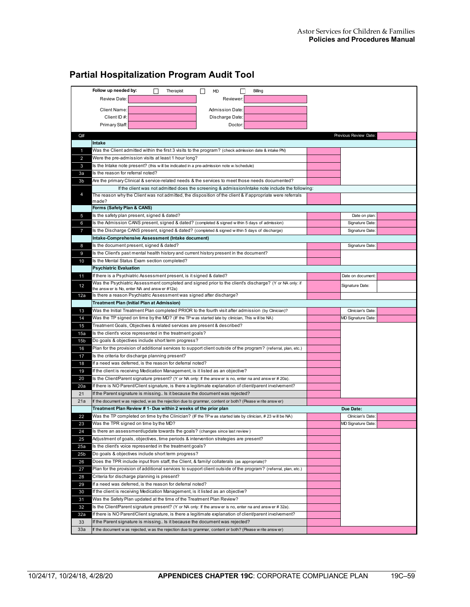# **Partial Hospitalization Program Audit Tool**

|                 | Follow up needed by:<br>П<br>$\Box$<br>Therapist<br>MD<br>Billing                                              |                       |
|-----------------|----------------------------------------------------------------------------------------------------------------|-----------------------|
|                 | Review Date:<br>Reviewer:                                                                                      |                       |
|                 | Client Name:<br>Admission Date:                                                                                |                       |
|                 | Client ID #:<br>Discharge Date:                                                                                |                       |
|                 | Primary Staff:<br>Doctor:                                                                                      |                       |
|                 |                                                                                                                |                       |
| Q#              |                                                                                                                | Previous Review Date: |
|                 | Intake                                                                                                         |                       |
| $\mathbf{1}$    | (Was the Client admitted within the first 3 visits to the program? (check admission date & intake PN)          |                       |
| $\overline{c}$  | Were the pre-admission visits at least 1 hour long?                                                            |                       |
| 3               | Is the Intake note present? (this will be indicated in a pre-admission note w/schedule)                        |                       |
| 3a              | Is the reason for referral noted?                                                                              |                       |
| 3 <sub>b</sub>  | Are the primary Clinical & service-related needs & the services to meet those needs documented?                |                       |
|                 | If the client was not admitted does the screening & admission/intake note include the following:               |                       |
| $\overline{4}$  | The reason why the Client was not admitted, the disposition of the client & if appropriate were referrals      |                       |
|                 | made?                                                                                                          |                       |
|                 | Forms (Safety Plan & CANS)                                                                                     |                       |
| 5               | Is the safety plan present, signed & dated?                                                                    | Date on plan          |
| 6               | Is the Admission CANS present, signed & dated? (completed & signed within 5 days of admission)                 | Signature Date        |
| 7               | Is the Discharge CANS present, signed & dated? (completed & signed within 5 days of discharge)                 | Signature Date:       |
|                 | Intake-Comprehensive Assessment (Intake document)                                                              |                       |
| 8               | Is the document present, signed & dated?                                                                       | Signature Date        |
| 9               | Is the Client's past mental health history and current history present in the document?                        |                       |
| 10              | Is the Mental Status Exam section completed?                                                                   |                       |
|                 | <b>Psychiatric Evaluation</b>                                                                                  |                       |
| 11              | If there is a Psychiatric Assessment present, is it signed & dated?                                            | Date on document:     |
| 12              | Was the Psychiatric Assessment completed and signed prior to the client's discharge? (Y or NA only: if         | Signature Date:       |
|                 | the answ er is No, enter NA and answ er #12a)                                                                  |                       |
| 12a             | Is there a reason Psychiatric Assessment was signed after discharge?                                           |                       |
|                 | <b>Treatment Plan (Initial Plan at Admission)</b>                                                              |                       |
| 13              | Was the Initial Treatment Plan completed PRIOR to the fourth visit after admission (by Clinician)?             | Clinician's Date:     |
| 14              | Was the TP signed on time by the MD? (IF the TP was started late by clinician, This will be NA)                | MD Signature Date:    |
| 15              | Treatment Goals, Objectives & related services are present & described?                                        |                       |
| 15a             | Is the client's voice represented in the treatment goals?                                                      |                       |
| 15 <sub>b</sub> | Do goals & objectives include short term progress?                                                             |                       |
| 16              | Plan for the provision of additional services to support client outside of the program? (referral, plan, etc.) |                       |
| 17              | Is the criteria for discharge planning present?                                                                |                       |
| 18              | If a need was deferred, is the reason for deferral noted?                                                      |                       |
| 19              | If the client is receiving Medication Management, is it listed as an objective?                                |                       |
| 20              | Is the Client/Parent signature present? (Y or NA only: If the answer is no, enter na and answer # 20a).        |                       |
| 20a             | If there is NO Parent/Client signature, is there a legitimate explanation of client/parent involvement?        |                       |
| 21              | If the Parent signature is missing Is it because the document was rejected?                                    |                       |
| 21a             | If the document w as rejected, w as the rejection due to grammar, content or both? (Please w rite answ er)     |                       |
|                 | Treatment Plan Review #1- Due within 2 weeks of the prior plan                                                 | Due Date:             |
| 22              | Was the TP completed on time by the Clinician? (IF the TP was started late by clinician, # 23 w ill be NA)     | Clinician's Date      |
| 23              | Was the TPR signed on time by the MD?                                                                          | MD Signature Date:    |
| 24              | Is there an assessment/update towards the goals? (changes since last review)                                   |                       |
| 25              | Adjustment of goals, objectives, time periods & intervention strategies are present?                           |                       |
| 25a             | Is the client's voice represented in the treatment goals?                                                      |                       |
| 25 <sub>b</sub> | Do goals & objectives include short term progress?                                                             |                       |
| 26              | Does the TPR include input from staff, the Client, & family/ collaterals (as appropriate)?                     |                       |
| 27              | Plan for the provision of additional services to support client outside of the program? (referral, plan, etc.) |                       |
| 28              | Criteria for discharge planning is present?                                                                    |                       |
| 29              | If a need was deferred, is the reason for deferral noted?                                                      |                       |
| 30              | If the client is receiving Medication Management, is it listed as an objective?                                |                       |
|                 |                                                                                                                |                       |
| 31              | Was the Safety Plan updated at the time of the Treatment Plan Review?                                          |                       |
| 32              | .(s the Client/Parent signature present? (Y or NA only: If the answ er is no, enter na and answ er # 32a       |                       |
| 32a             | If there is NO Parent/Client signature, is there a legitimate explanation of client/parent involvement?        |                       |
| 33              | If the Parent signature is missing Is it because the document was rejected?                                    |                       |
| 33a             | If the document w as rejected, w as the rejection due to grammar, content or both? (Please w rite answ er)     |                       |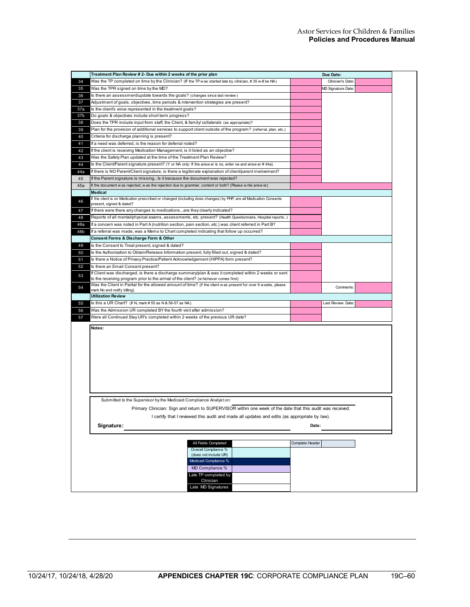| 34<br>Was the TP completed on time by the Clinician? (IF the TP was started late by clinician, # 35 will be NA)<br>Clinician's Date<br>Was the TPR signed on time by the MD?<br>35<br>MD Signature Date<br>36<br>Is there an assessment/update towards the goals? (changes since last review)<br>37<br>Adjustment of goals, objectives, time periods & intervention strategies are present?<br>Is the client's voice represented in the treatment goals?<br>Do goals & objectives include short term progress?<br>Does the TPR include input from staff, the Client, & family/ collaterals (as appropriate)?<br>38<br>Plan for the provision of additional services to support client outside of the program? (referral, plan, etc.)<br>39<br>40<br>Criteria for discharge planning is present?<br>41<br>If a need was deferred, is the reason for deferral noted?<br>If the client is receiving Medication Management, is it listed as an objective?<br>42<br>43<br>Was the Safety Plan updated at the time of the Treatment Plan Review?<br>44<br>Is the Client/Parent signature present? (Y or NA only: If the answer is no, enter na and answer # 44a).<br>44a<br>If there is NO Parent/Client signature, is there a legitimate explanation of client/parent involvement?<br>If the Parent signature is missing Is it because the document was rejected?<br>45<br>If the document was rejected, was the rejection due to grammar, content or both? (Please write answer)<br>45a<br><b>Medical</b><br>If the client is on Medication prescribed or changed (including dose changes) by PHP, are all Medication Consents<br>46<br>present, signed & dated?<br>47<br>If there were there any changes to medicationsare they clearly indicated?<br>48<br>Reports of all mental/physical exams, assessments, etc. present? (Health Questionnaire, Hospital reports)<br>If a concern was noted in Part A (nutrition section, pain section, etc.) was client referred in Part B?<br>If a referral was made, was a Memo to Chart completed indicating that follow up occurred?<br>Consent Forms & Discharge Form & Other<br>49<br>Is the Consent to Treat present, signed & dated?<br>Is the Authorization to Obtain/Release Information present, fully filled out, signed & dated?<br>50<br>Is there a Notice of Privacy Practice/Patient Acknowledgement (HIPPA) form present?<br>51<br>Is there an Email Consent present?<br>52<br>If Client was discharged, is there a discharge summary/plan & was it completed within 2 weeks or sent<br>53<br>to the receiving program prior to the arrival of the client? (w hichever comes first)<br>Was the Client in Partial for the allowed amount of time? (if the client was present for over 6 weeks, please<br>54<br>Comments:<br>mark No and notify billing).<br><b>Utilization Review</b><br>Is this a UR Chart? (If N, mark # 55 as N & 56-57 as NA).<br>55<br>Last Review Date:<br>Was the Admission UR completed BY the fourth visit after admission?<br>56<br>Were all Continued Stay UR's completed within 2 weeks of the previous UR date?<br>57<br>Notes:<br>Submitted to the Supervisor by the Medicaid Compliance Analyst on:<br>Primary Clinician: Sign and return to SUPERVISOR within one week of the date that this audit was received.<br>I certify that I reviewed this audit and made all updates and edits (as appropriate by law).<br>Signature:<br>Date:<br>All Fields Completed<br>Complete Header<br>Overall Compliance %<br>(does not include UR)<br>Medicaid Compliance %<br>MD Compliance %<br>Late TP completed by<br>Clinician<br>Late MD Signatures |                 | Treatment Plan Review # 2- Due within 2 weeks of the prior plan | Due Date: |  |  |
|------------------------------------------------------------------------------------------------------------------------------------------------------------------------------------------------------------------------------------------------------------------------------------------------------------------------------------------------------------------------------------------------------------------------------------------------------------------------------------------------------------------------------------------------------------------------------------------------------------------------------------------------------------------------------------------------------------------------------------------------------------------------------------------------------------------------------------------------------------------------------------------------------------------------------------------------------------------------------------------------------------------------------------------------------------------------------------------------------------------------------------------------------------------------------------------------------------------------------------------------------------------------------------------------------------------------------------------------------------------------------------------------------------------------------------------------------------------------------------------------------------------------------------------------------------------------------------------------------------------------------------------------------------------------------------------------------------------------------------------------------------------------------------------------------------------------------------------------------------------------------------------------------------------------------------------------------------------------------------------------------------------------------------------------------------------------------------------------------------------------------------------------------------------------------------------------------------------------------------------------------------------------------------------------------------------------------------------------------------------------------------------------------------------------------------------------------------------------------------------------------------------------------------------------------------------------------------------------------------------------------------------------------------------------------------------------------------------------------------------------------------------------------------------------------------------------------------------------------------------------------------------------------------------------------------------------------------------------------------------------------------------------------------------------------------------------------------------------------------------------------------------------------------------------------------------------------------------------------------------------------------------------------------------------------------------------------------------------------------------------------------------------------------------------------------------------------------------------------------------------------------------------------------------------------------------------------------------------------------------------------|-----------------|-----------------------------------------------------------------|-----------|--|--|
|                                                                                                                                                                                                                                                                                                                                                                                                                                                                                                                                                                                                                                                                                                                                                                                                                                                                                                                                                                                                                                                                                                                                                                                                                                                                                                                                                                                                                                                                                                                                                                                                                                                                                                                                                                                                                                                                                                                                                                                                                                                                                                                                                                                                                                                                                                                                                                                                                                                                                                                                                                                                                                                                                                                                                                                                                                                                                                                                                                                                                                                                                                                                                                                                                                                                                                                                                                                                                                                                                                                                                                                                                              |                 |                                                                 |           |  |  |
|                                                                                                                                                                                                                                                                                                                                                                                                                                                                                                                                                                                                                                                                                                                                                                                                                                                                                                                                                                                                                                                                                                                                                                                                                                                                                                                                                                                                                                                                                                                                                                                                                                                                                                                                                                                                                                                                                                                                                                                                                                                                                                                                                                                                                                                                                                                                                                                                                                                                                                                                                                                                                                                                                                                                                                                                                                                                                                                                                                                                                                                                                                                                                                                                                                                                                                                                                                                                                                                                                                                                                                                                                              |                 |                                                                 |           |  |  |
|                                                                                                                                                                                                                                                                                                                                                                                                                                                                                                                                                                                                                                                                                                                                                                                                                                                                                                                                                                                                                                                                                                                                                                                                                                                                                                                                                                                                                                                                                                                                                                                                                                                                                                                                                                                                                                                                                                                                                                                                                                                                                                                                                                                                                                                                                                                                                                                                                                                                                                                                                                                                                                                                                                                                                                                                                                                                                                                                                                                                                                                                                                                                                                                                                                                                                                                                                                                                                                                                                                                                                                                                                              |                 |                                                                 |           |  |  |
|                                                                                                                                                                                                                                                                                                                                                                                                                                                                                                                                                                                                                                                                                                                                                                                                                                                                                                                                                                                                                                                                                                                                                                                                                                                                                                                                                                                                                                                                                                                                                                                                                                                                                                                                                                                                                                                                                                                                                                                                                                                                                                                                                                                                                                                                                                                                                                                                                                                                                                                                                                                                                                                                                                                                                                                                                                                                                                                                                                                                                                                                                                                                                                                                                                                                                                                                                                                                                                                                                                                                                                                                                              |                 |                                                                 |           |  |  |
|                                                                                                                                                                                                                                                                                                                                                                                                                                                                                                                                                                                                                                                                                                                                                                                                                                                                                                                                                                                                                                                                                                                                                                                                                                                                                                                                                                                                                                                                                                                                                                                                                                                                                                                                                                                                                                                                                                                                                                                                                                                                                                                                                                                                                                                                                                                                                                                                                                                                                                                                                                                                                                                                                                                                                                                                                                                                                                                                                                                                                                                                                                                                                                                                                                                                                                                                                                                                                                                                                                                                                                                                                              | 37a             |                                                                 |           |  |  |
|                                                                                                                                                                                                                                                                                                                                                                                                                                                                                                                                                                                                                                                                                                                                                                                                                                                                                                                                                                                                                                                                                                                                                                                                                                                                                                                                                                                                                                                                                                                                                                                                                                                                                                                                                                                                                                                                                                                                                                                                                                                                                                                                                                                                                                                                                                                                                                                                                                                                                                                                                                                                                                                                                                                                                                                                                                                                                                                                                                                                                                                                                                                                                                                                                                                                                                                                                                                                                                                                                                                                                                                                                              | 37 <sub>b</sub> |                                                                 |           |  |  |
|                                                                                                                                                                                                                                                                                                                                                                                                                                                                                                                                                                                                                                                                                                                                                                                                                                                                                                                                                                                                                                                                                                                                                                                                                                                                                                                                                                                                                                                                                                                                                                                                                                                                                                                                                                                                                                                                                                                                                                                                                                                                                                                                                                                                                                                                                                                                                                                                                                                                                                                                                                                                                                                                                                                                                                                                                                                                                                                                                                                                                                                                                                                                                                                                                                                                                                                                                                                                                                                                                                                                                                                                                              |                 |                                                                 |           |  |  |
|                                                                                                                                                                                                                                                                                                                                                                                                                                                                                                                                                                                                                                                                                                                                                                                                                                                                                                                                                                                                                                                                                                                                                                                                                                                                                                                                                                                                                                                                                                                                                                                                                                                                                                                                                                                                                                                                                                                                                                                                                                                                                                                                                                                                                                                                                                                                                                                                                                                                                                                                                                                                                                                                                                                                                                                                                                                                                                                                                                                                                                                                                                                                                                                                                                                                                                                                                                                                                                                                                                                                                                                                                              |                 |                                                                 |           |  |  |
|                                                                                                                                                                                                                                                                                                                                                                                                                                                                                                                                                                                                                                                                                                                                                                                                                                                                                                                                                                                                                                                                                                                                                                                                                                                                                                                                                                                                                                                                                                                                                                                                                                                                                                                                                                                                                                                                                                                                                                                                                                                                                                                                                                                                                                                                                                                                                                                                                                                                                                                                                                                                                                                                                                                                                                                                                                                                                                                                                                                                                                                                                                                                                                                                                                                                                                                                                                                                                                                                                                                                                                                                                              |                 |                                                                 |           |  |  |
|                                                                                                                                                                                                                                                                                                                                                                                                                                                                                                                                                                                                                                                                                                                                                                                                                                                                                                                                                                                                                                                                                                                                                                                                                                                                                                                                                                                                                                                                                                                                                                                                                                                                                                                                                                                                                                                                                                                                                                                                                                                                                                                                                                                                                                                                                                                                                                                                                                                                                                                                                                                                                                                                                                                                                                                                                                                                                                                                                                                                                                                                                                                                                                                                                                                                                                                                                                                                                                                                                                                                                                                                                              |                 |                                                                 |           |  |  |
|                                                                                                                                                                                                                                                                                                                                                                                                                                                                                                                                                                                                                                                                                                                                                                                                                                                                                                                                                                                                                                                                                                                                                                                                                                                                                                                                                                                                                                                                                                                                                                                                                                                                                                                                                                                                                                                                                                                                                                                                                                                                                                                                                                                                                                                                                                                                                                                                                                                                                                                                                                                                                                                                                                                                                                                                                                                                                                                                                                                                                                                                                                                                                                                                                                                                                                                                                                                                                                                                                                                                                                                                                              |                 |                                                                 |           |  |  |
|                                                                                                                                                                                                                                                                                                                                                                                                                                                                                                                                                                                                                                                                                                                                                                                                                                                                                                                                                                                                                                                                                                                                                                                                                                                                                                                                                                                                                                                                                                                                                                                                                                                                                                                                                                                                                                                                                                                                                                                                                                                                                                                                                                                                                                                                                                                                                                                                                                                                                                                                                                                                                                                                                                                                                                                                                                                                                                                                                                                                                                                                                                                                                                                                                                                                                                                                                                                                                                                                                                                                                                                                                              |                 |                                                                 |           |  |  |
|                                                                                                                                                                                                                                                                                                                                                                                                                                                                                                                                                                                                                                                                                                                                                                                                                                                                                                                                                                                                                                                                                                                                                                                                                                                                                                                                                                                                                                                                                                                                                                                                                                                                                                                                                                                                                                                                                                                                                                                                                                                                                                                                                                                                                                                                                                                                                                                                                                                                                                                                                                                                                                                                                                                                                                                                                                                                                                                                                                                                                                                                                                                                                                                                                                                                                                                                                                                                                                                                                                                                                                                                                              |                 |                                                                 |           |  |  |
|                                                                                                                                                                                                                                                                                                                                                                                                                                                                                                                                                                                                                                                                                                                                                                                                                                                                                                                                                                                                                                                                                                                                                                                                                                                                                                                                                                                                                                                                                                                                                                                                                                                                                                                                                                                                                                                                                                                                                                                                                                                                                                                                                                                                                                                                                                                                                                                                                                                                                                                                                                                                                                                                                                                                                                                                                                                                                                                                                                                                                                                                                                                                                                                                                                                                                                                                                                                                                                                                                                                                                                                                                              |                 |                                                                 |           |  |  |
|                                                                                                                                                                                                                                                                                                                                                                                                                                                                                                                                                                                                                                                                                                                                                                                                                                                                                                                                                                                                                                                                                                                                                                                                                                                                                                                                                                                                                                                                                                                                                                                                                                                                                                                                                                                                                                                                                                                                                                                                                                                                                                                                                                                                                                                                                                                                                                                                                                                                                                                                                                                                                                                                                                                                                                                                                                                                                                                                                                                                                                                                                                                                                                                                                                                                                                                                                                                                                                                                                                                                                                                                                              |                 |                                                                 |           |  |  |
|                                                                                                                                                                                                                                                                                                                                                                                                                                                                                                                                                                                                                                                                                                                                                                                                                                                                                                                                                                                                                                                                                                                                                                                                                                                                                                                                                                                                                                                                                                                                                                                                                                                                                                                                                                                                                                                                                                                                                                                                                                                                                                                                                                                                                                                                                                                                                                                                                                                                                                                                                                                                                                                                                                                                                                                                                                                                                                                                                                                                                                                                                                                                                                                                                                                                                                                                                                                                                                                                                                                                                                                                                              |                 |                                                                 |           |  |  |
|                                                                                                                                                                                                                                                                                                                                                                                                                                                                                                                                                                                                                                                                                                                                                                                                                                                                                                                                                                                                                                                                                                                                                                                                                                                                                                                                                                                                                                                                                                                                                                                                                                                                                                                                                                                                                                                                                                                                                                                                                                                                                                                                                                                                                                                                                                                                                                                                                                                                                                                                                                                                                                                                                                                                                                                                                                                                                                                                                                                                                                                                                                                                                                                                                                                                                                                                                                                                                                                                                                                                                                                                                              |                 |                                                                 |           |  |  |
|                                                                                                                                                                                                                                                                                                                                                                                                                                                                                                                                                                                                                                                                                                                                                                                                                                                                                                                                                                                                                                                                                                                                                                                                                                                                                                                                                                                                                                                                                                                                                                                                                                                                                                                                                                                                                                                                                                                                                                                                                                                                                                                                                                                                                                                                                                                                                                                                                                                                                                                                                                                                                                                                                                                                                                                                                                                                                                                                                                                                                                                                                                                                                                                                                                                                                                                                                                                                                                                                                                                                                                                                                              |                 |                                                                 |           |  |  |
|                                                                                                                                                                                                                                                                                                                                                                                                                                                                                                                                                                                                                                                                                                                                                                                                                                                                                                                                                                                                                                                                                                                                                                                                                                                                                                                                                                                                                                                                                                                                                                                                                                                                                                                                                                                                                                                                                                                                                                                                                                                                                                                                                                                                                                                                                                                                                                                                                                                                                                                                                                                                                                                                                                                                                                                                                                                                                                                                                                                                                                                                                                                                                                                                                                                                                                                                                                                                                                                                                                                                                                                                                              |                 |                                                                 |           |  |  |
|                                                                                                                                                                                                                                                                                                                                                                                                                                                                                                                                                                                                                                                                                                                                                                                                                                                                                                                                                                                                                                                                                                                                                                                                                                                                                                                                                                                                                                                                                                                                                                                                                                                                                                                                                                                                                                                                                                                                                                                                                                                                                                                                                                                                                                                                                                                                                                                                                                                                                                                                                                                                                                                                                                                                                                                                                                                                                                                                                                                                                                                                                                                                                                                                                                                                                                                                                                                                                                                                                                                                                                                                                              |                 |                                                                 |           |  |  |
|                                                                                                                                                                                                                                                                                                                                                                                                                                                                                                                                                                                                                                                                                                                                                                                                                                                                                                                                                                                                                                                                                                                                                                                                                                                                                                                                                                                                                                                                                                                                                                                                                                                                                                                                                                                                                                                                                                                                                                                                                                                                                                                                                                                                                                                                                                                                                                                                                                                                                                                                                                                                                                                                                                                                                                                                                                                                                                                                                                                                                                                                                                                                                                                                                                                                                                                                                                                                                                                                                                                                                                                                                              |                 |                                                                 |           |  |  |
|                                                                                                                                                                                                                                                                                                                                                                                                                                                                                                                                                                                                                                                                                                                                                                                                                                                                                                                                                                                                                                                                                                                                                                                                                                                                                                                                                                                                                                                                                                                                                                                                                                                                                                                                                                                                                                                                                                                                                                                                                                                                                                                                                                                                                                                                                                                                                                                                                                                                                                                                                                                                                                                                                                                                                                                                                                                                                                                                                                                                                                                                                                                                                                                                                                                                                                                                                                                                                                                                                                                                                                                                                              | 48a             |                                                                 |           |  |  |
|                                                                                                                                                                                                                                                                                                                                                                                                                                                                                                                                                                                                                                                                                                                                                                                                                                                                                                                                                                                                                                                                                                                                                                                                                                                                                                                                                                                                                                                                                                                                                                                                                                                                                                                                                                                                                                                                                                                                                                                                                                                                                                                                                                                                                                                                                                                                                                                                                                                                                                                                                                                                                                                                                                                                                                                                                                                                                                                                                                                                                                                                                                                                                                                                                                                                                                                                                                                                                                                                                                                                                                                                                              | 48b             |                                                                 |           |  |  |
|                                                                                                                                                                                                                                                                                                                                                                                                                                                                                                                                                                                                                                                                                                                                                                                                                                                                                                                                                                                                                                                                                                                                                                                                                                                                                                                                                                                                                                                                                                                                                                                                                                                                                                                                                                                                                                                                                                                                                                                                                                                                                                                                                                                                                                                                                                                                                                                                                                                                                                                                                                                                                                                                                                                                                                                                                                                                                                                                                                                                                                                                                                                                                                                                                                                                                                                                                                                                                                                                                                                                                                                                                              |                 |                                                                 |           |  |  |
|                                                                                                                                                                                                                                                                                                                                                                                                                                                                                                                                                                                                                                                                                                                                                                                                                                                                                                                                                                                                                                                                                                                                                                                                                                                                                                                                                                                                                                                                                                                                                                                                                                                                                                                                                                                                                                                                                                                                                                                                                                                                                                                                                                                                                                                                                                                                                                                                                                                                                                                                                                                                                                                                                                                                                                                                                                                                                                                                                                                                                                                                                                                                                                                                                                                                                                                                                                                                                                                                                                                                                                                                                              |                 |                                                                 |           |  |  |
|                                                                                                                                                                                                                                                                                                                                                                                                                                                                                                                                                                                                                                                                                                                                                                                                                                                                                                                                                                                                                                                                                                                                                                                                                                                                                                                                                                                                                                                                                                                                                                                                                                                                                                                                                                                                                                                                                                                                                                                                                                                                                                                                                                                                                                                                                                                                                                                                                                                                                                                                                                                                                                                                                                                                                                                                                                                                                                                                                                                                                                                                                                                                                                                                                                                                                                                                                                                                                                                                                                                                                                                                                              |                 |                                                                 |           |  |  |
|                                                                                                                                                                                                                                                                                                                                                                                                                                                                                                                                                                                                                                                                                                                                                                                                                                                                                                                                                                                                                                                                                                                                                                                                                                                                                                                                                                                                                                                                                                                                                                                                                                                                                                                                                                                                                                                                                                                                                                                                                                                                                                                                                                                                                                                                                                                                                                                                                                                                                                                                                                                                                                                                                                                                                                                                                                                                                                                                                                                                                                                                                                                                                                                                                                                                                                                                                                                                                                                                                                                                                                                                                              |                 |                                                                 |           |  |  |
|                                                                                                                                                                                                                                                                                                                                                                                                                                                                                                                                                                                                                                                                                                                                                                                                                                                                                                                                                                                                                                                                                                                                                                                                                                                                                                                                                                                                                                                                                                                                                                                                                                                                                                                                                                                                                                                                                                                                                                                                                                                                                                                                                                                                                                                                                                                                                                                                                                                                                                                                                                                                                                                                                                                                                                                                                                                                                                                                                                                                                                                                                                                                                                                                                                                                                                                                                                                                                                                                                                                                                                                                                              |                 |                                                                 |           |  |  |
|                                                                                                                                                                                                                                                                                                                                                                                                                                                                                                                                                                                                                                                                                                                                                                                                                                                                                                                                                                                                                                                                                                                                                                                                                                                                                                                                                                                                                                                                                                                                                                                                                                                                                                                                                                                                                                                                                                                                                                                                                                                                                                                                                                                                                                                                                                                                                                                                                                                                                                                                                                                                                                                                                                                                                                                                                                                                                                                                                                                                                                                                                                                                                                                                                                                                                                                                                                                                                                                                                                                                                                                                                              |                 |                                                                 |           |  |  |
|                                                                                                                                                                                                                                                                                                                                                                                                                                                                                                                                                                                                                                                                                                                                                                                                                                                                                                                                                                                                                                                                                                                                                                                                                                                                                                                                                                                                                                                                                                                                                                                                                                                                                                                                                                                                                                                                                                                                                                                                                                                                                                                                                                                                                                                                                                                                                                                                                                                                                                                                                                                                                                                                                                                                                                                                                                                                                                                                                                                                                                                                                                                                                                                                                                                                                                                                                                                                                                                                                                                                                                                                                              |                 |                                                                 |           |  |  |
|                                                                                                                                                                                                                                                                                                                                                                                                                                                                                                                                                                                                                                                                                                                                                                                                                                                                                                                                                                                                                                                                                                                                                                                                                                                                                                                                                                                                                                                                                                                                                                                                                                                                                                                                                                                                                                                                                                                                                                                                                                                                                                                                                                                                                                                                                                                                                                                                                                                                                                                                                                                                                                                                                                                                                                                                                                                                                                                                                                                                                                                                                                                                                                                                                                                                                                                                                                                                                                                                                                                                                                                                                              |                 |                                                                 |           |  |  |
|                                                                                                                                                                                                                                                                                                                                                                                                                                                                                                                                                                                                                                                                                                                                                                                                                                                                                                                                                                                                                                                                                                                                                                                                                                                                                                                                                                                                                                                                                                                                                                                                                                                                                                                                                                                                                                                                                                                                                                                                                                                                                                                                                                                                                                                                                                                                                                                                                                                                                                                                                                                                                                                                                                                                                                                                                                                                                                                                                                                                                                                                                                                                                                                                                                                                                                                                                                                                                                                                                                                                                                                                                              |                 |                                                                 |           |  |  |
|                                                                                                                                                                                                                                                                                                                                                                                                                                                                                                                                                                                                                                                                                                                                                                                                                                                                                                                                                                                                                                                                                                                                                                                                                                                                                                                                                                                                                                                                                                                                                                                                                                                                                                                                                                                                                                                                                                                                                                                                                                                                                                                                                                                                                                                                                                                                                                                                                                                                                                                                                                                                                                                                                                                                                                                                                                                                                                                                                                                                                                                                                                                                                                                                                                                                                                                                                                                                                                                                                                                                                                                                                              |                 |                                                                 |           |  |  |
|                                                                                                                                                                                                                                                                                                                                                                                                                                                                                                                                                                                                                                                                                                                                                                                                                                                                                                                                                                                                                                                                                                                                                                                                                                                                                                                                                                                                                                                                                                                                                                                                                                                                                                                                                                                                                                                                                                                                                                                                                                                                                                                                                                                                                                                                                                                                                                                                                                                                                                                                                                                                                                                                                                                                                                                                                                                                                                                                                                                                                                                                                                                                                                                                                                                                                                                                                                                                                                                                                                                                                                                                                              |                 |                                                                 |           |  |  |
|                                                                                                                                                                                                                                                                                                                                                                                                                                                                                                                                                                                                                                                                                                                                                                                                                                                                                                                                                                                                                                                                                                                                                                                                                                                                                                                                                                                                                                                                                                                                                                                                                                                                                                                                                                                                                                                                                                                                                                                                                                                                                                                                                                                                                                                                                                                                                                                                                                                                                                                                                                                                                                                                                                                                                                                                                                                                                                                                                                                                                                                                                                                                                                                                                                                                                                                                                                                                                                                                                                                                                                                                                              |                 |                                                                 |           |  |  |
|                                                                                                                                                                                                                                                                                                                                                                                                                                                                                                                                                                                                                                                                                                                                                                                                                                                                                                                                                                                                                                                                                                                                                                                                                                                                                                                                                                                                                                                                                                                                                                                                                                                                                                                                                                                                                                                                                                                                                                                                                                                                                                                                                                                                                                                                                                                                                                                                                                                                                                                                                                                                                                                                                                                                                                                                                                                                                                                                                                                                                                                                                                                                                                                                                                                                                                                                                                                                                                                                                                                                                                                                                              |                 |                                                                 |           |  |  |
|                                                                                                                                                                                                                                                                                                                                                                                                                                                                                                                                                                                                                                                                                                                                                                                                                                                                                                                                                                                                                                                                                                                                                                                                                                                                                                                                                                                                                                                                                                                                                                                                                                                                                                                                                                                                                                                                                                                                                                                                                                                                                                                                                                                                                                                                                                                                                                                                                                                                                                                                                                                                                                                                                                                                                                                                                                                                                                                                                                                                                                                                                                                                                                                                                                                                                                                                                                                                                                                                                                                                                                                                                              |                 |                                                                 |           |  |  |
|                                                                                                                                                                                                                                                                                                                                                                                                                                                                                                                                                                                                                                                                                                                                                                                                                                                                                                                                                                                                                                                                                                                                                                                                                                                                                                                                                                                                                                                                                                                                                                                                                                                                                                                                                                                                                                                                                                                                                                                                                                                                                                                                                                                                                                                                                                                                                                                                                                                                                                                                                                                                                                                                                                                                                                                                                                                                                                                                                                                                                                                                                                                                                                                                                                                                                                                                                                                                                                                                                                                                                                                                                              |                 |                                                                 |           |  |  |
|                                                                                                                                                                                                                                                                                                                                                                                                                                                                                                                                                                                                                                                                                                                                                                                                                                                                                                                                                                                                                                                                                                                                                                                                                                                                                                                                                                                                                                                                                                                                                                                                                                                                                                                                                                                                                                                                                                                                                                                                                                                                                                                                                                                                                                                                                                                                                                                                                                                                                                                                                                                                                                                                                                                                                                                                                                                                                                                                                                                                                                                                                                                                                                                                                                                                                                                                                                                                                                                                                                                                                                                                                              |                 |                                                                 |           |  |  |
|                                                                                                                                                                                                                                                                                                                                                                                                                                                                                                                                                                                                                                                                                                                                                                                                                                                                                                                                                                                                                                                                                                                                                                                                                                                                                                                                                                                                                                                                                                                                                                                                                                                                                                                                                                                                                                                                                                                                                                                                                                                                                                                                                                                                                                                                                                                                                                                                                                                                                                                                                                                                                                                                                                                                                                                                                                                                                                                                                                                                                                                                                                                                                                                                                                                                                                                                                                                                                                                                                                                                                                                                                              |                 |                                                                 |           |  |  |
|                                                                                                                                                                                                                                                                                                                                                                                                                                                                                                                                                                                                                                                                                                                                                                                                                                                                                                                                                                                                                                                                                                                                                                                                                                                                                                                                                                                                                                                                                                                                                                                                                                                                                                                                                                                                                                                                                                                                                                                                                                                                                                                                                                                                                                                                                                                                                                                                                                                                                                                                                                                                                                                                                                                                                                                                                                                                                                                                                                                                                                                                                                                                                                                                                                                                                                                                                                                                                                                                                                                                                                                                                              |                 |                                                                 |           |  |  |
|                                                                                                                                                                                                                                                                                                                                                                                                                                                                                                                                                                                                                                                                                                                                                                                                                                                                                                                                                                                                                                                                                                                                                                                                                                                                                                                                                                                                                                                                                                                                                                                                                                                                                                                                                                                                                                                                                                                                                                                                                                                                                                                                                                                                                                                                                                                                                                                                                                                                                                                                                                                                                                                                                                                                                                                                                                                                                                                                                                                                                                                                                                                                                                                                                                                                                                                                                                                                                                                                                                                                                                                                                              |                 |                                                                 |           |  |  |
|                                                                                                                                                                                                                                                                                                                                                                                                                                                                                                                                                                                                                                                                                                                                                                                                                                                                                                                                                                                                                                                                                                                                                                                                                                                                                                                                                                                                                                                                                                                                                                                                                                                                                                                                                                                                                                                                                                                                                                                                                                                                                                                                                                                                                                                                                                                                                                                                                                                                                                                                                                                                                                                                                                                                                                                                                                                                                                                                                                                                                                                                                                                                                                                                                                                                                                                                                                                                                                                                                                                                                                                                                              |                 |                                                                 |           |  |  |
|                                                                                                                                                                                                                                                                                                                                                                                                                                                                                                                                                                                                                                                                                                                                                                                                                                                                                                                                                                                                                                                                                                                                                                                                                                                                                                                                                                                                                                                                                                                                                                                                                                                                                                                                                                                                                                                                                                                                                                                                                                                                                                                                                                                                                                                                                                                                                                                                                                                                                                                                                                                                                                                                                                                                                                                                                                                                                                                                                                                                                                                                                                                                                                                                                                                                                                                                                                                                                                                                                                                                                                                                                              |                 |                                                                 |           |  |  |
|                                                                                                                                                                                                                                                                                                                                                                                                                                                                                                                                                                                                                                                                                                                                                                                                                                                                                                                                                                                                                                                                                                                                                                                                                                                                                                                                                                                                                                                                                                                                                                                                                                                                                                                                                                                                                                                                                                                                                                                                                                                                                                                                                                                                                                                                                                                                                                                                                                                                                                                                                                                                                                                                                                                                                                                                                                                                                                                                                                                                                                                                                                                                                                                                                                                                                                                                                                                                                                                                                                                                                                                                                              |                 |                                                                 |           |  |  |
|                                                                                                                                                                                                                                                                                                                                                                                                                                                                                                                                                                                                                                                                                                                                                                                                                                                                                                                                                                                                                                                                                                                                                                                                                                                                                                                                                                                                                                                                                                                                                                                                                                                                                                                                                                                                                                                                                                                                                                                                                                                                                                                                                                                                                                                                                                                                                                                                                                                                                                                                                                                                                                                                                                                                                                                                                                                                                                                                                                                                                                                                                                                                                                                                                                                                                                                                                                                                                                                                                                                                                                                                                              |                 |                                                                 |           |  |  |
|                                                                                                                                                                                                                                                                                                                                                                                                                                                                                                                                                                                                                                                                                                                                                                                                                                                                                                                                                                                                                                                                                                                                                                                                                                                                                                                                                                                                                                                                                                                                                                                                                                                                                                                                                                                                                                                                                                                                                                                                                                                                                                                                                                                                                                                                                                                                                                                                                                                                                                                                                                                                                                                                                                                                                                                                                                                                                                                                                                                                                                                                                                                                                                                                                                                                                                                                                                                                                                                                                                                                                                                                                              |                 |                                                                 |           |  |  |
|                                                                                                                                                                                                                                                                                                                                                                                                                                                                                                                                                                                                                                                                                                                                                                                                                                                                                                                                                                                                                                                                                                                                                                                                                                                                                                                                                                                                                                                                                                                                                                                                                                                                                                                                                                                                                                                                                                                                                                                                                                                                                                                                                                                                                                                                                                                                                                                                                                                                                                                                                                                                                                                                                                                                                                                                                                                                                                                                                                                                                                                                                                                                                                                                                                                                                                                                                                                                                                                                                                                                                                                                                              |                 |                                                                 |           |  |  |
|                                                                                                                                                                                                                                                                                                                                                                                                                                                                                                                                                                                                                                                                                                                                                                                                                                                                                                                                                                                                                                                                                                                                                                                                                                                                                                                                                                                                                                                                                                                                                                                                                                                                                                                                                                                                                                                                                                                                                                                                                                                                                                                                                                                                                                                                                                                                                                                                                                                                                                                                                                                                                                                                                                                                                                                                                                                                                                                                                                                                                                                                                                                                                                                                                                                                                                                                                                                                                                                                                                                                                                                                                              |                 |                                                                 |           |  |  |
|                                                                                                                                                                                                                                                                                                                                                                                                                                                                                                                                                                                                                                                                                                                                                                                                                                                                                                                                                                                                                                                                                                                                                                                                                                                                                                                                                                                                                                                                                                                                                                                                                                                                                                                                                                                                                                                                                                                                                                                                                                                                                                                                                                                                                                                                                                                                                                                                                                                                                                                                                                                                                                                                                                                                                                                                                                                                                                                                                                                                                                                                                                                                                                                                                                                                                                                                                                                                                                                                                                                                                                                                                              |                 |                                                                 |           |  |  |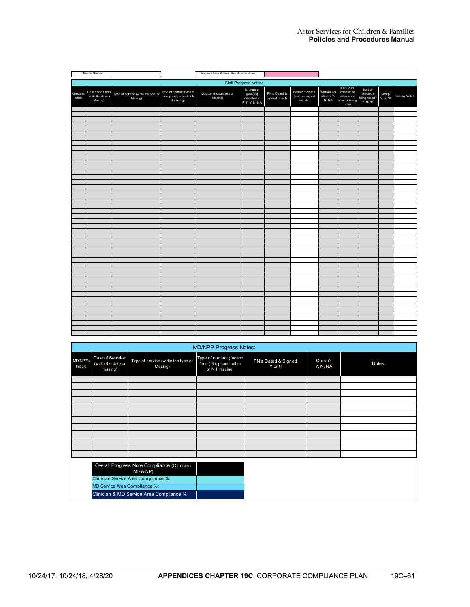|                         | Client's Name:                                   |                                                 |                                                                     | Progress Note Review Period (enter dates): |                                                        |                               |                                                        |                                  |                                                                     |                                                        |                   |                      |
|-------------------------|--------------------------------------------------|-------------------------------------------------|---------------------------------------------------------------------|--------------------------------------------|--------------------------------------------------------|-------------------------------|--------------------------------------------------------|----------------------------------|---------------------------------------------------------------------|--------------------------------------------------------|-------------------|----------------------|
|                         |                                                  |                                                 |                                                                     |                                            | <b>Staff Progress Notes:</b>                           |                               |                                                        |                                  |                                                                     |                                                        |                   |                      |
| Clinician's<br>Initials | Date of Session<br>(write the date or<br>Mssing) | Type of service (write the type, or<br>Missing) | Type of contact (face to<br>face, phone, absent or N<br>if missing) | Duration (Indicate time or<br>Missing)     | Is there a<br>goal/obj<br>indicated in<br>PN? Y, N, NA | PN's Dated &<br>Signed Y or N | <b>Session Notes</b><br>(such as signed<br>late, etc.) | Attendance<br>sheet? Y,<br>N, NA | # of Hours<br>indicated on<br>attendance<br>sheet, missing<br>or NA | Session<br>reflected in<br>billing report?<br>Y, N, NA | Comp?<br>Y, N, NA | <b>Billing Notes</b> |
|                         |                                                  |                                                 |                                                                     |                                            |                                                        |                               |                                                        |                                  |                                                                     |                                                        |                   |                      |
|                         |                                                  |                                                 |                                                                     |                                            |                                                        |                               |                                                        |                                  |                                                                     |                                                        |                   |                      |
|                         |                                                  |                                                 |                                                                     |                                            |                                                        |                               |                                                        |                                  |                                                                     |                                                        |                   |                      |
|                         |                                                  |                                                 |                                                                     |                                            |                                                        |                               |                                                        |                                  |                                                                     |                                                        |                   |                      |
|                         |                                                  |                                                 |                                                                     |                                            |                                                        |                               |                                                        |                                  |                                                                     |                                                        |                   |                      |
|                         |                                                  |                                                 |                                                                     |                                            |                                                        |                               |                                                        |                                  |                                                                     |                                                        |                   |                      |
|                         |                                                  |                                                 |                                                                     |                                            |                                                        |                               |                                                        |                                  |                                                                     |                                                        |                   |                      |
|                         |                                                  |                                                 |                                                                     |                                            |                                                        |                               |                                                        |                                  |                                                                     |                                                        |                   |                      |
|                         |                                                  |                                                 |                                                                     |                                            |                                                        |                               |                                                        |                                  |                                                                     |                                                        |                   |                      |
|                         |                                                  |                                                 |                                                                     |                                            |                                                        |                               |                                                        |                                  |                                                                     |                                                        |                   |                      |
|                         |                                                  |                                                 |                                                                     |                                            |                                                        |                               |                                                        |                                  |                                                                     |                                                        |                   |                      |
|                         |                                                  |                                                 |                                                                     |                                            |                                                        |                               |                                                        |                                  |                                                                     |                                                        |                   |                      |
|                         |                                                  |                                                 |                                                                     |                                            |                                                        |                               |                                                        |                                  |                                                                     |                                                        |                   |                      |
|                         |                                                  |                                                 |                                                                     |                                            |                                                        |                               |                                                        |                                  |                                                                     |                                                        |                   |                      |
|                         |                                                  |                                                 |                                                                     |                                            |                                                        |                               |                                                        |                                  |                                                                     |                                                        |                   |                      |
|                         |                                                  |                                                 |                                                                     |                                            |                                                        |                               |                                                        |                                  |                                                                     |                                                        |                   |                      |
|                         |                                                  |                                                 |                                                                     |                                            |                                                        |                               |                                                        |                                  |                                                                     |                                                        |                   |                      |
|                         |                                                  |                                                 |                                                                     |                                            |                                                        |                               |                                                        |                                  |                                                                     |                                                        |                   |                      |
|                         |                                                  |                                                 |                                                                     |                                            |                                                        |                               |                                                        |                                  |                                                                     |                                                        |                   |                      |
|                         |                                                  |                                                 |                                                                     |                                            |                                                        |                               |                                                        |                                  |                                                                     |                                                        |                   |                      |
|                         |                                                  |                                                 |                                                                     |                                            |                                                        |                               |                                                        |                                  |                                                                     |                                                        |                   |                      |
|                         |                                                  |                                                 |                                                                     |                                            |                                                        |                               |                                                        |                                  |                                                                     |                                                        |                   |                      |
|                         |                                                  |                                                 |                                                                     |                                            |                                                        |                               |                                                        |                                  |                                                                     |                                                        |                   |                      |
|                         |                                                  |                                                 |                                                                     |                                            |                                                        |                               |                                                        |                                  |                                                                     |                                                        |                   |                      |
|                         |                                                  |                                                 |                                                                     |                                            |                                                        |                               |                                                        |                                  |                                                                     |                                                        |                   |                      |
|                         |                                                  |                                                 |                                                                     |                                            |                                                        |                               |                                                        |                                  |                                                                     |                                                        |                   |                      |
|                         |                                                  |                                                 |                                                                     |                                            |                                                        |                               |                                                        |                                  |                                                                     |                                                        |                   |                      |
|                         |                                                  |                                                 |                                                                     |                                            |                                                        |                               |                                                        |                                  |                                                                     |                                                        |                   |                      |
|                         |                                                  |                                                 |                                                                     |                                            |                                                        |                               |                                                        |                                  |                                                                     |                                                        |                   |                      |
|                         |                                                  |                                                 |                                                                     |                                            |                                                        |                               |                                                        |                                  |                                                                     |                                                        |                   |                      |
|                         |                                                  |                                                 |                                                                     |                                            |                                                        |                               |                                                        |                                  |                                                                     |                                                        |                   |                      |
|                         |                                                  |                                                 |                                                                     |                                            |                                                        |                               |                                                        |                                  |                                                                     |                                                        |                   |                      |
|                         |                                                  |                                                 |                                                                     |                                            |                                                        |                               |                                                        |                                  |                                                                     |                                                        |                   |                      |
|                         |                                                  |                                                 |                                                                     |                                            |                                                        |                               |                                                        |                                  |                                                                     |                                                        |                   |                      |
|                         |                                                  |                                                 |                                                                     |                                            |                                                        |                               |                                                        |                                  |                                                                     |                                                        |                   |                      |
|                         |                                                  |                                                 |                                                                     |                                            |                                                        |                               |                                                        |                                  |                                                                     |                                                        |                   |                      |
|                         |                                                  |                                                 |                                                                     |                                            |                                                        |                               |                                                        |                                  |                                                                     |                                                        |                   |                      |
|                         |                                                  |                                                 |                                                                     |                                            |                                                        |                               |                                                        |                                  |                                                                     |                                                        |                   |                      |
|                         |                                                  |                                                 |                                                                     |                                            |                                                        |                               |                                                        |                                  |                                                                     |                                                        |                   |                      |
|                         |                                                  |                                                 |                                                                     |                                            |                                                        |                               |                                                        |                                  |                                                                     |                                                        |                   |                      |
|                         |                                                  |                                                 |                                                                     |                                            |                                                        |                               |                                                        |                                  |                                                                     |                                                        |                   |                      |
|                         |                                                  |                                                 |                                                                     |                                            |                                                        |                               |                                                        |                                  |                                                                     |                                                        |                   |                      |

| <b>MD/NPP Progress Notes:</b> |                                                    |                                                           |                                                                          |                               |                   |              |  |  |
|-------------------------------|----------------------------------------------------|-----------------------------------------------------------|--------------------------------------------------------------------------|-------------------------------|-------------------|--------------|--|--|
| MD/NPP's<br><b>Initials</b>   | Date of Session<br>(w rite the date or<br>missing) | Type of service (write the type or<br>Missing)            | Type of contact (face to<br>face (f/f), phone, other<br>or N if missing) | PN's Dated & Signed<br>Y or N | Comp?<br>Y, N, NA | <b>Notes</b> |  |  |
|                               |                                                    |                                                           |                                                                          |                               |                   |              |  |  |
|                               |                                                    |                                                           |                                                                          |                               |                   |              |  |  |
|                               |                                                    |                                                           |                                                                          |                               |                   |              |  |  |
|                               |                                                    |                                                           |                                                                          |                               |                   |              |  |  |
|                               |                                                    |                                                           |                                                                          |                               |                   |              |  |  |
|                               |                                                    |                                                           |                                                                          |                               |                   |              |  |  |
|                               |                                                    |                                                           |                                                                          |                               |                   |              |  |  |
|                               |                                                    |                                                           |                                                                          |                               |                   |              |  |  |
|                               |                                                    |                                                           |                                                                          |                               |                   |              |  |  |
|                               |                                                    |                                                           |                                                                          |                               |                   |              |  |  |
|                               |                                                    |                                                           |                                                                          |                               |                   |              |  |  |
|                               |                                                    | Overall Progress Note Compliance (Clinician,<br>MD & NP): |                                                                          |                               |                   |              |  |  |
|                               |                                                    | Clinician Service Area Compliance %:                      |                                                                          |                               |                   |              |  |  |
|                               | MD Service Area Compliance %:                      |                                                           |                                                                          |                               |                   |              |  |  |
|                               |                                                    | Clinician & MD Service Area Compliance %                  |                                                                          |                               |                   |              |  |  |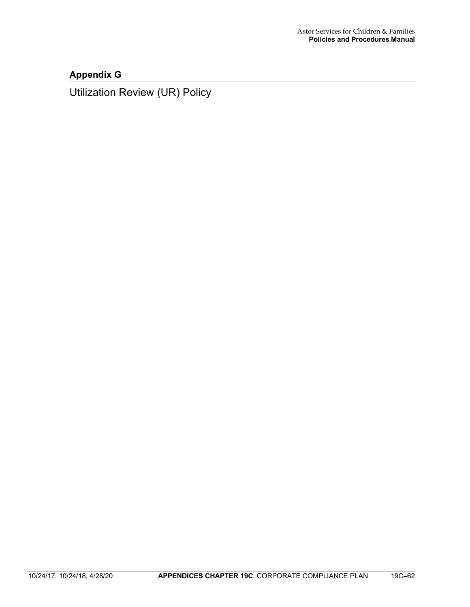# **Appendix G**

Utilization Review (UR) Policy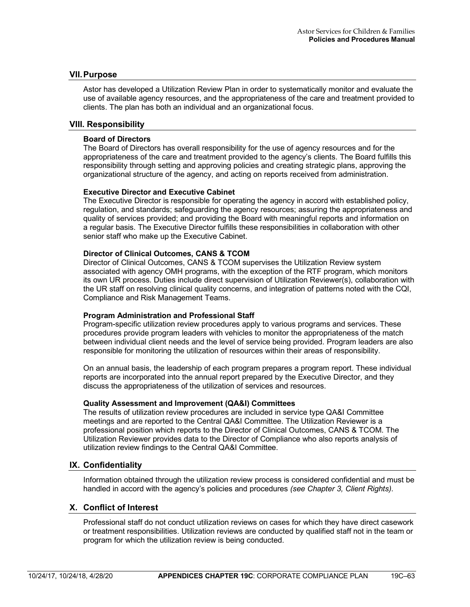### **VII.Purpose**

Astor has developed a Utilization Review Plan in order to systematically monitor and evaluate the use of available agency resources, and the appropriateness of the care and treatment provided to clients. The plan has both an individual and an organizational focus.

### **VIII. Responsibility**

### **Board of Directors**

The Board of Directors has overall responsibility for the use of agency resources and for the appropriateness of the care and treatment provided to the agency's clients. The Board fulfills this responsibility through setting and approving policies and creating strategic plans, approving the organizational structure of the agency, and acting on reports received from administration.

### **Executive Director and Executive Cabinet**

The Executive Director is responsible for operating the agency in accord with established policy, regulation, and standards; safeguarding the agency resources; assuring the appropriateness and quality of services provided; and providing the Board with meaningful reports and information on a regular basis. The Executive Director fulfills these responsibilities in collaboration with other senior staff who make up the Executive Cabinet.

### **Director of Clinical Outcomes, CANS & TCOM**

Director of Clinical Outcomes, CANS & TCOM supervises the Utilization Review system associated with agency OMH programs, with the exception of the RTF program, which monitors its own UR process. Duties include direct supervision of Utilization Reviewer(s), collaboration with the UR staff on resolving clinical quality concerns, and integration of patterns noted with the CQI, Compliance and Risk Management Teams.

### **Program Administration and Professional Staff**

Program-specific utilization review procedures apply to various programs and services. These procedures provide program leaders with vehicles to monitor the appropriateness of the match between individual client needs and the level of service being provided. Program leaders are also responsible for monitoring the utilization of resources within their areas of responsibility.

On an annual basis, the leadership of each program prepares a program report. These individual reports are incorporated into the annual report prepared by the Executive Director, and they discuss the appropriateness of the utilization of services and resources.

### **Quality Assessment and Improvement (QA&I) Committees**

The results of utilization review procedures are included in service type QA&I Committee meetings and are reported to the Central QA&I Committee. The Utilization Reviewer is a professional position which reports to the Director of Clinical Outcomes, CANS & TCOM. The Utilization Reviewer provides data to the Director of Compliance who also reports analysis of utilization review findings to the Central QA&I Committee.

### **IX. Confidentiality**

Information obtained through the utilization review process is considered confidential and must be handled in accord with the agency's policies and procedures *(see Chapter 3, Client Rights)*.

### **X. Conflict of Interest**

Professional staff do not conduct utilization reviews on cases for which they have direct casework or treatment responsibilities. Utilization reviews are conducted by qualified staff not in the team or program for which the utilization review is being conducted.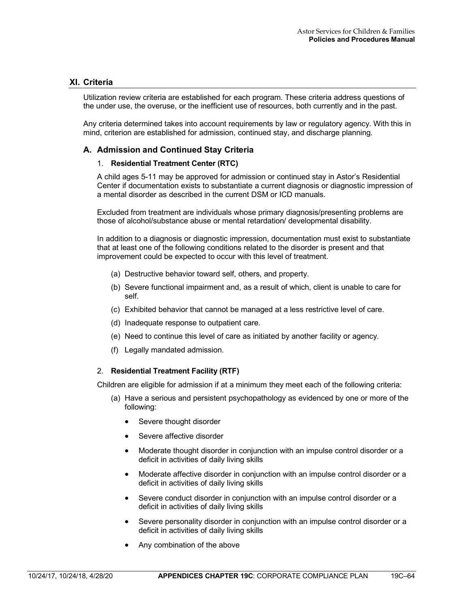### **XI. Criteria**

Utilization review criteria are established for each program. These criteria address questions of the under use, the overuse, or the inefficient use of resources, both currently and in the past.

Any criteria determined takes into account requirements by law or regulatory agency. With this in mind, criterion are established for admission, continued stay, and discharge planning.

### **A. Admission and Continued Stay Criteria**

### 1. **Residential Treatment Center (RTC)**

A child ages 5-11 may be approved for admission or continued stay in Astor's Residential Center if documentation exists to substantiate a current diagnosis or diagnostic impression of a mental disorder as described in the current DSM or ICD manuals.

Excluded from treatment are individuals whose primary diagnosis/presenting problems are those of alcohol/substance abuse or mental retardation/ developmental disability.

In addition to a diagnosis or diagnostic impression, documentation must exist to substantiate that at least one of the following conditions related to the disorder is present and that improvement could be expected to occur with this level of treatment.

- (a) Destructive behavior toward self, others, and property.
- (b) Severe functional impairment and, as a result of which, client is unable to care for self.
- (c) Exhibited behavior that cannot be managed at a less restrictive level of care.
- (d) Inadequate response to outpatient care.
- (e) Need to continue this level of care as initiated by another facility or agency.
- (f) Legally mandated admission.

### 2. **Residential Treatment Facility (RTF)**

Children are eligible for admission if at a minimum they meet each of the following criteria:

- (a) Have a serious and persistent psychopathology as evidenced by one or more of the following:
	- Severe thought disorder
	- Severe affective disorder
	- Moderate thought disorder in conjunction with an impulse control disorder or a deficit in activities of daily living skills
	- Moderate affective disorder in conjunction with an impulse control disorder or a deficit in activities of daily living skills
	- Severe conduct disorder in conjunction with an impulse control disorder or a deficit in activities of daily living skills
	- Severe personality disorder in conjunction with an impulse control disorder or a deficit in activities of daily living skills
	- Any combination of the above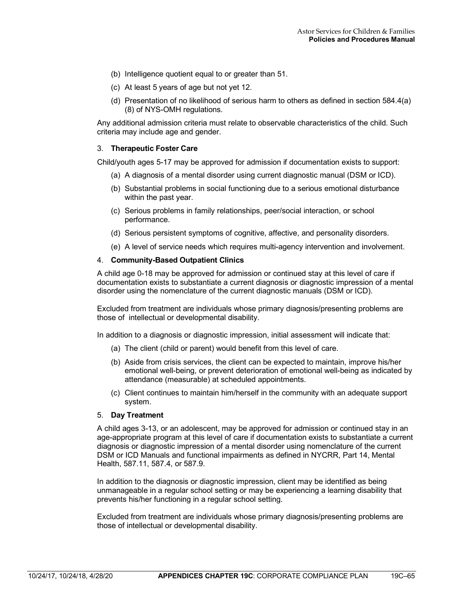- (b) Intelligence quotient equal to or greater than 51.
- (c) At least 5 years of age but not yet 12.
- (d) Presentation of no likelihood of serious harm to others as defined in section 584.4(a) (8) of NYS-OMH regulations.

Any additional admission criteria must relate to observable characteristics of the child. Such criteria may include age and gender.

#### 3. **Therapeutic Foster Care**

Child/youth ages 5-17 may be approved for admission if documentation exists to support:

- (a) A diagnosis of a mental disorder using current diagnostic manual (DSM or ICD).
- (b) Substantial problems in social functioning due to a serious emotional disturbance within the past year.
- (c) Serious problems in family relationships, peer/social interaction, or school performance.
- (d) Serious persistent symptoms of cognitive, affective, and personality disorders.
- (e) A level of service needs which requires multi-agency intervention and involvement.

#### 4. **Community-Based Outpatient Clinics**

A child age 0-18 may be approved for admission or continued stay at this level of care if documentation exists to substantiate a current diagnosis or diagnostic impression of a mental disorder using the nomenclature of the current diagnostic manuals (DSM or ICD).

Excluded from treatment are individuals whose primary diagnosis/presenting problems are those of intellectual or developmental disability.

In addition to a diagnosis or diagnostic impression, initial assessment will indicate that:

- (a) The client (child or parent) would benefit from this level of care.
- (b) Aside from crisis services, the client can be expected to maintain, improve his/her emotional well-being, or prevent deterioration of emotional well-being as indicated by attendance (measurable) at scheduled appointments.
- (c) Client continues to maintain him/herself in the community with an adequate support system.

### 5. **Day Treatment**

A child ages 3-13, or an adolescent, may be approved for admission or continued stay in an age-appropriate program at this level of care if documentation exists to substantiate a current diagnosis or diagnostic impression of a mental disorder using nomenclature of the current DSM or ICD Manuals and functional impairments as defined in NYCRR, Part 14, Mental Health, 587.11, 587.4, or 587.9.

In addition to the diagnosis or diagnostic impression, client may be identified as being unmanageable in a regular school setting or may be experiencing a learning disability that prevents his/her functioning in a regular school setting.

Excluded from treatment are individuals whose primary diagnosis/presenting problems are those of intellectual or developmental disability.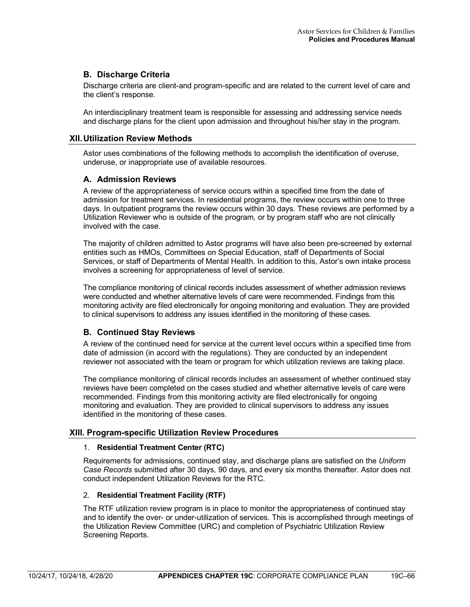### **B. Discharge Criteria**

Discharge criteria are client-and program-specific and are related to the current level of care and the client's response.

An interdisciplinary treatment team is responsible for assessing and addressing service needs and discharge plans for the client upon admission and throughout his/her stay in the program.

### **XII.Utilization Review Methods**

Astor uses combinations of the following methods to accomplish the identification of overuse, underuse, or inappropriate use of available resources.

### **A. Admission Reviews**

A review of the appropriateness of service occurs within a specified time from the date of admission for treatment services. In residential programs, the review occurs within one to three days. In outpatient programs the review occurs within 30 days. These reviews are performed by a Utilization Reviewer who is outside of the program, or by program staff who are not clinically involved with the case.

The majority of children admitted to Astor programs will have also been pre-screened by external entities such as HMOs, Committees on Special Education, staff of Departments of Social Services, or staff of Departments of Mental Health. In addition to this, Astor's own intake process involves a screening for appropriateness of level of service.

The compliance monitoring of clinical records includes assessment of whether admission reviews were conducted and whether alternative levels of care were recommended. Findings from this monitoring activity are filed electronically for ongoing monitoring and evaluation. They are provided to clinical supervisors to address any issues identified in the monitoring of these cases.

### **B. Continued Stay Reviews**

A review of the continued need for service at the current level occurs within a specified time from date of admission (in accord with the regulations). They are conducted by an independent reviewer not associated with the team or program for which utilization reviews are taking place.

The compliance monitoring of clinical records includes an assessment of whether continued stay reviews have been completed on the cases studied and whether alternative levels of care were recommended. Findings from this monitoring activity are filed electronically for ongoing monitoring and evaluation. They are provided to clinical supervisors to address any issues identified in the monitoring of these cases.

### **XIII. Program-specific Utilization Review Procedures**

### 1. **Residential Treatment Center (RTC)**

Requirements for admissions, continued stay, and discharge plans are satisfied on the *Uniform Case Records* submitted after 30 days, 90 days, and every six months thereafter. Astor does not conduct independent Utilization Reviews for the RTC.

### 2. **Residential Treatment Facility (RTF)**

The RTF utilization review program is in place to monitor the appropriateness of continued stay and to identify the over- or under-utilization of services. This is accomplished through meetings of the Utilization Review Committee (URC) and completion of Psychiatric Utilization Review Screening Reports.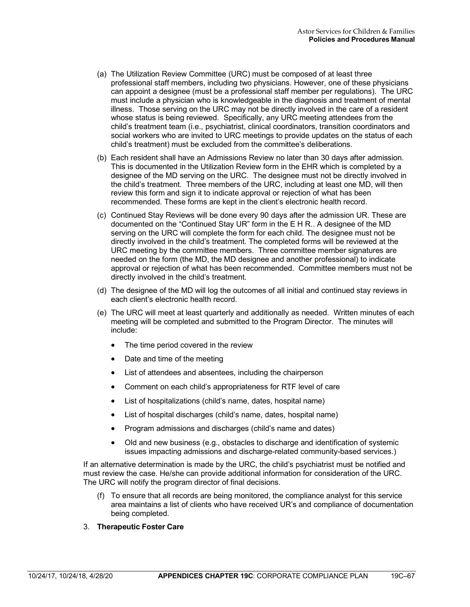- (a) The Utilization Review Committee (URC) must be composed of at least three professional staff members, including two physicians. However, one of these physicians can appoint a designee (must be a professional staff member per regulations). The URC must include a physician who is knowledgeable in the diagnosis and treatment of mental illness. Those serving on the URC may not be directly involved in the care of a resident whose status is being reviewed. Specifically, any URC meeting attendees from the child's treatment team (i.e., psychiatrist, clinical coordinators, transition coordinators and social workers who are invited to URC meetings to provide updates on the status of each child's treatment) must be excluded from the committee's deliberations.
- (b) Each resident shall have an Admissions Review no later than 30 days after admission. This is documented in the Utilization Review form in the EHR which is completed by a designee of the MD serving on the URC. The designee must not be directly involved in the child's treatment. Three members of the URC, including at least one MD, will then review this form and sign it to indicate approval or rejection of what has been recommended. These forms are kept in the client's electronic health record.
- (c) Continued Stay Reviews will be done every 90 days after the admission UR. These are documented on the "Continued Stay UR" form in the E H R.. A designee of the MD serving on the URC will complete the form for each child. The designee must not be directly involved in the child's treatment. The completed forms will be reviewed at the URC meeting by the committee members. Three committee member signatures are needed on the form (the MD, the MD designee and another professional) to indicate approval or rejection of what has been recommended. Committee members must not be directly involved in the child's treatment.
- (d) The designee of the MD will log the outcomes of all initial and continued stay reviews in each client's electronic health record.
- (e) The URC will meet at least quarterly and additionally as needed. Written minutes of each meeting will be completed and submitted to the Program Director. The minutes will include:
	- The time period covered in the review
	- Date and time of the meeting
	- List of attendees and absentees, including the chairperson
	- Comment on each child's appropriateness for RTF level of care
	- List of hospitalizations (child's name, dates, hospital name)
	- List of hospital discharges (child's name, dates, hospital name)
	- Program admissions and discharges (child's name and dates)
	- Old and new business (e.g., obstacles to discharge and identification of systemic issues impacting admissions and discharge-related community-based services.)

If an alternative determination is made by the URC, the child's psychiatrist must be notified and must review the case. He/she can provide additional information for consideration of the URC. The URC will notify the program director of final decisions.

(f) To ensure that all records are being monitored, the compliance analyst for this service area maintains a list of clients who have received UR's and compliance of documentation being completed.

### 3. **Therapeutic Foster Care**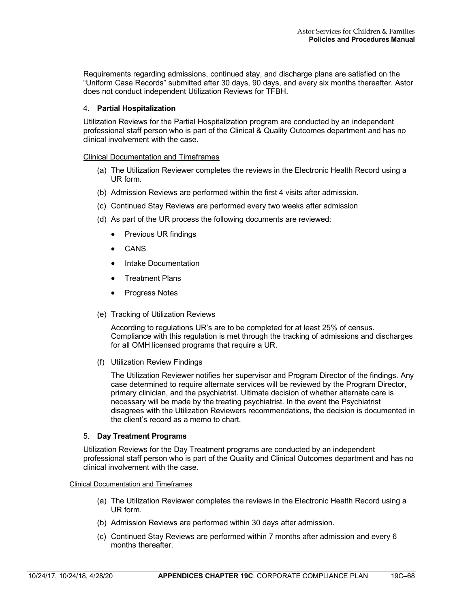Requirements regarding admissions, continued stay, and discharge plans are satisfied on the "Uniform Case Records" submitted after 30 days, 90 days, and every six months thereafter. Astor does not conduct independent Utilization Reviews for TFBH.

### 4. **Partial Hospitalization**

Utilization Reviews for the Partial Hospitalization program are conducted by an independent professional staff person who is part of the Clinical & Quality Outcomes department and has no clinical involvement with the case.

#### Clinical Documentation and Timeframes

- (a) The Utilization Reviewer completes the reviews in the Electronic Health Record using a UR form.
- (b) Admission Reviews are performed within the first 4 visits after admission.
- (c) Continued Stay Reviews are performed every two weeks after admission
- (d) As part of the UR process the following documents are reviewed:
	- Previous UR findings
	- **CANS**
	- Intake Documentation
	- Treatment Plans
	- Progress Notes
- (e) Tracking of Utilization Reviews

According to regulations UR's are to be completed for at least 25% of census. Compliance with this regulation is met through the tracking of admissions and discharges for all OMH licensed programs that require a UR.

(f) Utilization Review Findings

The Utilization Reviewer notifies her supervisor and Program Director of the findings. Any case determined to require alternate services will be reviewed by the Program Director, primary clinician, and the psychiatrist. Ultimate decision of whether alternate care is necessary will be made by the treating psychiatrist. In the event the Psychiatrist disagrees with the Utilization Reviewers recommendations, the decision is documented in the client's record as a memo to chart.

#### 5. **Day Treatment Programs**

Utilization Reviews for the Day Treatment programs are conducted by an independent professional staff person who is part of the Quality and Clinical Outcomes department and has no clinical involvement with the case.

Clinical Documentation and Timeframes

- (a) The Utilization Reviewer completes the reviews in the Electronic Health Record using a UR form.
- (b) Admission Reviews are performed within 30 days after admission.
- (c) Continued Stay Reviews are performed within 7 months after admission and every 6 months thereafter.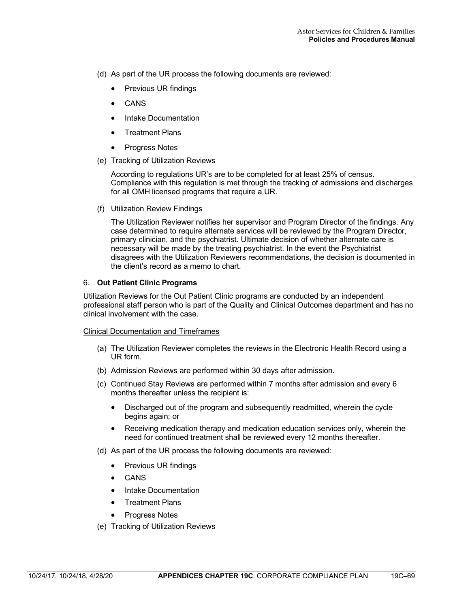- (d) As part of the UR process the following documents are reviewed:
	- Previous UR findings
	- CANS
	- Intake Documentation
	- Treatment Plans
	- Progress Notes
- (e) Tracking of Utilization Reviews

According to regulations UR's are to be completed for at least 25% of census. Compliance with this regulation is met through the tracking of admissions and discharges for all OMH licensed programs that require a UR.

(f) Utilization Review Findings

The Utilization Reviewer notifies her supervisor and Program Director of the findings. Any case determined to require alternate services will be reviewed by the Program Director, primary clinician, and the psychiatrist. Ultimate decision of whether alternate care is necessary will be made by the treating psychiatrist. In the event the Psychiatrist disagrees with the Utilization Reviewers recommendations, the decision is documented in the client's record as a memo to chart.

### 6. **Out Patient Clinic Programs**

Utilization Reviews for the Out Patient Clinic programs are conducted by an independent professional staff person who is part of the Quality and Clinical Outcomes department and has no clinical involvement with the case.

### Clinical Documentation and Timeframes

- (a) The Utilization Reviewer completes the reviews in the Electronic Health Record using a UR form.
- (b) Admission Reviews are performed within 30 days after admission.
- (c) Continued Stay Reviews are performed within 7 months after admission and every 6 months thereafter unless the recipient is:
	- Discharged out of the program and subsequently readmitted, wherein the cycle begins again; or
	- Receiving medication therapy and medication education services only, wherein the need for continued treatment shall be reviewed every 12 months thereafter.
- (d) As part of the UR process the following documents are reviewed:
	- Previous UR findings
	- **CANS**
	- Intake Documentation
	- **Treatment Plans**
	- Progress Notes
- (e) Tracking of Utilization Reviews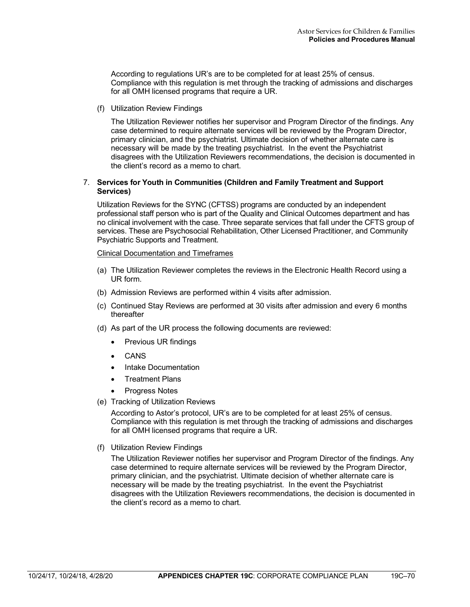According to regulations UR's are to be completed for at least 25% of census. Compliance with this regulation is met through the tracking of admissions and discharges for all OMH licensed programs that require a UR.

(f) Utilization Review Findings

The Utilization Reviewer notifies her supervisor and Program Director of the findings. Any case determined to require alternate services will be reviewed by the Program Director, primary clinician, and the psychiatrist. Ultimate decision of whether alternate care is necessary will be made by the treating psychiatrist. In the event the Psychiatrist disagrees with the Utilization Reviewers recommendations, the decision is documented in the client's record as a memo to chart.

## 7. **Services for Youth in Communities (Children and Family Treatment and Support Services)**

Utilization Reviews for the SYNC (CFTSS) programs are conducted by an independent professional staff person who is part of the Quality and Clinical Outcomes department and has no clinical involvement with the case. Three separate services that fall under the CFTS group of services. These are Psychosocial Rehabilitation, Other Licensed Practitioner, and Community Psychiatric Supports and Treatment.

#### Clinical Documentation and Timeframes

- (a) The Utilization Reviewer completes the reviews in the Electronic Health Record using a UR form.
- (b) Admission Reviews are performed within 4 visits after admission.
- (c) Continued Stay Reviews are performed at 30 visits after admission and every 6 months thereafter
- (d) As part of the UR process the following documents are reviewed:
	- Previous UR findings
	- CANS
	- Intake Documentation
	- **Treatment Plans**
	- Progress Notes
- (e) Tracking of Utilization Reviews

According to Astor's protocol, UR's are to be completed for at least 25% of census. Compliance with this regulation is met through the tracking of admissions and discharges for all OMH licensed programs that require a UR.

(f) Utilization Review Findings

The Utilization Reviewer notifies her supervisor and Program Director of the findings. Any case determined to require alternate services will be reviewed by the Program Director, primary clinician, and the psychiatrist. Ultimate decision of whether alternate care is necessary will be made by the treating psychiatrist. In the event the Psychiatrist disagrees with the Utilization Reviewers recommendations, the decision is documented in the client's record as a memo to chart.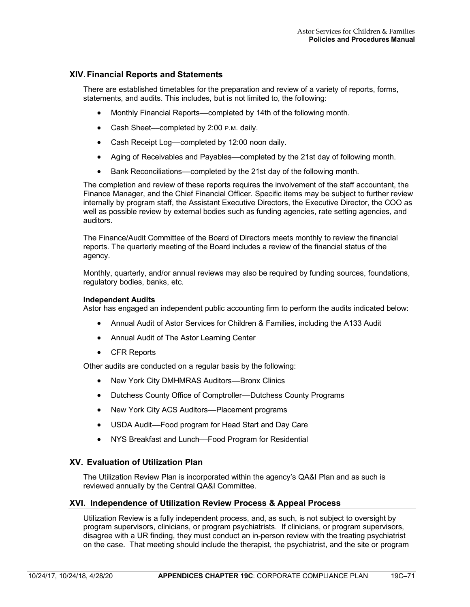# **XIV.Financial Reports and Statements**

There are established timetables for the preparation and review of a variety of reports, forms, statements, and audits. This includes, but is not limited to, the following:

- Monthly Financial Reports––completed by 14th of the following month.
- Cash Sheet—completed by 2:00 P.M. daily.
- Cash Receipt Log—completed by 12:00 noon daily.
- Aging of Receivables and Payables––completed by the 21st day of following month.
- Bank Reconciliations––completed by the 21st day of the following month.

The completion and review of these reports requires the involvement of the staff accountant, the Finance Manager, and the Chief Financial Officer. Specific items may be subject to further review internally by program staff, the Assistant Executive Directors, the Executive Director, the COO as well as possible review by external bodies such as funding agencies, rate setting agencies, and auditors.

The Finance/Audit Committee of the Board of Directors meets monthly to review the financial reports. The quarterly meeting of the Board includes a review of the financial status of the agency.

Monthly, quarterly, and/or annual reviews may also be required by funding sources, foundations, regulatory bodies, banks, etc.

#### **Independent Audits**

Astor has engaged an independent public accounting firm to perform the audits indicated below:

- Annual Audit of Astor Services for Children & Families, including the A133 Audit
- Annual Audit of The Astor Learning Center
- CFR Reports

Other audits are conducted on a regular basis by the following:

- New York City DMHMRAS Auditors––Bronx Clinics
- Dutchess County Office of Comptroller––Dutchess County Programs
- New York City ACS Auditors—Placement programs
- USDA Audit––Food program for Head Start and Day Care
- NYS Breakfast and Lunch––Food Program for Residential

#### **XV. Evaluation of Utilization Plan**

The Utilization Review Plan is incorporated within the agency's QA&I Plan and as such is reviewed annually by the Central QA&I Committee.

## **XVI. Independence of Utilization Review Process & Appeal Process**

Utilization Review is a fully independent process, and, as such, is not subject to oversight by program supervisors, clinicians, or program psychiatrists. If clinicians, or program supervisors, disagree with a UR finding, they must conduct an in-person review with the treating psychiatrist on the case. That meeting should include the therapist, the psychiatrist, and the site or program